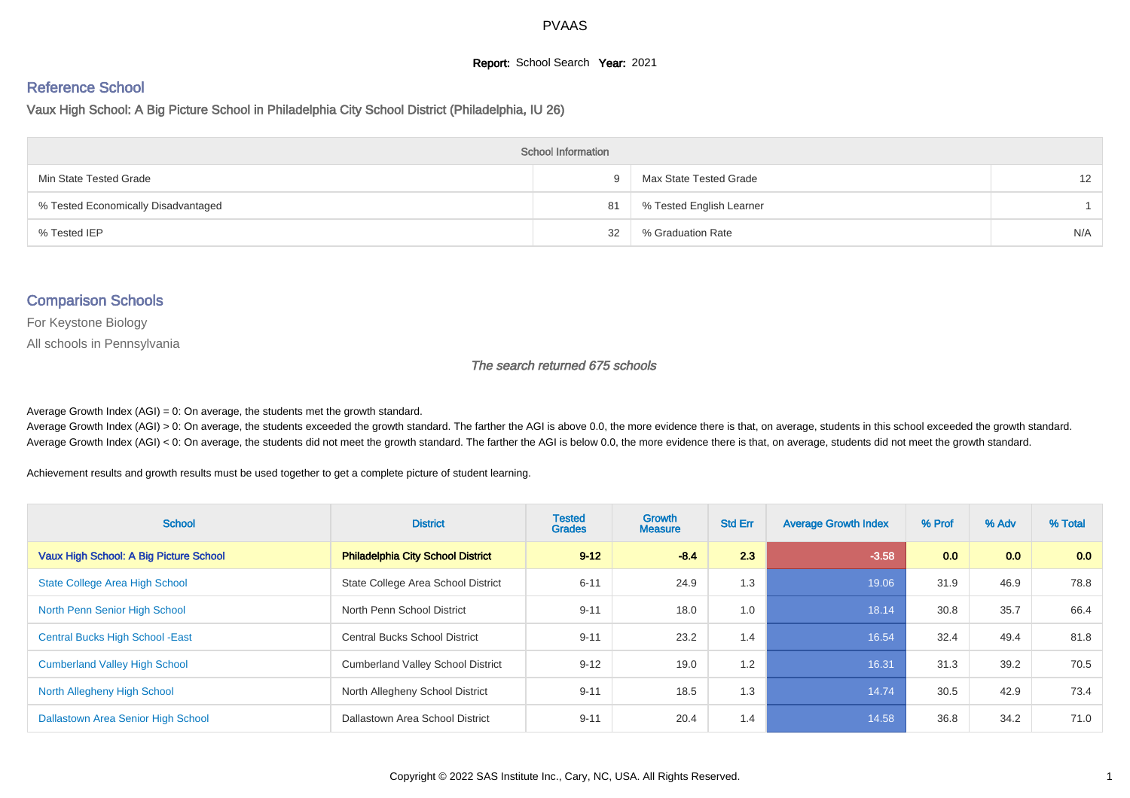#### **Report:** School Search **Year:** 2021

# Reference School

Vaux High School: A Big Picture School in Philadelphia City School District (Philadelphia, IU 26)

| <b>School Information</b>           |    |                          |     |  |  |  |  |  |  |
|-------------------------------------|----|--------------------------|-----|--|--|--|--|--|--|
| Min State Tested Grade              | 9. | Max State Tested Grade   | 12  |  |  |  |  |  |  |
| % Tested Economically Disadvantaged | 81 | % Tested English Learner |     |  |  |  |  |  |  |
| % Tested IEP                        | 32 | % Graduation Rate        | N/A |  |  |  |  |  |  |

#### Comparison Schools

For Keystone Biology

All schools in Pennsylvania

#### The search returned 675 schools

Average Growth Index  $(AGI) = 0$ : On average, the students met the growth standard.

Average Growth Index (AGI) > 0: On average, the students exceeded the growth standard. The farther the AGI is above 0.0, the more evidence there is that, on average, students in this school exceeded the growth standard. Average Growth Index (AGI) < 0: On average, the students did not meet the growth standard. The farther the AGI is below 0.0, the more evidence there is that, on average, students did not meet the growth standard.

Achievement results and growth results must be used together to get a complete picture of student learning.

| <b>School</b>                           | <b>District</b>                          | <b>Tested</b><br><b>Grades</b> | Growth<br><b>Measure</b> | <b>Std Err</b> | <b>Average Growth Index</b> | % Prof | % Adv | % Total |
|-----------------------------------------|------------------------------------------|--------------------------------|--------------------------|----------------|-----------------------------|--------|-------|---------|
| Vaux High School: A Big Picture School  | <b>Philadelphia City School District</b> | $9 - 12$                       | $-8.4$                   | 2.3            | $-3.58$                     | 0.0    | 0.0   | 0.0     |
| <b>State College Area High School</b>   | State College Area School District       | $6 - 11$                       | 24.9                     | 1.3            | 19.06                       | 31.9   | 46.9  | 78.8    |
| North Penn Senior High School           | North Penn School District               | $9 - 11$                       | 18.0                     | 1.0            | 18.14                       | 30.8   | 35.7  | 66.4    |
| <b>Central Bucks High School - East</b> | <b>Central Bucks School District</b>     | $9 - 11$                       | 23.2                     | 1.4            | 16.54                       | 32.4   | 49.4  | 81.8    |
| <b>Cumberland Valley High School</b>    | <b>Cumberland Valley School District</b> | $9 - 12$                       | 19.0                     | 1.2            | 16.31                       | 31.3   | 39.2  | 70.5    |
| North Allegheny High School             | North Allegheny School District          | $9 - 11$                       | 18.5                     | 1.3            | 14.74                       | 30.5   | 42.9  | 73.4    |
| Dallastown Area Senior High School      | Dallastown Area School District          | $9 - 11$                       | 20.4                     | 1.4            | 14.58                       | 36.8   | 34.2  | 71.0    |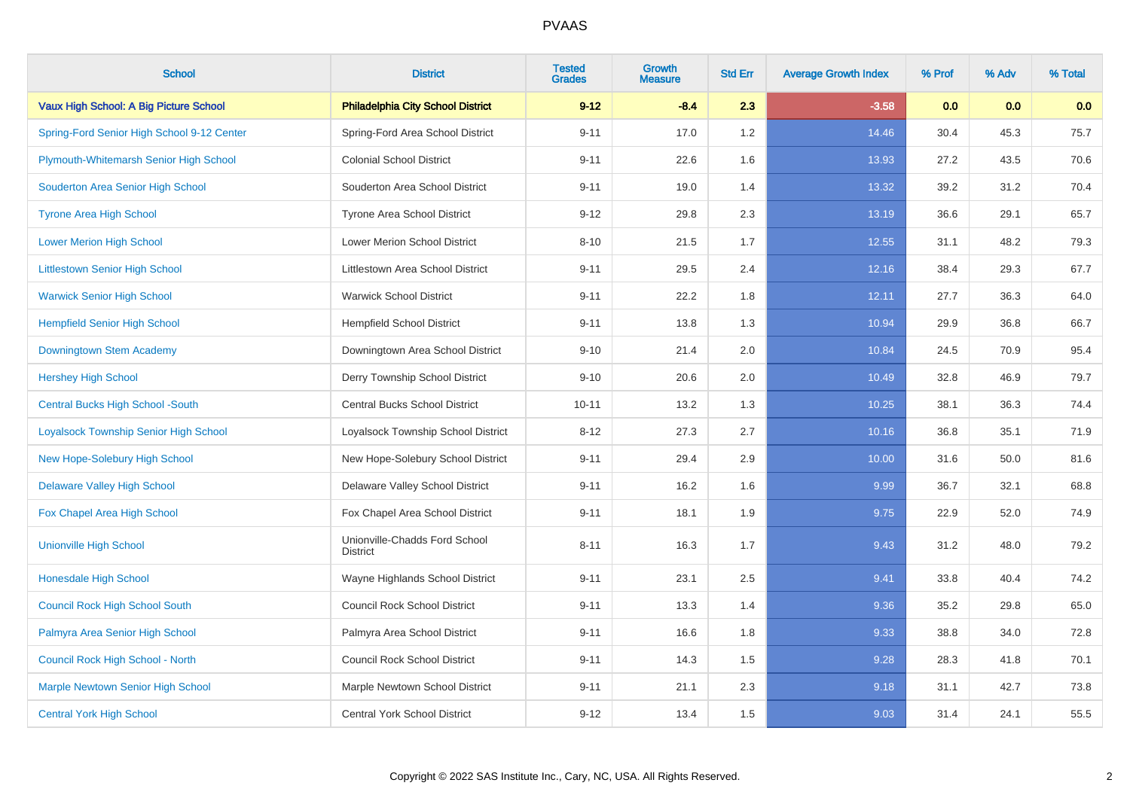| <b>School</b>                                | <b>District</b>                                  | <b>Tested</b><br><b>Grades</b> | <b>Growth</b><br><b>Measure</b> | <b>Std Err</b> | <b>Average Growth Index</b> | % Prof | % Adv | % Total |
|----------------------------------------------|--------------------------------------------------|--------------------------------|---------------------------------|----------------|-----------------------------|--------|-------|---------|
| Vaux High School: A Big Picture School       | <b>Philadelphia City School District</b>         | $9 - 12$                       | $-8.4$                          | 2.3            | $-3.58$                     | 0.0    | 0.0   | 0.0     |
| Spring-Ford Senior High School 9-12 Center   | Spring-Ford Area School District                 | $9 - 11$                       | 17.0                            | 1.2            | 14.46                       | 30.4   | 45.3  | 75.7    |
| Plymouth-Whitemarsh Senior High School       | <b>Colonial School District</b>                  | $9 - 11$                       | 22.6                            | 1.6            | 13.93                       | 27.2   | 43.5  | 70.6    |
| Souderton Area Senior High School            | Souderton Area School District                   | $9 - 11$                       | 19.0                            | 1.4            | 13.32                       | 39.2   | 31.2  | 70.4    |
| <b>Tyrone Area High School</b>               | <b>Tyrone Area School District</b>               | $9 - 12$                       | 29.8                            | 2.3            | 13.19                       | 36.6   | 29.1  | 65.7    |
| <b>Lower Merion High School</b>              | Lower Merion School District                     | $8 - 10$                       | 21.5                            | 1.7            | 12.55                       | 31.1   | 48.2  | 79.3    |
| <b>Littlestown Senior High School</b>        | Littlestown Area School District                 | $9 - 11$                       | 29.5                            | 2.4            | 12.16                       | 38.4   | 29.3  | 67.7    |
| <b>Warwick Senior High School</b>            | <b>Warwick School District</b>                   | $9 - 11$                       | 22.2                            | 1.8            | 12.11                       | 27.7   | 36.3  | 64.0    |
| <b>Hempfield Senior High School</b>          | <b>Hempfield School District</b>                 | $9 - 11$                       | 13.8                            | 1.3            | 10.94                       | 29.9   | 36.8  | 66.7    |
| Downingtown Stem Academy                     | Downingtown Area School District                 | $9 - 10$                       | 21.4                            | 2.0            | 10.84                       | 24.5   | 70.9  | 95.4    |
| <b>Hershey High School</b>                   | Derry Township School District                   | $9 - 10$                       | 20.6                            | 2.0            | 10.49                       | 32.8   | 46.9  | 79.7    |
| <b>Central Bucks High School -South</b>      | <b>Central Bucks School District</b>             | $10 - 11$                      | 13.2                            | 1.3            | 10.25                       | 38.1   | 36.3  | 74.4    |
| <b>Loyalsock Township Senior High School</b> | Loyalsock Township School District               | $8 - 12$                       | 27.3                            | 2.7            | 10.16                       | 36.8   | 35.1  | 71.9    |
| New Hope-Solebury High School                | New Hope-Solebury School District                | $9 - 11$                       | 29.4                            | 2.9            | 10.00                       | 31.6   | 50.0  | 81.6    |
| <b>Delaware Valley High School</b>           | Delaware Valley School District                  | $9 - 11$                       | 16.2                            | 1.6            | 9.99                        | 36.7   | 32.1  | 68.8    |
| Fox Chapel Area High School                  | Fox Chapel Area School District                  | $9 - 11$                       | 18.1                            | 1.9            | 9.75                        | 22.9   | 52.0  | 74.9    |
| <b>Unionville High School</b>                | Unionville-Chadds Ford School<br><b>District</b> | $8 - 11$                       | 16.3                            | 1.7            | 9.43                        | 31.2   | 48.0  | 79.2    |
| <b>Honesdale High School</b>                 | Wayne Highlands School District                  | $9 - 11$                       | 23.1                            | 2.5            | 9.41                        | 33.8   | 40.4  | 74.2    |
| <b>Council Rock High School South</b>        | <b>Council Rock School District</b>              | $9 - 11$                       | 13.3                            | 1.4            | 9.36                        | 35.2   | 29.8  | 65.0    |
| Palmyra Area Senior High School              | Palmyra Area School District                     | $9 - 11$                       | 16.6                            | 1.8            | 9.33                        | 38.8   | 34.0  | 72.8    |
| Council Rock High School - North             | <b>Council Rock School District</b>              | $9 - 11$                       | 14.3                            | 1.5            | 9.28                        | 28.3   | 41.8  | 70.1    |
| <b>Marple Newtown Senior High School</b>     | Marple Newtown School District                   | $9 - 11$                       | 21.1                            | 2.3            | 9.18                        | 31.1   | 42.7  | 73.8    |
| <b>Central York High School</b>              | Central York School District                     | $9 - 12$                       | 13.4                            | 1.5            | 9.03                        | 31.4   | 24.1  | 55.5    |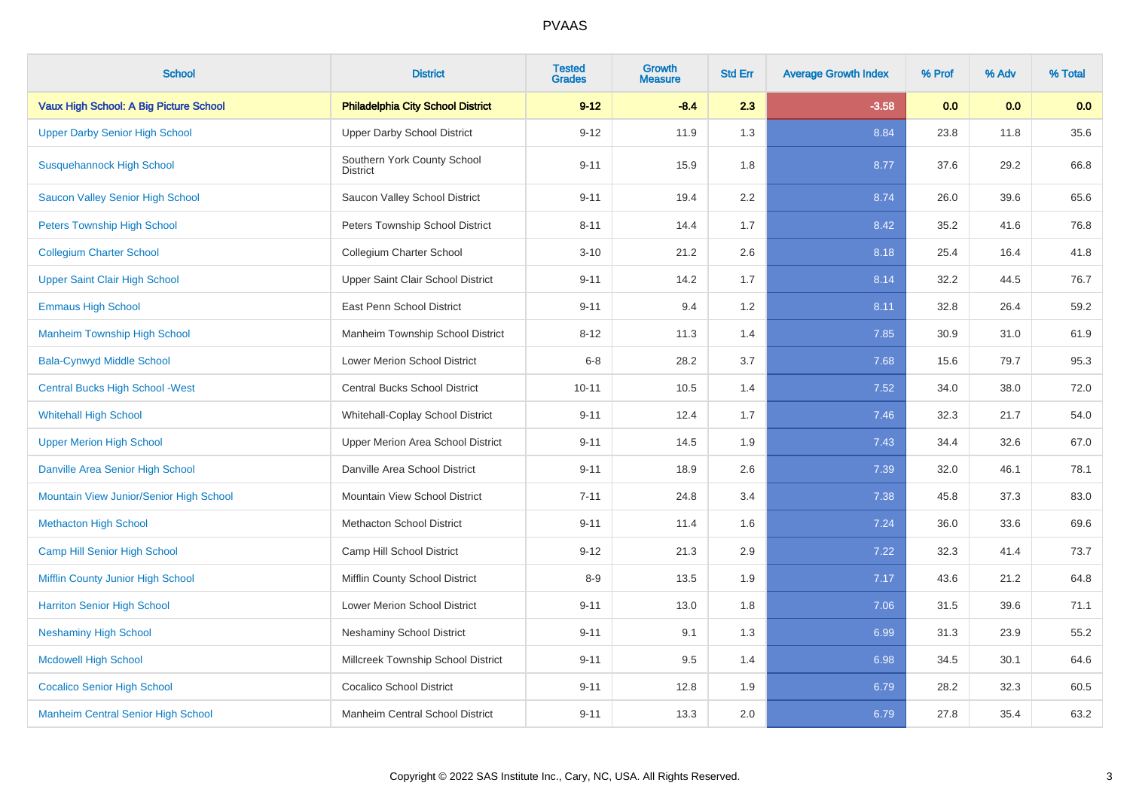| <b>School</b>                             | <b>District</b>                          | <b>Tested</b><br><b>Grades</b> | <b>Growth</b><br><b>Measure</b> | <b>Std Err</b> | <b>Average Growth Index</b> | % Prof | % Adv | % Total |
|-------------------------------------------|------------------------------------------|--------------------------------|---------------------------------|----------------|-----------------------------|--------|-------|---------|
| Vaux High School: A Big Picture School    | <b>Philadelphia City School District</b> | $9 - 12$                       | $-8.4$                          | 2.3            | $-3.58$                     | 0.0    | 0.0   | 0.0     |
| <b>Upper Darby Senior High School</b>     | <b>Upper Darby School District</b>       | $9 - 12$                       | 11.9                            | 1.3            | 8.84                        | 23.8   | 11.8  | 35.6    |
| <b>Susquehannock High School</b>          | Southern York County School<br>District  | $9 - 11$                       | 15.9                            | 1.8            | 8.77                        | 37.6   | 29.2  | 66.8    |
| Saucon Valley Senior High School          | Saucon Valley School District            | $9 - 11$                       | 19.4                            | 2.2            | 8.74                        | 26.0   | 39.6  | 65.6    |
| <b>Peters Township High School</b>        | Peters Township School District          | $8 - 11$                       | 14.4                            | 1.7            | 8.42                        | 35.2   | 41.6  | 76.8    |
| <b>Collegium Charter School</b>           | Collegium Charter School                 | $3 - 10$                       | 21.2                            | 2.6            | 8.18                        | 25.4   | 16.4  | 41.8    |
| <b>Upper Saint Clair High School</b>      | Upper Saint Clair School District        | $9 - 11$                       | 14.2                            | 1.7            | 8.14                        | 32.2   | 44.5  | 76.7    |
| <b>Emmaus High School</b>                 | East Penn School District                | $9 - 11$                       | 9.4                             | 1.2            | 8.11                        | 32.8   | 26.4  | 59.2    |
| <b>Manheim Township High School</b>       | Manheim Township School District         | $8 - 12$                       | 11.3                            | 1.4            | 7.85                        | 30.9   | 31.0  | 61.9    |
| <b>Bala-Cynwyd Middle School</b>          | Lower Merion School District             | $6 - 8$                        | 28.2                            | 3.7            | 7.68                        | 15.6   | 79.7  | 95.3    |
| <b>Central Bucks High School - West</b>   | Central Bucks School District            | $10 - 11$                      | 10.5                            | 1.4            | 7.52                        | 34.0   | 38.0  | 72.0    |
| <b>Whitehall High School</b>              | Whitehall-Coplay School District         | $9 - 11$                       | 12.4                            | 1.7            | 7.46                        | 32.3   | 21.7  | 54.0    |
| <b>Upper Merion High School</b>           | Upper Merion Area School District        | $9 - 11$                       | 14.5                            | 1.9            | 7.43                        | 34.4   | 32.6  | 67.0    |
| Danville Area Senior High School          | Danville Area School District            | $9 - 11$                       | 18.9                            | 2.6            | 7.39                        | 32.0   | 46.1  | 78.1    |
| Mountain View Junior/Senior High School   | Mountain View School District            | $7 - 11$                       | 24.8                            | 3.4            | 7.38                        | 45.8   | 37.3  | 83.0    |
| <b>Methacton High School</b>              | <b>Methacton School District</b>         | $9 - 11$                       | 11.4                            | 1.6            | 7.24                        | 36.0   | 33.6  | 69.6    |
| Camp Hill Senior High School              | Camp Hill School District                | $9 - 12$                       | 21.3                            | 2.9            | 7.22                        | 32.3   | 41.4  | 73.7    |
| Mifflin County Junior High School         | Mifflin County School District           | $8 - 9$                        | 13.5                            | 1.9            | 7.17                        | 43.6   | 21.2  | 64.8    |
| <b>Harriton Senior High School</b>        | Lower Merion School District             | $9 - 11$                       | 13.0                            | 1.8            | 7.06                        | 31.5   | 39.6  | 71.1    |
| <b>Neshaminy High School</b>              | <b>Neshaminy School District</b>         | $9 - 11$                       | 9.1                             | 1.3            | 6.99                        | 31.3   | 23.9  | 55.2    |
| <b>Mcdowell High School</b>               | Millcreek Township School District       | $9 - 11$                       | 9.5                             | 1.4            | 6.98                        | 34.5   | 30.1  | 64.6    |
| <b>Cocalico Senior High School</b>        | <b>Cocalico School District</b>          | $9 - 11$                       | 12.8                            | 1.9            | 6.79                        | 28.2   | 32.3  | 60.5    |
| <b>Manheim Central Senior High School</b> | Manheim Central School District          | $9 - 11$                       | 13.3                            | 2.0            | 6.79                        | 27.8   | 35.4  | 63.2    |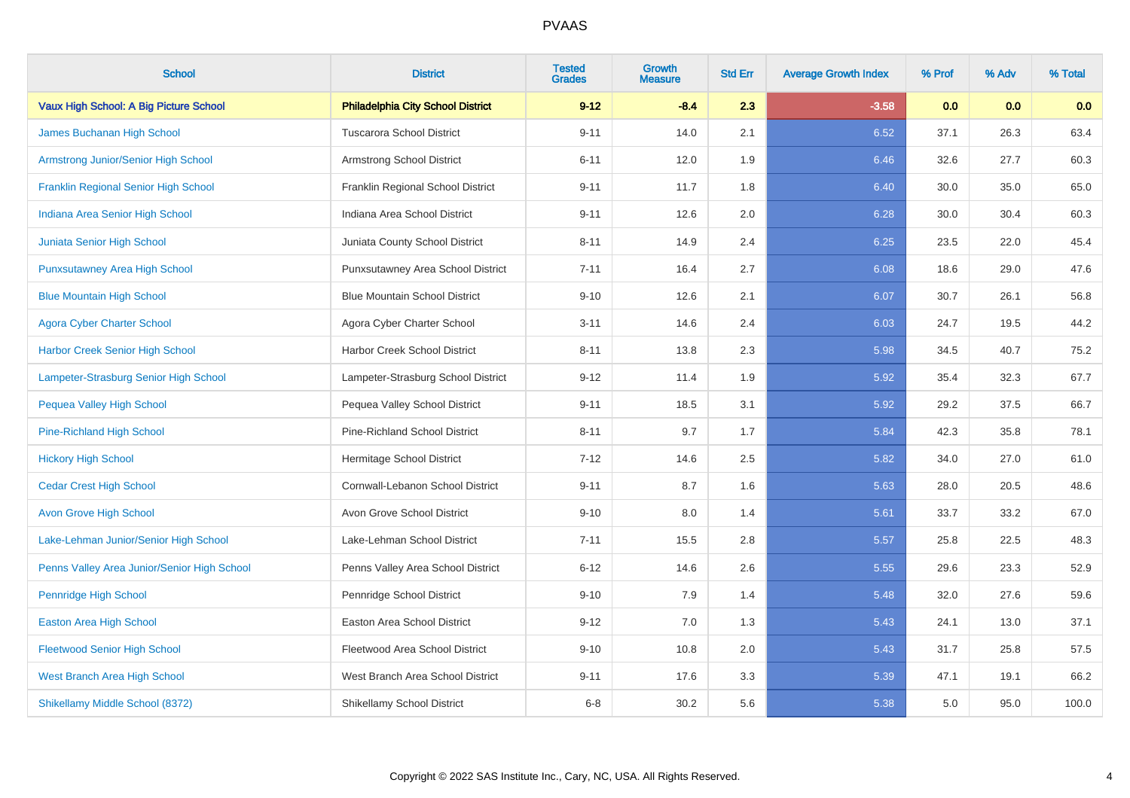| <b>School</b>                               | <b>District</b>                          | <b>Tested</b><br><b>Grades</b> | <b>Growth</b><br><b>Measure</b> | <b>Std Err</b> | <b>Average Growth Index</b> | % Prof | % Adv | % Total |
|---------------------------------------------|------------------------------------------|--------------------------------|---------------------------------|----------------|-----------------------------|--------|-------|---------|
| Vaux High School: A Big Picture School      | <b>Philadelphia City School District</b> | $9 - 12$                       | $-8.4$                          | 2.3            | $-3.58$                     | 0.0    | 0.0   | 0.0     |
| James Buchanan High School                  | <b>Tuscarora School District</b>         | $9 - 11$                       | 14.0                            | 2.1            | 6.52                        | 37.1   | 26.3  | 63.4    |
| Armstrong Junior/Senior High School         | Armstrong School District                | $6 - 11$                       | 12.0                            | 1.9            | 6.46                        | 32.6   | 27.7  | 60.3    |
| <b>Franklin Regional Senior High School</b> | Franklin Regional School District        | $9 - 11$                       | 11.7                            | 1.8            | 6.40                        | 30.0   | 35.0  | 65.0    |
| Indiana Area Senior High School             | Indiana Area School District             | $9 - 11$                       | 12.6                            | 2.0            | 6.28                        | 30.0   | 30.4  | 60.3    |
| Juniata Senior High School                  | Juniata County School District           | $8 - 11$                       | 14.9                            | 2.4            | 6.25                        | 23.5   | 22.0  | 45.4    |
| <b>Punxsutawney Area High School</b>        | Punxsutawney Area School District        | $7 - 11$                       | 16.4                            | 2.7            | 6.08                        | 18.6   | 29.0  | 47.6    |
| <b>Blue Mountain High School</b>            | <b>Blue Mountain School District</b>     | $9 - 10$                       | 12.6                            | 2.1            | 6.07                        | 30.7   | 26.1  | 56.8    |
| <b>Agora Cyber Charter School</b>           | Agora Cyber Charter School               | $3 - 11$                       | 14.6                            | 2.4            | 6.03                        | 24.7   | 19.5  | 44.2    |
| Harbor Creek Senior High School             | Harbor Creek School District             | $8 - 11$                       | 13.8                            | $2.3\,$        | 5.98                        | 34.5   | 40.7  | 75.2    |
| Lampeter-Strasburg Senior High School       | Lampeter-Strasburg School District       | $9 - 12$                       | 11.4                            | 1.9            | 5.92                        | 35.4   | 32.3  | 67.7    |
| Pequea Valley High School                   | Pequea Valley School District            | $9 - 11$                       | 18.5                            | 3.1            | 5.92                        | 29.2   | 37.5  | 66.7    |
| <b>Pine-Richland High School</b>            | <b>Pine-Richland School District</b>     | $8 - 11$                       | 9.7                             | 1.7            | 5.84                        | 42.3   | 35.8  | 78.1    |
| <b>Hickory High School</b>                  | Hermitage School District                | $7 - 12$                       | 14.6                            | 2.5            | 5.82                        | 34.0   | 27.0  | 61.0    |
| <b>Cedar Crest High School</b>              | Cornwall-Lebanon School District         | $9 - 11$                       | 8.7                             | 1.6            | 5.63                        | 28.0   | 20.5  | 48.6    |
| <b>Avon Grove High School</b>               | Avon Grove School District               | $9 - 10$                       | 8.0                             | 1.4            | 5.61                        | 33.7   | 33.2  | 67.0    |
| Lake-Lehman Junior/Senior High School       | Lake-Lehman School District              | $7 - 11$                       | 15.5                            | 2.8            | 5.57                        | 25.8   | 22.5  | 48.3    |
| Penns Valley Area Junior/Senior High School | Penns Valley Area School District        | $6 - 12$                       | 14.6                            | 2.6            | 5.55                        | 29.6   | 23.3  | 52.9    |
| <b>Pennridge High School</b>                | Pennridge School District                | $9 - 10$                       | 7.9                             | 1.4            | 5.48                        | 32.0   | 27.6  | 59.6    |
| Easton Area High School                     | Easton Area School District              | $9 - 12$                       | 7.0                             | 1.3            | 5.43                        | 24.1   | 13.0  | 37.1    |
| <b>Fleetwood Senior High School</b>         | Fleetwood Area School District           | $9 - 10$                       | 10.8                            | 2.0            | 5.43                        | 31.7   | 25.8  | 57.5    |
| <b>West Branch Area High School</b>         | West Branch Area School District         | $9 - 11$                       | 17.6                            | 3.3            | 5.39                        | 47.1   | 19.1  | 66.2    |
| Shikellamy Middle School (8372)             | Shikellamy School District               | $6 - 8$                        | 30.2                            | 5.6            | 5.38                        | 5.0    | 95.0  | 100.0   |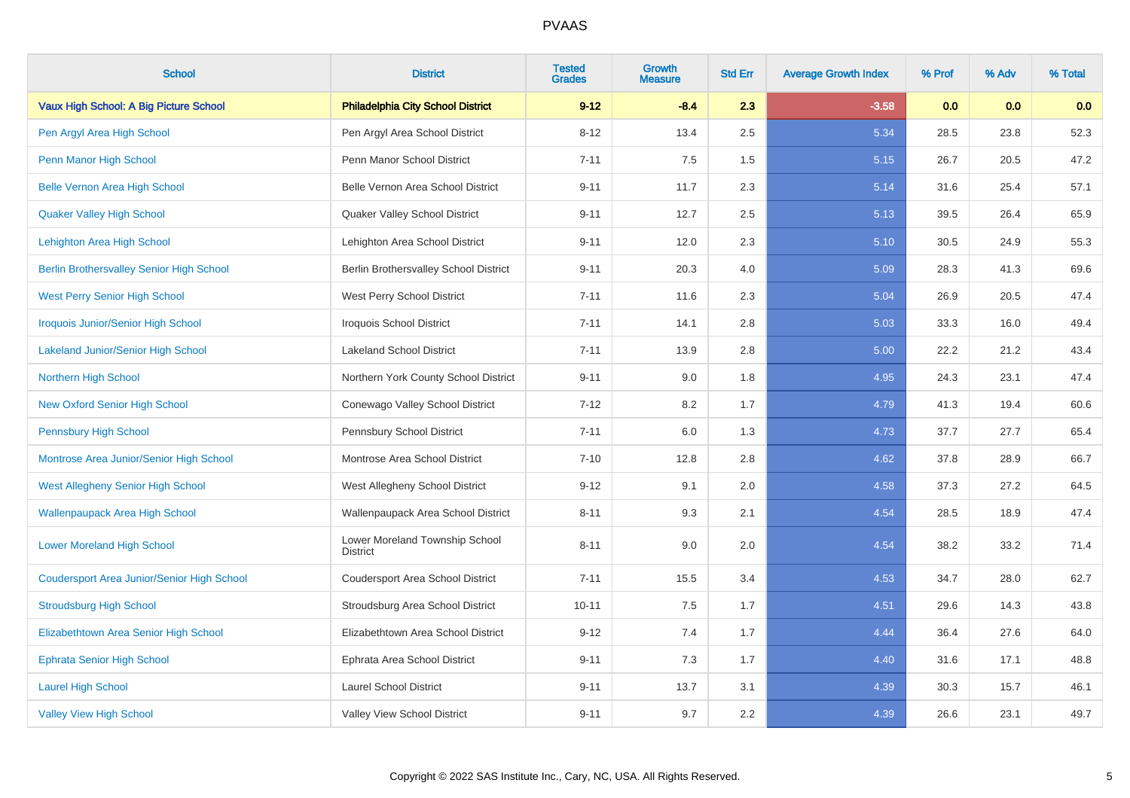| <b>School</b>                                     | <b>District</b>                                   | <b>Tested</b><br><b>Grades</b> | <b>Growth</b><br><b>Measure</b> | <b>Std Err</b> | <b>Average Growth Index</b> | % Prof | % Adv | % Total |
|---------------------------------------------------|---------------------------------------------------|--------------------------------|---------------------------------|----------------|-----------------------------|--------|-------|---------|
| Vaux High School: A Big Picture School            | <b>Philadelphia City School District</b>          | $9 - 12$                       | $-8.4$                          | 2.3            | $-3.58$                     | 0.0    | 0.0   | 0.0     |
| Pen Argyl Area High School                        | Pen Argyl Area School District                    | $8 - 12$                       | 13.4                            | 2.5            | 5.34                        | 28.5   | 23.8  | 52.3    |
| Penn Manor High School                            | Penn Manor School District                        | $7 - 11$                       | 7.5                             | 1.5            | 5.15                        | 26.7   | 20.5  | 47.2    |
| <b>Belle Vernon Area High School</b>              | Belle Vernon Area School District                 | $9 - 11$                       | 11.7                            | 2.3            | 5.14                        | 31.6   | 25.4  | 57.1    |
| <b>Quaker Valley High School</b>                  | Quaker Valley School District                     | $9 - 11$                       | 12.7                            | 2.5            | 5.13                        | 39.5   | 26.4  | 65.9    |
| Lehighton Area High School                        | Lehighton Area School District                    | $9 - 11$                       | 12.0                            | 2.3            | 5.10                        | 30.5   | 24.9  | 55.3    |
| <b>Berlin Brothersvalley Senior High School</b>   | Berlin Brothersvalley School District             | $9 - 11$                       | 20.3                            | 4.0            | 5.09                        | 28.3   | 41.3  | 69.6    |
| <b>West Perry Senior High School</b>              | West Perry School District                        | $7 - 11$                       | 11.6                            | 2.3            | 5.04                        | 26.9   | 20.5  | 47.4    |
| <b>Iroquois Junior/Senior High School</b>         | Iroquois School District                          | $7 - 11$                       | 14.1                            | 2.8            | 5.03                        | 33.3   | 16.0  | 49.4    |
| <b>Lakeland Junior/Senior High School</b>         | <b>Lakeland School District</b>                   | $7 - 11$                       | 13.9                            | 2.8            | 5.00                        | 22.2   | 21.2  | 43.4    |
| Northern High School                              | Northern York County School District              | $9 - 11$                       | 9.0                             | 1.8            | 4.95                        | 24.3   | 23.1  | 47.4    |
| <b>New Oxford Senior High School</b>              | Conewago Valley School District                   | $7 - 12$                       | 8.2                             | 1.7            | 4.79                        | 41.3   | 19.4  | 60.6    |
| <b>Pennsbury High School</b>                      | Pennsbury School District                         | $7 - 11$                       | 6.0                             | 1.3            | 4.73                        | 37.7   | 27.7  | 65.4    |
| Montrose Area Junior/Senior High School           | Montrose Area School District                     | $7 - 10$                       | 12.8                            | 2.8            | 4.62                        | 37.8   | 28.9  | 66.7    |
| West Allegheny Senior High School                 | West Allegheny School District                    | $9 - 12$                       | 9.1                             | 2.0            | 4.58                        | 37.3   | 27.2  | 64.5    |
| <b>Wallenpaupack Area High School</b>             | Wallenpaupack Area School District                | $8 - 11$                       | 9.3                             | 2.1            | 4.54                        | 28.5   | 18.9  | 47.4    |
| <b>Lower Moreland High School</b>                 | Lower Moreland Township School<br><b>District</b> | $8 - 11$                       | 9.0                             | 2.0            | 4.54                        | 38.2   | 33.2  | 71.4    |
| <b>Coudersport Area Junior/Senior High School</b> | Coudersport Area School District                  | $7 - 11$                       | 15.5                            | 3.4            | 4.53                        | 34.7   | 28.0  | 62.7    |
| <b>Stroudsburg High School</b>                    | Stroudsburg Area School District                  | $10 - 11$                      | 7.5                             | 1.7            | 4.51                        | 29.6   | 14.3  | 43.8    |
| Elizabethtown Area Senior High School             | Elizabethtown Area School District                | $9 - 12$                       | 7.4                             | 1.7            | 4.44                        | 36.4   | 27.6  | 64.0    |
| <b>Ephrata Senior High School</b>                 | Ephrata Area School District                      | $9 - 11$                       | 7.3                             | 1.7            | 4.40                        | 31.6   | 17.1  | 48.8    |
| <b>Laurel High School</b>                         | <b>Laurel School District</b>                     | $9 - 11$                       | 13.7                            | 3.1            | 4.39                        | 30.3   | 15.7  | 46.1    |
| <b>Valley View High School</b>                    | Valley View School District                       | $9 - 11$                       | 9.7                             | 2.2            | 4.39                        | 26.6   | 23.1  | 49.7    |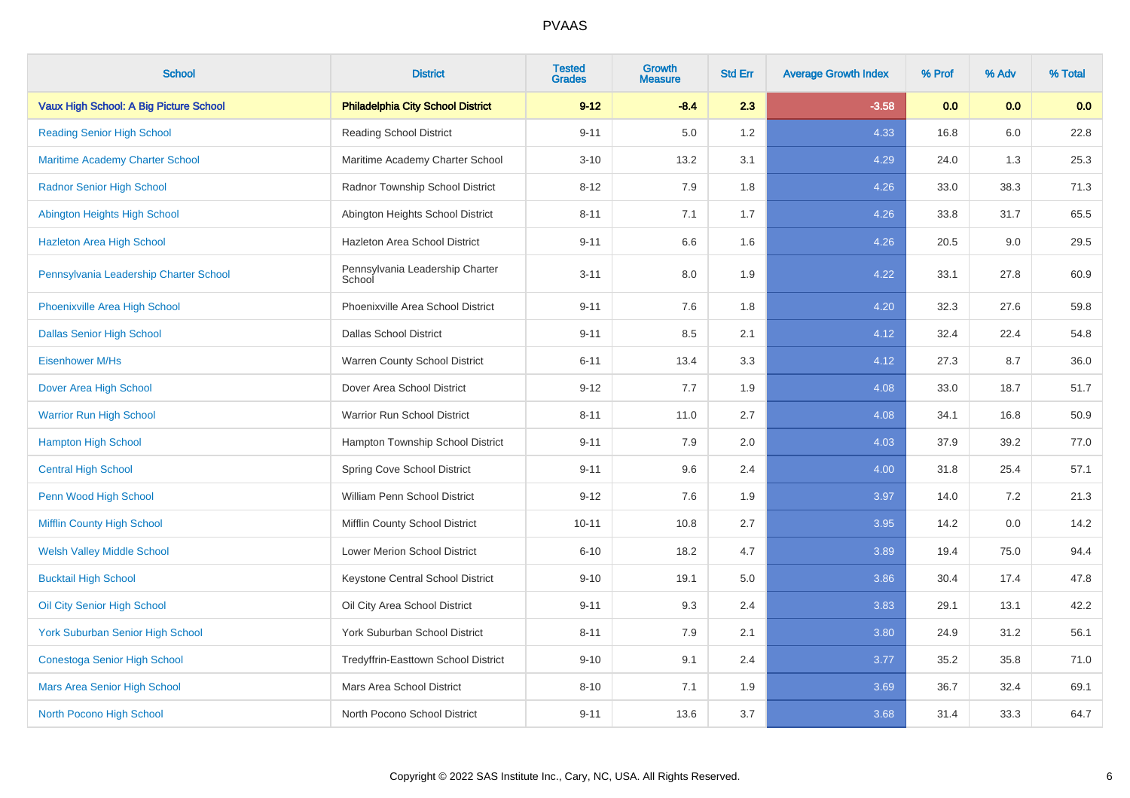| <b>School</b>                           | <b>District</b>                           | <b>Tested</b><br><b>Grades</b> | <b>Growth</b><br><b>Measure</b> | <b>Std Err</b> | <b>Average Growth Index</b> | % Prof | % Adv | % Total |
|-----------------------------------------|-------------------------------------------|--------------------------------|---------------------------------|----------------|-----------------------------|--------|-------|---------|
| Vaux High School: A Big Picture School  | <b>Philadelphia City School District</b>  | $9 - 12$                       | $-8.4$                          | 2.3            | $-3.58$                     | 0.0    | 0.0   | 0.0     |
| <b>Reading Senior High School</b>       | <b>Reading School District</b>            | $9 - 11$                       | 5.0                             | 1.2            | 4.33                        | 16.8   | 6.0   | 22.8    |
| <b>Maritime Academy Charter School</b>  | Maritime Academy Charter School           | $3 - 10$                       | 13.2                            | 3.1            | 4.29                        | 24.0   | 1.3   | 25.3    |
| <b>Radnor Senior High School</b>        | Radnor Township School District           | $8 - 12$                       | 7.9                             | 1.8            | 4.26                        | 33.0   | 38.3  | 71.3    |
| Abington Heights High School            | Abington Heights School District          | $8 - 11$                       | 7.1                             | 1.7            | 4.26                        | 33.8   | 31.7  | 65.5    |
| <b>Hazleton Area High School</b>        | Hazleton Area School District             | $9 - 11$                       | 6.6                             | 1.6            | 4.26                        | 20.5   | 9.0   | 29.5    |
| Pennsylvania Leadership Charter School  | Pennsylvania Leadership Charter<br>School | $3 - 11$                       | 8.0                             | 1.9            | 4.22                        | 33.1   | 27.8  | 60.9    |
| Phoenixville Area High School           | Phoenixville Area School District         | $9 - 11$                       | 7.6                             | 1.8            | 4.20                        | 32.3   | 27.6  | 59.8    |
| <b>Dallas Senior High School</b>        | <b>Dallas School District</b>             | $9 - 11$                       | 8.5                             | 2.1            | 4.12                        | 32.4   | 22.4  | 54.8    |
| <b>Eisenhower M/Hs</b>                  | Warren County School District             | $6 - 11$                       | 13.4                            | 3.3            | 4.12                        | 27.3   | 8.7   | 36.0    |
| Dover Area High School                  | Dover Area School District                | $9 - 12$                       | 7.7                             | 1.9            | 4.08                        | 33.0   | 18.7  | 51.7    |
| <b>Warrior Run High School</b>          | Warrior Run School District               | $8 - 11$                       | 11.0                            | 2.7            | 4.08                        | 34.1   | 16.8  | 50.9    |
| <b>Hampton High School</b>              | Hampton Township School District          | $9 - 11$                       | 7.9                             | 2.0            | 4.03                        | 37.9   | 39.2  | 77.0    |
| <b>Central High School</b>              | Spring Cove School District               | $9 - 11$                       | 9.6                             | 2.4            | 4.00                        | 31.8   | 25.4  | 57.1    |
| Penn Wood High School                   | William Penn School District              | $9 - 12$                       | 7.6                             | 1.9            | 3.97                        | 14.0   | 7.2   | 21.3    |
| <b>Mifflin County High School</b>       | Mifflin County School District            | $10 - 11$                      | 10.8                            | 2.7            | 3.95                        | 14.2   | 0.0   | 14.2    |
| <b>Welsh Valley Middle School</b>       | Lower Merion School District              | $6 - 10$                       | 18.2                            | 4.7            | 3.89                        | 19.4   | 75.0  | 94.4    |
| <b>Bucktail High School</b>             | Keystone Central School District          | $9 - 10$                       | 19.1                            | $5.0\,$        | 3.86                        | 30.4   | 17.4  | 47.8    |
| Oil City Senior High School             | Oil City Area School District             | $9 - 11$                       | 9.3                             | 2.4            | 3.83                        | 29.1   | 13.1  | 42.2    |
| <b>York Suburban Senior High School</b> | York Suburban School District             | $8 - 11$                       | 7.9                             | 2.1            | 3.80                        | 24.9   | 31.2  | 56.1    |
| <b>Conestoga Senior High School</b>     | Tredyffrin-Easttown School District       | $9 - 10$                       | 9.1                             | 2.4            | 3.77                        | 35.2   | 35.8  | 71.0    |
| Mars Area Senior High School            | Mars Area School District                 | $8 - 10$                       | 7.1                             | 1.9            | 3.69                        | 36.7   | 32.4  | 69.1    |
| North Pocono High School                | North Pocono School District              | $9 - 11$                       | 13.6                            | 3.7            | 3.68                        | 31.4   | 33.3  | 64.7    |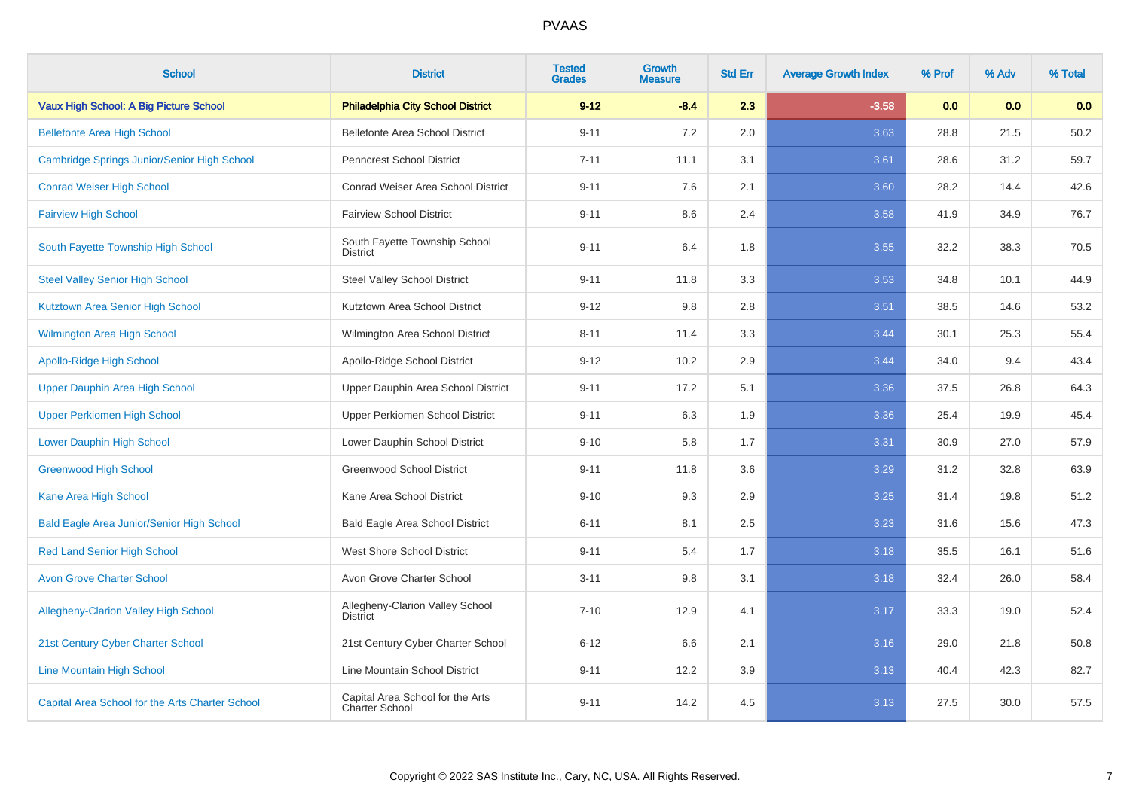| <b>School</b>                                    | <b>District</b>                                    | <b>Tested</b><br><b>Grades</b> | Growth<br><b>Measure</b> | <b>Std Err</b> | <b>Average Growth Index</b> | % Prof | % Adv | % Total |
|--------------------------------------------------|----------------------------------------------------|--------------------------------|--------------------------|----------------|-----------------------------|--------|-------|---------|
| Vaux High School: A Big Picture School           | <b>Philadelphia City School District</b>           | $9 - 12$                       | $-8.4$                   | 2.3            | $-3.58$                     | 0.0    | 0.0   | 0.0     |
| <b>Bellefonte Area High School</b>               | <b>Bellefonte Area School District</b>             | $9 - 11$                       | 7.2                      | 2.0            | 3.63                        | 28.8   | 21.5  | 50.2    |
| Cambridge Springs Junior/Senior High School      | <b>Penncrest School District</b>                   | $7 - 11$                       | 11.1                     | 3.1            | 3.61                        | 28.6   | 31.2  | 59.7    |
| <b>Conrad Weiser High School</b>                 | Conrad Weiser Area School District                 | $9 - 11$                       | 7.6                      | 2.1            | 3.60                        | 28.2   | 14.4  | 42.6    |
| <b>Fairview High School</b>                      | <b>Fairview School District</b>                    | $9 - 11$                       | 8.6                      | 2.4            | 3.58                        | 41.9   | 34.9  | 76.7    |
| South Fayette Township High School               | South Fayette Township School<br><b>District</b>   | $9 - 11$                       | 6.4                      | 1.8            | 3.55                        | 32.2   | 38.3  | 70.5    |
| <b>Steel Valley Senior High School</b>           | <b>Steel Valley School District</b>                | $9 - 11$                       | 11.8                     | 3.3            | 3.53                        | 34.8   | 10.1  | 44.9    |
| Kutztown Area Senior High School                 | Kutztown Area School District                      | $9 - 12$                       | 9.8                      | 2.8            | 3.51                        | 38.5   | 14.6  | 53.2    |
| <b>Wilmington Area High School</b>               | Wilmington Area School District                    | $8 - 11$                       | 11.4                     | 3.3            | 3.44                        | 30.1   | 25.3  | 55.4    |
| Apollo-Ridge High School                         | Apollo-Ridge School District                       | $9 - 12$                       | 10.2                     | 2.9            | 3.44                        | 34.0   | 9.4   | 43.4    |
| Upper Dauphin Area High School                   | Upper Dauphin Area School District                 | $9 - 11$                       | 17.2                     | 5.1            | 3.36                        | 37.5   | 26.8  | 64.3    |
| <b>Upper Perkiomen High School</b>               | Upper Perkiomen School District                    | $9 - 11$                       | 6.3                      | 1.9            | 3.36                        | 25.4   | 19.9  | 45.4    |
| <b>Lower Dauphin High School</b>                 | Lower Dauphin School District                      | $9 - 10$                       | 5.8                      | 1.7            | 3.31                        | 30.9   | 27.0  | 57.9    |
| <b>Greenwood High School</b>                     | Greenwood School District                          | $9 - 11$                       | 11.8                     | 3.6            | 3.29                        | 31.2   | 32.8  | 63.9    |
| Kane Area High School                            | Kane Area School District                          | $9 - 10$                       | 9.3                      | 2.9            | 3.25                        | 31.4   | 19.8  | 51.2    |
| <b>Bald Eagle Area Junior/Senior High School</b> | <b>Bald Eagle Area School District</b>             | $6 - 11$                       | 8.1                      | 2.5            | 3.23                        | 31.6   | 15.6  | 47.3    |
| <b>Red Land Senior High School</b>               | West Shore School District                         | $9 - 11$                       | 5.4                      | 1.7            | 3.18                        | 35.5   | 16.1  | 51.6    |
| <b>Avon Grove Charter School</b>                 | Avon Grove Charter School                          | $3 - 11$                       | 9.8                      | 3.1            | 3.18                        | 32.4   | 26.0  | 58.4    |
| <b>Allegheny-Clarion Valley High School</b>      | Allegheny-Clarion Valley School<br><b>District</b> | $7 - 10$                       | 12.9                     | 4.1            | 3.17                        | 33.3   | 19.0  | 52.4    |
| 21st Century Cyber Charter School                | 21st Century Cyber Charter School                  | $6 - 12$                       | 6.6                      | 2.1            | 3.16                        | 29.0   | 21.8  | 50.8    |
| <b>Line Mountain High School</b>                 | Line Mountain School District                      | $9 - 11$                       | 12.2                     | 3.9            | 3.13                        | 40.4   | 42.3  | 82.7    |
| Capital Area School for the Arts Charter School  | Capital Area School for the Arts<br>Charter School | $9 - 11$                       | 14.2                     | 4.5            | 3.13                        | 27.5   | 30.0  | 57.5    |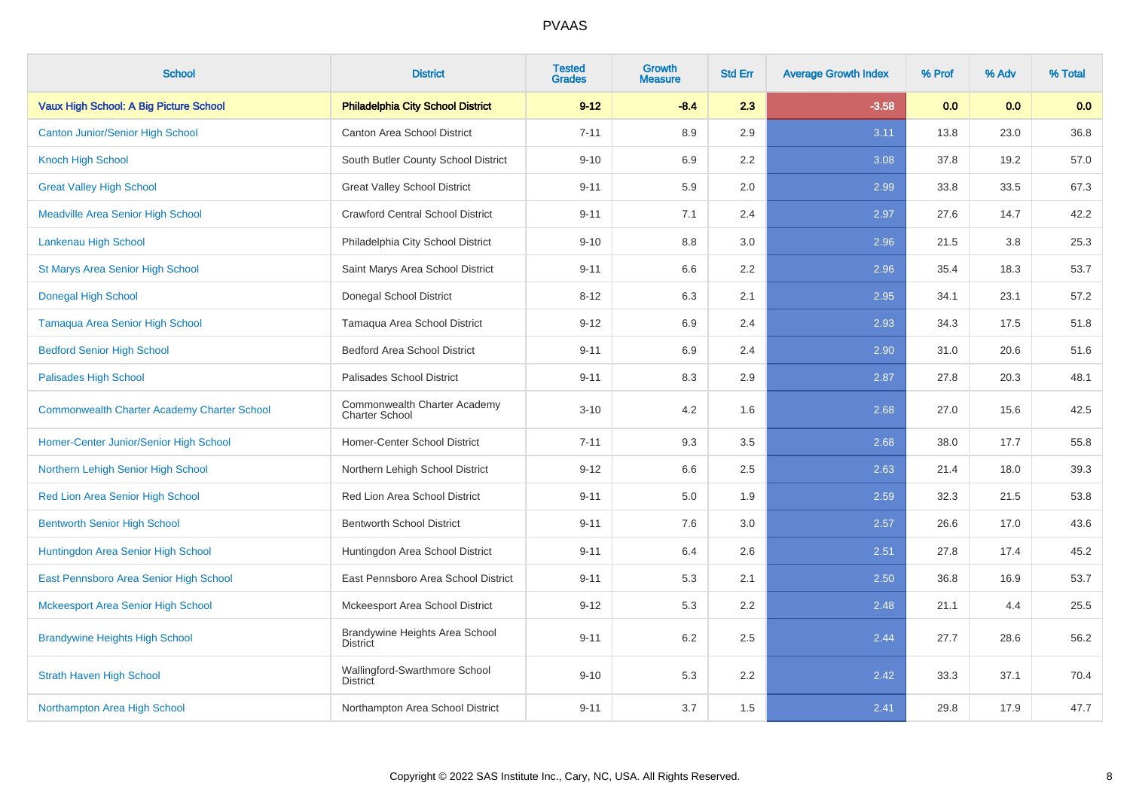| <b>School</b>                                      | <b>District</b>                                       | <b>Tested</b><br><b>Grades</b> | <b>Growth</b><br><b>Measure</b> | <b>Std Err</b> | <b>Average Growth Index</b> | % Prof | % Adv | % Total |
|----------------------------------------------------|-------------------------------------------------------|--------------------------------|---------------------------------|----------------|-----------------------------|--------|-------|---------|
| Vaux High School: A Big Picture School             | <b>Philadelphia City School District</b>              | $9 - 12$                       | $-8.4$                          | 2.3            | $-3.58$                     | 0.0    | 0.0   | 0.0     |
| <b>Canton Junior/Senior High School</b>            | Canton Area School District                           | $7 - 11$                       | 8.9                             | 2.9            | 3.11                        | 13.8   | 23.0  | 36.8    |
| <b>Knoch High School</b>                           | South Butler County School District                   | $9 - 10$                       | 6.9                             | 2.2            | 3.08                        | 37.8   | 19.2  | 57.0    |
| <b>Great Valley High School</b>                    | <b>Great Valley School District</b>                   | $9 - 11$                       | 5.9                             | 2.0            | 2.99                        | 33.8   | 33.5  | 67.3    |
| <b>Meadville Area Senior High School</b>           | <b>Crawford Central School District</b>               | $9 - 11$                       | 7.1                             | 2.4            | 2.97                        | 27.6   | 14.7  | 42.2    |
| Lankenau High School                               | Philadelphia City School District                     | $9 - 10$                       | 8.8                             | 3.0            | 2.96                        | 21.5   | 3.8   | 25.3    |
| <b>St Marys Area Senior High School</b>            | Saint Marys Area School District                      | $9 - 11$                       | 6.6                             | 2.2            | 2.96                        | 35.4   | 18.3  | 53.7    |
| <b>Donegal High School</b>                         | Donegal School District                               | $8 - 12$                       | 6.3                             | 2.1            | 2.95                        | 34.1   | 23.1  | 57.2    |
| Tamaqua Area Senior High School                    | Tamaqua Area School District                          | $9 - 12$                       | 6.9                             | 2.4            | 2.93                        | 34.3   | 17.5  | 51.8    |
| <b>Bedford Senior High School</b>                  | <b>Bedford Area School District</b>                   | $9 - 11$                       | 6.9                             | 2.4            | 2.90                        | 31.0   | 20.6  | 51.6    |
| <b>Palisades High School</b>                       | Palisades School District                             | $9 - 11$                       | 8.3                             | 2.9            | 2.87                        | 27.8   | 20.3  | 48.1    |
| <b>Commonwealth Charter Academy Charter School</b> | Commonwealth Charter Academy<br><b>Charter School</b> | $3 - 10$                       | 4.2                             | 1.6            | 2.68                        | 27.0   | 15.6  | 42.5    |
| Homer-Center Junior/Senior High School             | Homer-Center School District                          | $7 - 11$                       | 9.3                             | 3.5            | 2.68                        | 38.0   | 17.7  | 55.8    |
| Northern Lehigh Senior High School                 | Northern Lehigh School District                       | $9 - 12$                       | 6.6                             | 2.5            | 2.63                        | 21.4   | 18.0  | 39.3    |
| Red Lion Area Senior High School                   | Red Lion Area School District                         | $9 - 11$                       | 5.0                             | 1.9            | 2.59                        | 32.3   | 21.5  | 53.8    |
| <b>Bentworth Senior High School</b>                | <b>Bentworth School District</b>                      | $9 - 11$                       | 7.6                             | 3.0            | 2.57                        | 26.6   | 17.0  | 43.6    |
| Huntingdon Area Senior High School                 | Huntingdon Area School District                       | $9 - 11$                       | 6.4                             | 2.6            | 2.51                        | 27.8   | 17.4  | 45.2    |
| East Pennsboro Area Senior High School             | East Pennsboro Area School District                   | $9 - 11$                       | 5.3                             | 2.1            | 2.50                        | 36.8   | 16.9  | 53.7    |
| Mckeesport Area Senior High School                 | Mckeesport Area School District                       | $9 - 12$                       | 5.3                             | 2.2            | 2.48                        | 21.1   | 4.4   | 25.5    |
| <b>Brandywine Heights High School</b>              | Brandywine Heights Area School<br><b>District</b>     | $9 - 11$                       | 6.2                             | 2.5            | 2.44                        | 27.7   | 28.6  | 56.2    |
| <b>Strath Haven High School</b>                    | Wallingford-Swarthmore School<br><b>District</b>      | $9 - 10$                       | 5.3                             | 2.2            | 2.42                        | 33.3   | 37.1  | 70.4    |
| Northampton Area High School                       | Northampton Area School District                      | $9 - 11$                       | 3.7                             | 1.5            | 2.41                        | 29.8   | 17.9  | 47.7    |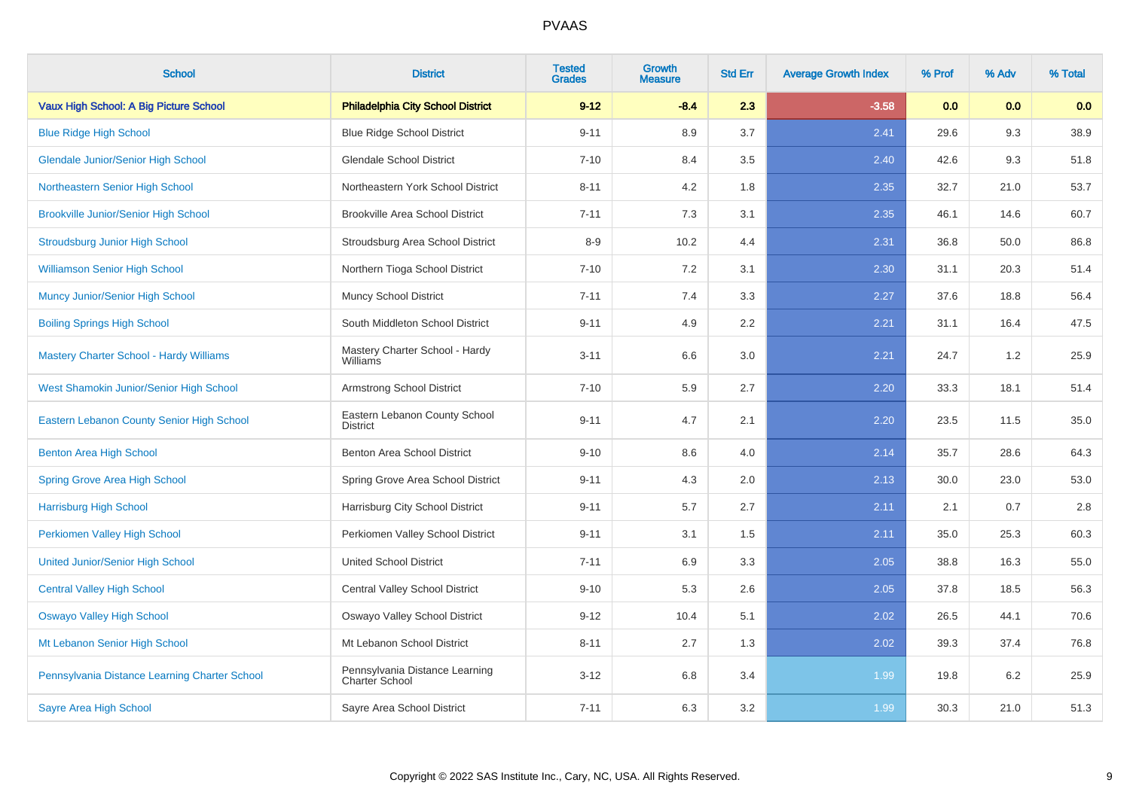| <b>School</b>                                  | <b>District</b>                                  | <b>Tested</b><br><b>Grades</b> | Growth<br>Measure | <b>Std Err</b> | <b>Average Growth Index</b> | % Prof | % Adv | % Total |
|------------------------------------------------|--------------------------------------------------|--------------------------------|-------------------|----------------|-----------------------------|--------|-------|---------|
| Vaux High School: A Big Picture School         | <b>Philadelphia City School District</b>         | $9 - 12$                       | $-8.4$            | 2.3            | $-3.58$                     | 0.0    | 0.0   | 0.0     |
| <b>Blue Ridge High School</b>                  | <b>Blue Ridge School District</b>                | $9 - 11$                       | 8.9               | 3.7            | 2.41                        | 29.6   | 9.3   | 38.9    |
| <b>Glendale Junior/Senior High School</b>      | <b>Glendale School District</b>                  | $7 - 10$                       | 8.4               | 3.5            | 2.40                        | 42.6   | 9.3   | 51.8    |
| Northeastern Senior High School                | Northeastern York School District                | $8 - 11$                       | 4.2               | 1.8            | 2.35                        | 32.7   | 21.0  | 53.7    |
| <b>Brookville Junior/Senior High School</b>    | <b>Brookville Area School District</b>           | $7 - 11$                       | 7.3               | 3.1            | 2.35                        | 46.1   | 14.6  | 60.7    |
| <b>Stroudsburg Junior High School</b>          | Stroudsburg Area School District                 | $8 - 9$                        | 10.2              | 4.4            | 2.31                        | 36.8   | 50.0  | 86.8    |
| <b>Williamson Senior High School</b>           | Northern Tioga School District                   | $7 - 10$                       | 7.2               | 3.1            | 2.30                        | 31.1   | 20.3  | 51.4    |
| <b>Muncy Junior/Senior High School</b>         | Muncy School District                            | $7 - 11$                       | 7.4               | 3.3            | 2.27                        | 37.6   | 18.8  | 56.4    |
| <b>Boiling Springs High School</b>             | South Middleton School District                  | $9 - 11$                       | 4.9               | 2.2            | 2.21                        | 31.1   | 16.4  | 47.5    |
| <b>Mastery Charter School - Hardy Williams</b> | Mastery Charter School - Hardy<br>Williams       | $3 - 11$                       | 6.6               | 3.0            | 2.21                        | 24.7   | 1.2   | 25.9    |
| West Shamokin Junior/Senior High School        | Armstrong School District                        | $7 - 10$                       | 5.9               | 2.7            | 2.20                        | 33.3   | 18.1  | 51.4    |
| Eastern Lebanon County Senior High School      | Eastern Lebanon County School<br><b>District</b> | $9 - 11$                       | 4.7               | 2.1            | 2.20                        | 23.5   | 11.5  | 35.0    |
| Benton Area High School                        | Benton Area School District                      | $9 - 10$                       | 8.6               | 4.0            | 2.14                        | 35.7   | 28.6  | 64.3    |
| <b>Spring Grove Area High School</b>           | Spring Grove Area School District                | $9 - 11$                       | 4.3               | 2.0            | 2.13                        | 30.0   | 23.0  | 53.0    |
| <b>Harrisburg High School</b>                  | Harrisburg City School District                  | $9 - 11$                       | 5.7               | 2.7            | 2.11                        | 2.1    | 0.7   | 2.8     |
| Perkiomen Valley High School                   | Perkiomen Valley School District                 | $9 - 11$                       | 3.1               | 1.5            | 2.11                        | 35.0   | 25.3  | 60.3    |
| <b>United Junior/Senior High School</b>        | <b>United School District</b>                    | $7 - 11$                       | 6.9               | 3.3            | 2.05                        | 38.8   | 16.3  | 55.0    |
| <b>Central Valley High School</b>              | <b>Central Valley School District</b>            | $9 - 10$                       | 5.3               | 2.6            | 2.05                        | 37.8   | 18.5  | 56.3    |
| <b>Oswayo Valley High School</b>               | Oswayo Valley School District                    | $9 - 12$                       | 10.4              | 5.1            | 2.02                        | 26.5   | 44.1  | 70.6    |
| Mt Lebanon Senior High School                  | Mt Lebanon School District                       | $8 - 11$                       | 2.7               | 1.3            | 2.02                        | 39.3   | 37.4  | 76.8    |
| Pennsylvania Distance Learning Charter School  | Pennsylvania Distance Learning<br>Charter School | $3 - 12$                       | 6.8               | 3.4            | 1.99                        | 19.8   | 6.2   | 25.9    |
| <b>Sayre Area High School</b>                  | Sayre Area School District                       | $7 - 11$                       | 6.3               | 3.2            | 1.99                        | 30.3   | 21.0  | 51.3    |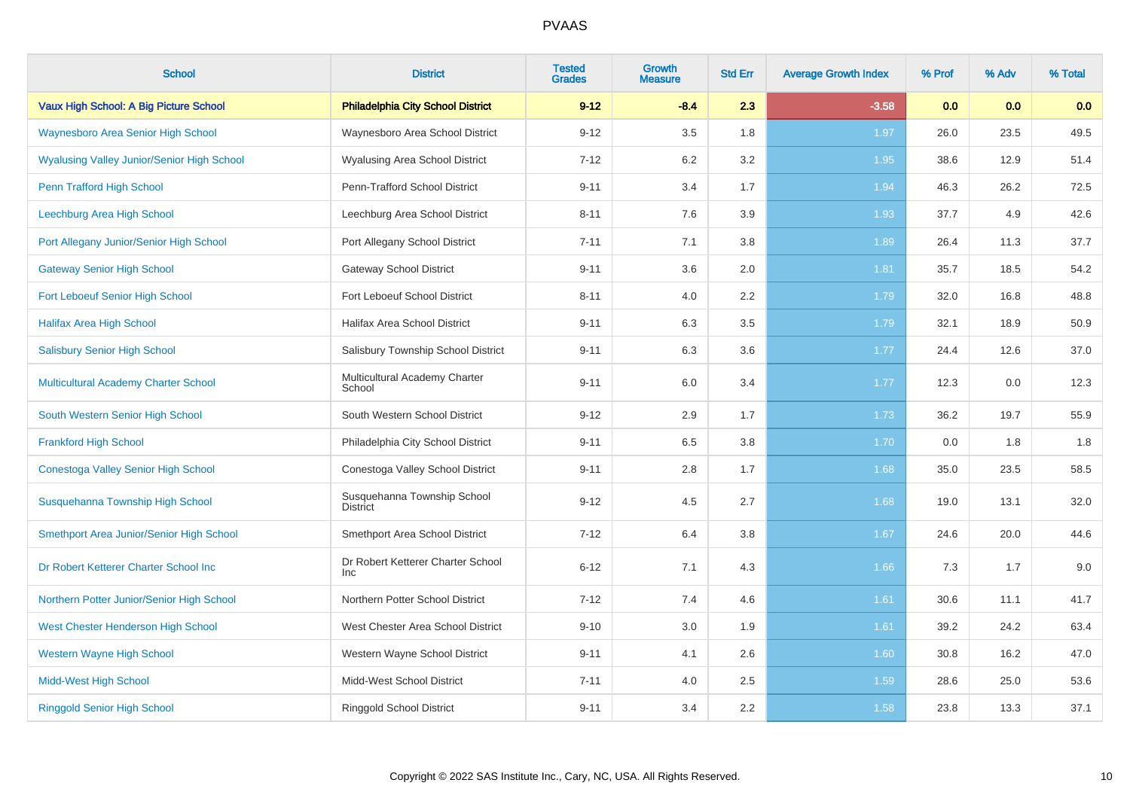| <b>School</b>                                     | <b>District</b>                                 | <b>Tested</b><br><b>Grades</b> | <b>Growth</b><br><b>Measure</b> | <b>Std Err</b> | <b>Average Growth Index</b> | % Prof | % Adv | % Total |
|---------------------------------------------------|-------------------------------------------------|--------------------------------|---------------------------------|----------------|-----------------------------|--------|-------|---------|
| Vaux High School: A Big Picture School            | <b>Philadelphia City School District</b>        | $9 - 12$                       | $-8.4$                          | 2.3            | $-3.58$                     | 0.0    | 0.0   | 0.0     |
| <b>Waynesboro Area Senior High School</b>         | Waynesboro Area School District                 | $9 - 12$                       | 3.5                             | 1.8            | 1.97                        | 26.0   | 23.5  | 49.5    |
| <b>Wyalusing Valley Junior/Senior High School</b> | <b>Wyalusing Area School District</b>           | $7 - 12$                       | 6.2                             | 3.2            | 1.95                        | 38.6   | 12.9  | 51.4    |
| Penn Trafford High School                         | Penn-Trafford School District                   | $9 - 11$                       | 3.4                             | 1.7            | 1.94                        | 46.3   | 26.2  | 72.5    |
| Leechburg Area High School                        | Leechburg Area School District                  | $8 - 11$                       | 7.6                             | 3.9            | 1.93                        | 37.7   | 4.9   | 42.6    |
| Port Allegany Junior/Senior High School           | Port Allegany School District                   | $7 - 11$                       | 7.1                             | 3.8            | 1.89                        | 26.4   | 11.3  | 37.7    |
| <b>Gateway Senior High School</b>                 | <b>Gateway School District</b>                  | $9 - 11$                       | 3.6                             | 2.0            | 1.81                        | 35.7   | 18.5  | 54.2    |
| Fort Leboeuf Senior High School                   | Fort Leboeuf School District                    | $8 - 11$                       | 4.0                             | 2.2            | 1.79                        | 32.0   | 16.8  | 48.8    |
| <b>Halifax Area High School</b>                   | Halifax Area School District                    | $9 - 11$                       | 6.3                             | 3.5            | 1.79                        | 32.1   | 18.9  | 50.9    |
| <b>Salisbury Senior High School</b>               | Salisbury Township School District              | $9 - 11$                       | 6.3                             | 3.6            | 1.77                        | 24.4   | 12.6  | 37.0    |
| Multicultural Academy Charter School              | Multicultural Academy Charter<br>School         | $9 - 11$                       | 6.0                             | 3.4            | 1.77                        | 12.3   | 0.0   | 12.3    |
| South Western Senior High School                  | South Western School District                   | $9 - 12$                       | 2.9                             | 1.7            | 1.73                        | 36.2   | 19.7  | 55.9    |
| <b>Frankford High School</b>                      | Philadelphia City School District               | $9 - 11$                       | 6.5                             | 3.8            | 1.70                        | 0.0    | 1.8   | 1.8     |
| Conestoga Valley Senior High School               | Conestoga Valley School District                | $9 - 11$                       | 2.8                             | 1.7            | 1.68                        | 35.0   | 23.5  | 58.5    |
| Susquehanna Township High School                  | Susquehanna Township School<br><b>District</b>  | $9 - 12$                       | 4.5                             | 2.7            | 1.68                        | 19.0   | 13.1  | 32.0    |
| Smethport Area Junior/Senior High School          | Smethport Area School District                  | $7 - 12$                       | 6.4                             | 3.8            | 1.67                        | 24.6   | 20.0  | 44.6    |
| Dr Robert Ketterer Charter School Inc             | Dr Robert Ketterer Charter School<br><b>Inc</b> | $6 - 12$                       | 7.1                             | 4.3            | 1.66                        | 7.3    | 1.7   | 9.0     |
| Northern Potter Junior/Senior High School         | Northern Potter School District                 | $7 - 12$                       | 7.4                             | 4.6            | 1.61                        | 30.6   | 11.1  | 41.7    |
| West Chester Henderson High School                | West Chester Area School District               | $9 - 10$                       | 3.0                             | 1.9            | 1.61                        | 39.2   | 24.2  | 63.4    |
| <b>Western Wayne High School</b>                  | Western Wayne School District                   | $9 - 11$                       | 4.1                             | 2.6            | 1.60                        | 30.8   | 16.2  | 47.0    |
| <b>Midd-West High School</b>                      | Midd-West School District                       | $7 - 11$                       | 4.0                             | 2.5            | 1.59                        | 28.6   | 25.0  | 53.6    |
| <b>Ringgold Senior High School</b>                | <b>Ringgold School District</b>                 | $9 - 11$                       | 3.4                             | 2.2            | 1.58                        | 23.8   | 13.3  | 37.1    |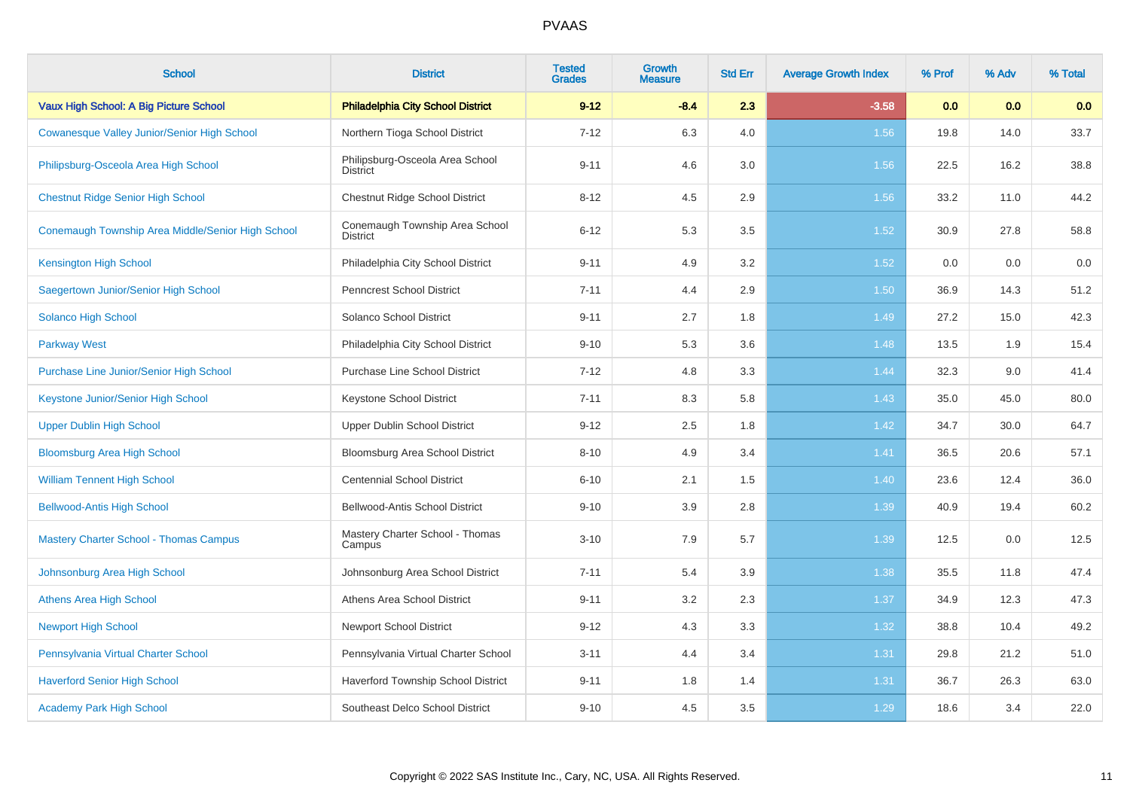| <b>School</b>                                      | <b>District</b>                                    | <b>Tested</b><br><b>Grades</b> | Growth<br>Measure | <b>Std Err</b> | <b>Average Growth Index</b> | % Prof | % Adv | % Total |
|----------------------------------------------------|----------------------------------------------------|--------------------------------|-------------------|----------------|-----------------------------|--------|-------|---------|
| Vaux High School: A Big Picture School             | <b>Philadelphia City School District</b>           | $9 - 12$                       | $-8.4$            | 2.3            | $-3.58$                     | 0.0    | 0.0   | 0.0     |
| <b>Cowanesque Valley Junior/Senior High School</b> | Northern Tioga School District                     | $7 - 12$                       | 6.3               | 4.0            | 1.56                        | 19.8   | 14.0  | 33.7    |
| Philipsburg-Osceola Area High School               | Philipsburg-Osceola Area School<br><b>District</b> | $9 - 11$                       | 4.6               | 3.0            | 1.56                        | 22.5   | 16.2  | 38.8    |
| <b>Chestnut Ridge Senior High School</b>           | Chestnut Ridge School District                     | $8 - 12$                       | 4.5               | 2.9            | 1.56                        | 33.2   | 11.0  | 44.2    |
| Conemaugh Township Area Middle/Senior High School  | Conemaugh Township Area School<br><b>District</b>  | $6 - 12$                       | 5.3               | 3.5            | 1.52                        | 30.9   | 27.8  | 58.8    |
| <b>Kensington High School</b>                      | Philadelphia City School District                  | $9 - 11$                       | 4.9               | 3.2            | 1.52                        | 0.0    | 0.0   | 0.0     |
| Saegertown Junior/Senior High School               | <b>Penncrest School District</b>                   | $7 - 11$                       | 4.4               | 2.9            | 1.50                        | 36.9   | 14.3  | 51.2    |
| Solanco High School                                | Solanco School District                            | $9 - 11$                       | 2.7               | 1.8            | 1.49                        | 27.2   | 15.0  | 42.3    |
| <b>Parkway West</b>                                | Philadelphia City School District                  | $9 - 10$                       | 5.3               | 3.6            | 1.48                        | 13.5   | 1.9   | 15.4    |
| Purchase Line Junior/Senior High School            | <b>Purchase Line School District</b>               | $7 - 12$                       | 4.8               | 3.3            | 1.44                        | 32.3   | 9.0   | 41.4    |
| Keystone Junior/Senior High School                 | Keystone School District                           | $7 - 11$                       | 8.3               | 5.8            | 1.43                        | 35.0   | 45.0  | 80.0    |
| <b>Upper Dublin High School</b>                    | Upper Dublin School District                       | $9 - 12$                       | 2.5               | 1.8            | 1.42                        | 34.7   | 30.0  | 64.7    |
| <b>Bloomsburg Area High School</b>                 | Bloomsburg Area School District                    | $8 - 10$                       | 4.9               | 3.4            | 1.41                        | 36.5   | 20.6  | 57.1    |
| <b>William Tennent High School</b>                 | <b>Centennial School District</b>                  | $6 - 10$                       | 2.1               | 1.5            | 1.40                        | 23.6   | 12.4  | 36.0    |
| <b>Bellwood-Antis High School</b>                  | Bellwood-Antis School District                     | $9 - 10$                       | 3.9               | 2.8            | 1.39                        | 40.9   | 19.4  | 60.2    |
| <b>Mastery Charter School - Thomas Campus</b>      | Mastery Charter School - Thomas<br>Campus          | $3 - 10$                       | 7.9               | 5.7            | 1.39                        | 12.5   | 0.0   | 12.5    |
| Johnsonburg Area High School                       | Johnsonburg Area School District                   | $7 - 11$                       | 5.4               | 3.9            | 1.38                        | 35.5   | 11.8  | 47.4    |
| <b>Athens Area High School</b>                     | Athens Area School District                        | $9 - 11$                       | 3.2               | 2.3            | 1.37                        | 34.9   | 12.3  | 47.3    |
| <b>Newport High School</b>                         | <b>Newport School District</b>                     | $9 - 12$                       | 4.3               | 3.3            | 1.32                        | 38.8   | 10.4  | 49.2    |
| Pennsylvania Virtual Charter School                | Pennsylvania Virtual Charter School                | $3 - 11$                       | 4.4               | 3.4            | 1.31                        | 29.8   | 21.2  | 51.0    |
| <b>Haverford Senior High School</b>                | Haverford Township School District                 | $9 - 11$                       | 1.8               | 1.4            | 1.31                        | 36.7   | 26.3  | 63.0    |
| <b>Academy Park High School</b>                    | Southeast Delco School District                    | $9 - 10$                       | 4.5               | 3.5            | 1.29                        | 18.6   | 3.4   | 22.0    |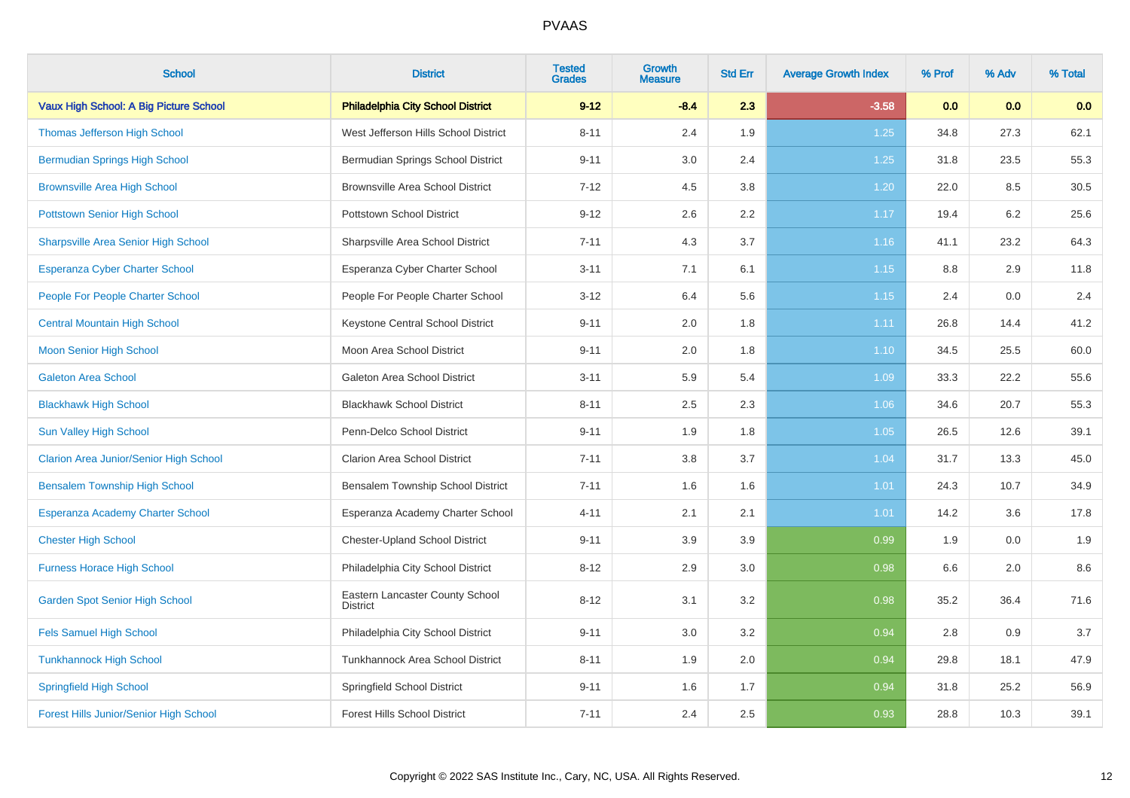| <b>School</b>                                 | <b>District</b>                             | <b>Tested</b><br><b>Grades</b> | <b>Growth</b><br><b>Measure</b> | <b>Std Err</b> | <b>Average Growth Index</b> | % Prof | % Adv | % Total |
|-----------------------------------------------|---------------------------------------------|--------------------------------|---------------------------------|----------------|-----------------------------|--------|-------|---------|
| Vaux High School: A Big Picture School        | <b>Philadelphia City School District</b>    | $9 - 12$                       | $-8.4$                          | 2.3            | $-3.58$                     | 0.0    | 0.0   | 0.0     |
| <b>Thomas Jefferson High School</b>           | West Jefferson Hills School District        | $8 - 11$                       | 2.4                             | 1.9            | 1.25                        | 34.8   | 27.3  | 62.1    |
| <b>Bermudian Springs High School</b>          | Bermudian Springs School District           | $9 - 11$                       | 3.0                             | 2.4            | 1.25                        | 31.8   | 23.5  | 55.3    |
| <b>Brownsville Area High School</b>           | <b>Brownsville Area School District</b>     | $7 - 12$                       | 4.5                             | 3.8            | 1.20                        | 22.0   | 8.5   | 30.5    |
| <b>Pottstown Senior High School</b>           | Pottstown School District                   | $9 - 12$                       | 2.6                             | 2.2            | 1.17                        | 19.4   | 6.2   | 25.6    |
| <b>Sharpsville Area Senior High School</b>    | Sharpsville Area School District            | $7 - 11$                       | 4.3                             | 3.7            | 1.16                        | 41.1   | 23.2  | 64.3    |
| Esperanza Cyber Charter School                | Esperanza Cyber Charter School              | $3 - 11$                       | 7.1                             | 6.1            | 1.15                        | 8.8    | 2.9   | 11.8    |
| <b>People For People Charter School</b>       | People For People Charter School            | $3 - 12$                       | 6.4                             | 5.6            | 1.15                        | 2.4    | 0.0   | 2.4     |
| <b>Central Mountain High School</b>           | Keystone Central School District            | $9 - 11$                       | 2.0                             | 1.8            | 1.11                        | 26.8   | 14.4  | 41.2    |
| <b>Moon Senior High School</b>                | Moon Area School District                   | $9 - 11$                       | 2.0                             | 1.8            | 1.10                        | 34.5   | 25.5  | 60.0    |
| <b>Galeton Area School</b>                    | Galeton Area School District                | $3 - 11$                       | 5.9                             | 5.4            | 1.09                        | 33.3   | 22.2  | 55.6    |
| <b>Blackhawk High School</b>                  | <b>Blackhawk School District</b>            | $8 - 11$                       | 2.5                             | 2.3            | 1.06                        | 34.6   | 20.7  | 55.3    |
| <b>Sun Valley High School</b>                 | Penn-Delco School District                  | $9 - 11$                       | 1.9                             | 1.8            | 1.05                        | 26.5   | 12.6  | 39.1    |
| <b>Clarion Area Junior/Senior High School</b> | <b>Clarion Area School District</b>         | $7 - 11$                       | 3.8                             | 3.7            | 1.04                        | 31.7   | 13.3  | 45.0    |
| <b>Bensalem Township High School</b>          | Bensalem Township School District           | $7 - 11$                       | 1.6                             | 1.6            | 1.01                        | 24.3   | 10.7  | 34.9    |
| <b>Esperanza Academy Charter School</b>       | Esperanza Academy Charter School            | $4 - 11$                       | 2.1                             | 2.1            | 1.01                        | 14.2   | 3.6   | 17.8    |
| <b>Chester High School</b>                    | Chester-Upland School District              | $9 - 11$                       | 3.9                             | 3.9            | 0.99                        | 1.9    | 0.0   | 1.9     |
| <b>Furness Horace High School</b>             | Philadelphia City School District           | $8 - 12$                       | 2.9                             | 3.0            | 0.98                        | 6.6    | 2.0   | 8.6     |
| <b>Garden Spot Senior High School</b>         | Eastern Lancaster County School<br>District | $8 - 12$                       | 3.1                             | 3.2            | 0.98                        | 35.2   | 36.4  | 71.6    |
| <b>Fels Samuel High School</b>                | Philadelphia City School District           | $9 - 11$                       | 3.0                             | 3.2            | 0.94                        | 2.8    | 0.9   | 3.7     |
| <b>Tunkhannock High School</b>                | Tunkhannock Area School District            | $8 - 11$                       | 1.9                             | 2.0            | 0.94                        | 29.8   | 18.1  | 47.9    |
| <b>Springfield High School</b>                | Springfield School District                 | $9 - 11$                       | 1.6                             | 1.7            | 0.94                        | 31.8   | 25.2  | 56.9    |
| Forest Hills Junior/Senior High School        | <b>Forest Hills School District</b>         | $7 - 11$                       | 2.4                             | 2.5            | 0.93                        | 28.8   | 10.3  | 39.1    |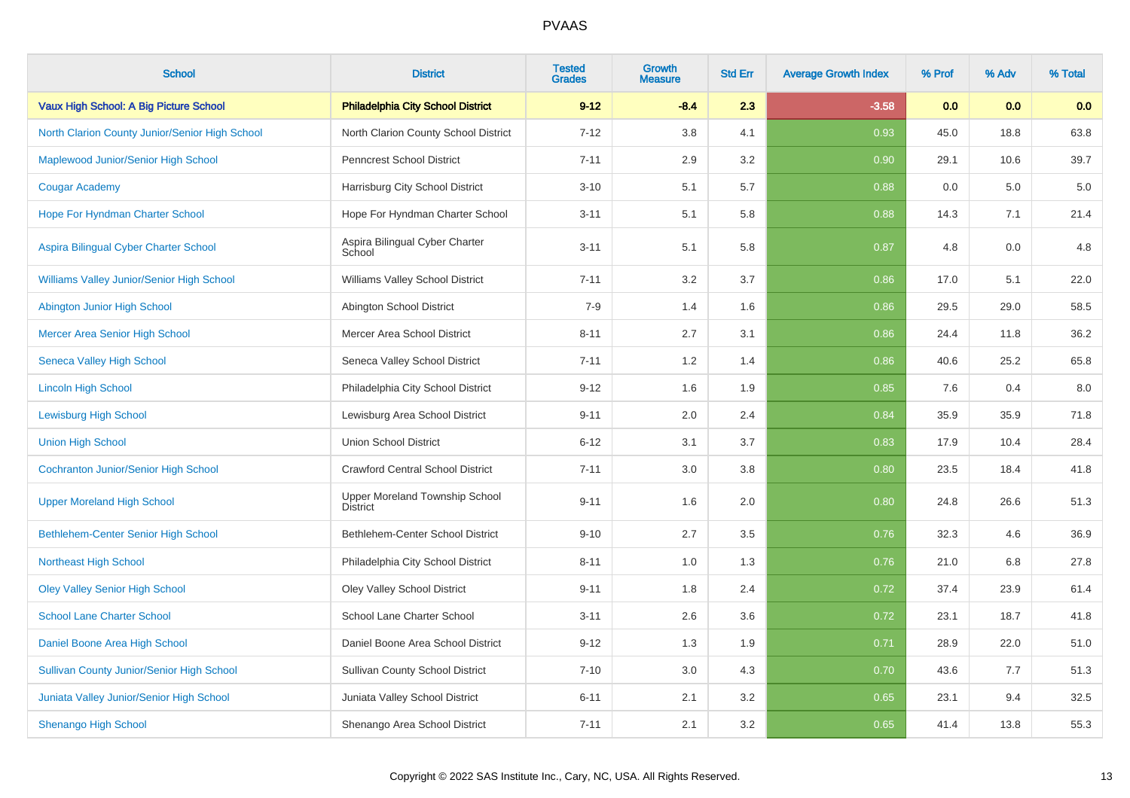| <b>School</b>                                    | <b>District</b>                                   | <b>Tested</b><br><b>Grades</b> | Growth<br><b>Measure</b> | <b>Std Err</b> | <b>Average Growth Index</b> | % Prof | % Adv | % Total |
|--------------------------------------------------|---------------------------------------------------|--------------------------------|--------------------------|----------------|-----------------------------|--------|-------|---------|
| Vaux High School: A Big Picture School           | <b>Philadelphia City School District</b>          | $9 - 12$                       | $-8.4$                   | 2.3            | $-3.58$                     | 0.0    | 0.0   | 0.0     |
| North Clarion County Junior/Senior High School   | North Clarion County School District              | $7 - 12$                       | 3.8                      | 4.1            | 0.93                        | 45.0   | 18.8  | 63.8    |
| Maplewood Junior/Senior High School              | <b>Penncrest School District</b>                  | $7 - 11$                       | 2.9                      | 3.2            | 0.90                        | 29.1   | 10.6  | 39.7    |
| <b>Cougar Academy</b>                            | Harrisburg City School District                   | $3 - 10$                       | 5.1                      | 5.7            | 0.88                        | 0.0    | 5.0   | 5.0     |
| Hope For Hyndman Charter School                  | Hope For Hyndman Charter School                   | $3 - 11$                       | 5.1                      | 5.8            | 0.88                        | 14.3   | 7.1   | 21.4    |
| Aspira Bilingual Cyber Charter School            | Aspira Bilingual Cyber Charter<br>School          | $3 - 11$                       | 5.1                      | 5.8            | 0.87                        | 4.8    | 0.0   | 4.8     |
| Williams Valley Junior/Senior High School        | <b>Williams Valley School District</b>            | $7 - 11$                       | 3.2                      | 3.7            | 0.86                        | 17.0   | 5.1   | 22.0    |
| Abington Junior High School                      | Abington School District                          | $7 - 9$                        | 1.4                      | 1.6            | 0.86                        | 29.5   | 29.0  | 58.5    |
| Mercer Area Senior High School                   | Mercer Area School District                       | $8 - 11$                       | 2.7                      | 3.1            | 0.86                        | 24.4   | 11.8  | 36.2    |
| <b>Seneca Valley High School</b>                 | Seneca Valley School District                     | $7 - 11$                       | 1.2                      | 1.4            | 0.86                        | 40.6   | 25.2  | 65.8    |
| <b>Lincoln High School</b>                       | Philadelphia City School District                 | $9 - 12$                       | 1.6                      | 1.9            | 0.85                        | 7.6    | 0.4   | 8.0     |
| <b>Lewisburg High School</b>                     | Lewisburg Area School District                    | $9 - 11$                       | 2.0                      | 2.4            | 0.84                        | 35.9   | 35.9  | 71.8    |
| <b>Union High School</b>                         | <b>Union School District</b>                      | $6 - 12$                       | 3.1                      | 3.7            | 0.83                        | 17.9   | 10.4  | 28.4    |
| <b>Cochranton Junior/Senior High School</b>      | <b>Crawford Central School District</b>           | $7 - 11$                       | 3.0                      | 3.8            | 0.80                        | 23.5   | 18.4  | 41.8    |
| <b>Upper Moreland High School</b>                | Upper Moreland Township School<br><b>District</b> | $9 - 11$                       | 1.6                      | 2.0            | 0.80                        | 24.8   | 26.6  | 51.3    |
| Bethlehem-Center Senior High School              | Bethlehem-Center School District                  | $9 - 10$                       | 2.7                      | 3.5            | 0.76                        | 32.3   | 4.6   | 36.9    |
| <b>Northeast High School</b>                     | Philadelphia City School District                 | $8 - 11$                       | 1.0                      | 1.3            | 0.76                        | 21.0   | 6.8   | 27.8    |
| <b>Oley Valley Senior High School</b>            | Oley Valley School District                       | $9 - 11$                       | 1.8                      | 2.4            | 0.72                        | 37.4   | 23.9  | 61.4    |
| <b>School Lane Charter School</b>                | School Lane Charter School                        | $3 - 11$                       | 2.6                      | 3.6            | 0.72                        | 23.1   | 18.7  | 41.8    |
| Daniel Boone Area High School                    | Daniel Boone Area School District                 | $9 - 12$                       | 1.3                      | 1.9            | 0.71                        | 28.9   | 22.0  | 51.0    |
| <b>Sullivan County Junior/Senior High School</b> | Sullivan County School District                   | $7 - 10$                       | 3.0                      | 4.3            | 0.70                        | 43.6   | 7.7   | 51.3    |
| Juniata Valley Junior/Senior High School         | Juniata Valley School District                    | $6 - 11$                       | 2.1                      | 3.2            | 0.65                        | 23.1   | 9.4   | 32.5    |
| <b>Shenango High School</b>                      | Shenango Area School District                     | $7 - 11$                       | 2.1                      | $3.2\,$        | 0.65                        | 41.4   | 13.8  | 55.3    |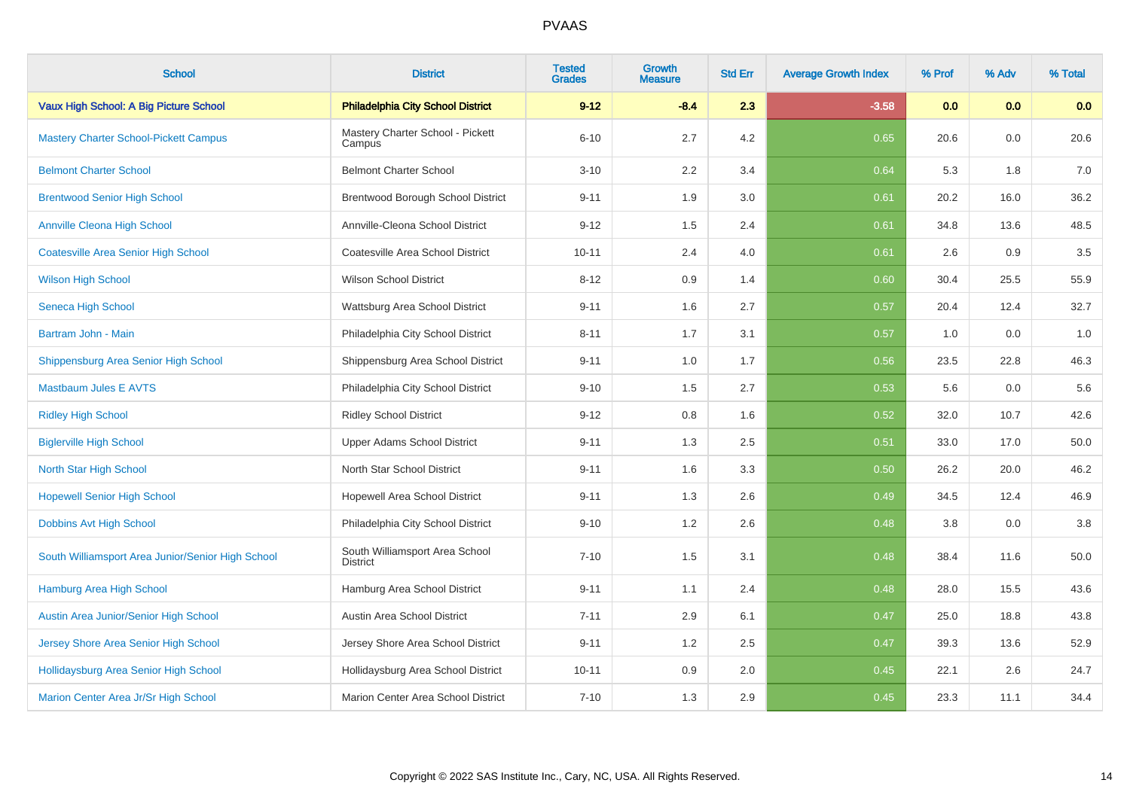| <b>School</b>                                     | <b>District</b>                                   | <b>Tested</b><br><b>Grades</b> | <b>Growth</b><br><b>Measure</b> | <b>Std Err</b> | <b>Average Growth Index</b> | % Prof | % Adv | % Total |
|---------------------------------------------------|---------------------------------------------------|--------------------------------|---------------------------------|----------------|-----------------------------|--------|-------|---------|
| Vaux High School: A Big Picture School            | <b>Philadelphia City School District</b>          | $9 - 12$                       | $-8.4$                          | 2.3            | $-3.58$                     | 0.0    | 0.0   | 0.0     |
| <b>Mastery Charter School-Pickett Campus</b>      | Mastery Charter School - Pickett<br>Campus        | $6 - 10$                       | 2.7                             | 4.2            | 0.65                        | 20.6   | 0.0   | 20.6    |
| <b>Belmont Charter School</b>                     | <b>Belmont Charter School</b>                     | $3 - 10$                       | 2.2                             | 3.4            | 0.64                        | 5.3    | 1.8   | 7.0     |
| <b>Brentwood Senior High School</b>               | Brentwood Borough School District                 | $9 - 11$                       | 1.9                             | 3.0            | 0.61                        | 20.2   | 16.0  | 36.2    |
| <b>Annville Cleona High School</b>                | Annville-Cleona School District                   | $9 - 12$                       | 1.5                             | 2.4            | 0.61                        | 34.8   | 13.6  | 48.5    |
| <b>Coatesville Area Senior High School</b>        | Coatesville Area School District                  | $10 - 11$                      | 2.4                             | 4.0            | 0.61                        | 2.6    | 0.9   | $3.5\,$ |
| <b>Wilson High School</b>                         | <b>Wilson School District</b>                     | $8 - 12$                       | 0.9                             | 1.4            | 0.60                        | 30.4   | 25.5  | 55.9    |
| Seneca High School                                | Wattsburg Area School District                    | $9 - 11$                       | 1.6                             | 2.7            | 0.57                        | 20.4   | 12.4  | 32.7    |
| Bartram John - Main                               | Philadelphia City School District                 | $8 - 11$                       | 1.7                             | 3.1            | 0.57                        | 1.0    | 0.0   | 1.0     |
| Shippensburg Area Senior High School              | Shippensburg Area School District                 | $9 - 11$                       | 1.0                             | 1.7            | 0.56                        | 23.5   | 22.8  | 46.3    |
| <b>Mastbaum Jules E AVTS</b>                      | Philadelphia City School District                 | $9 - 10$                       | 1.5                             | 2.7            | 0.53                        | 5.6    | 0.0   | 5.6     |
| <b>Ridley High School</b>                         | <b>Ridley School District</b>                     | $9 - 12$                       | 0.8                             | 1.6            | 0.52                        | 32.0   | 10.7  | 42.6    |
| <b>Biglerville High School</b>                    | Upper Adams School District                       | $9 - 11$                       | 1.3                             | 2.5            | 0.51                        | 33.0   | 17.0  | 50.0    |
| North Star High School                            | North Star School District                        | $9 - 11$                       | 1.6                             | 3.3            | 0.50                        | 26.2   | 20.0  | 46.2    |
| <b>Hopewell Senior High School</b>                | Hopewell Area School District                     | $9 - 11$                       | 1.3                             | 2.6            | 0.49                        | 34.5   | 12.4  | 46.9    |
| Dobbins Avt High School                           | Philadelphia City School District                 | $9 - 10$                       | 1.2                             | 2.6            | 0.48                        | 3.8    | 0.0   | $3.8\,$ |
| South Williamsport Area Junior/Senior High School | South Williamsport Area School<br><b>District</b> | $7 - 10$                       | 1.5                             | 3.1            | 0.48                        | 38.4   | 11.6  | 50.0    |
| Hamburg Area High School                          | Hamburg Area School District                      | $9 - 11$                       | 1.1                             | 2.4            | 0.48                        | 28.0   | 15.5  | 43.6    |
| Austin Area Junior/Senior High School             | Austin Area School District                       | $7 - 11$                       | 2.9                             | 6.1            | 0.47                        | 25.0   | 18.8  | 43.8    |
| Jersey Shore Area Senior High School              | Jersey Shore Area School District                 | $9 - 11$                       | 1.2                             | 2.5            | 0.47                        | 39.3   | 13.6  | 52.9    |
| Hollidaysburg Area Senior High School             | Hollidaysburg Area School District                | $10 - 11$                      | 0.9                             | 2.0            | 0.45                        | 22.1   | 2.6   | 24.7    |
| Marion Center Area Jr/Sr High School              | Marion Center Area School District                | $7 - 10$                       | 1.3                             | 2.9            | 0.45                        | 23.3   | 11.1  | 34.4    |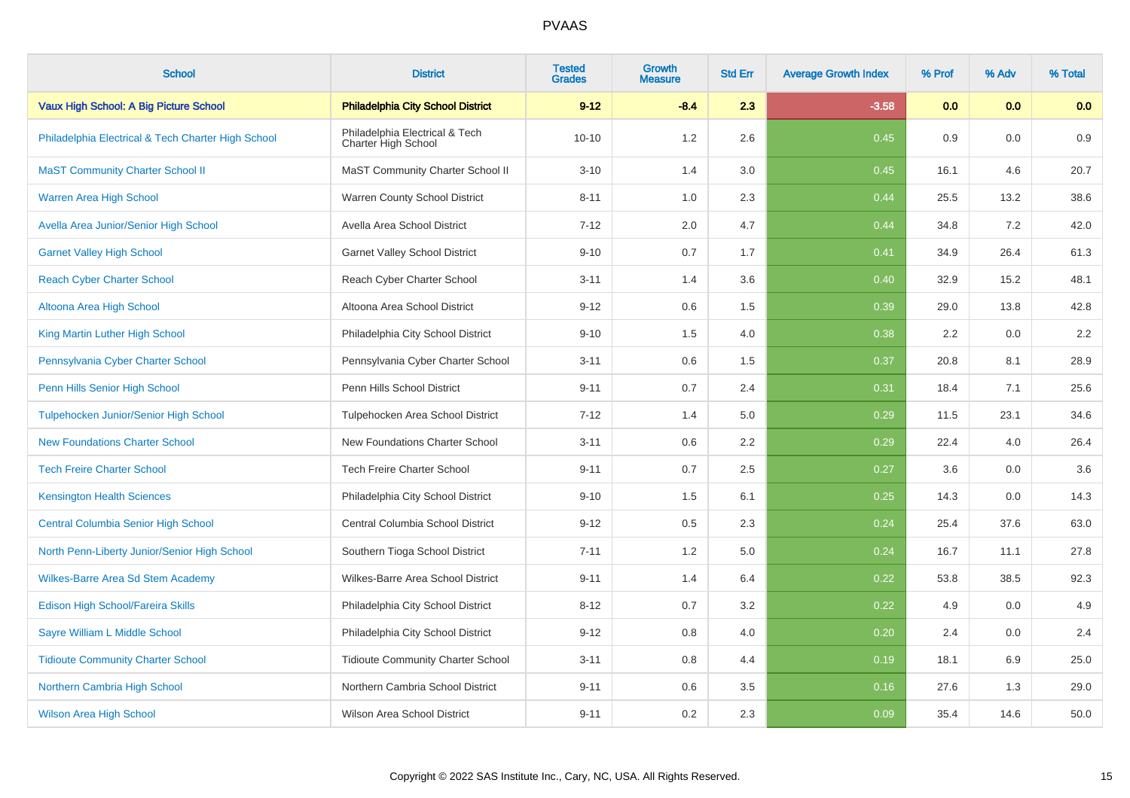| <b>School</b>                                      | <b>District</b>                                       | <b>Tested</b><br><b>Grades</b> | Growth<br><b>Measure</b> | <b>Std Err</b> | <b>Average Growth Index</b> | % Prof | % Adv | % Total |
|----------------------------------------------------|-------------------------------------------------------|--------------------------------|--------------------------|----------------|-----------------------------|--------|-------|---------|
| Vaux High School: A Big Picture School             | <b>Philadelphia City School District</b>              | $9 - 12$                       | $-8.4$                   | 2.3            | $-3.58$                     | 0.0    | 0.0   | 0.0     |
| Philadelphia Electrical & Tech Charter High School | Philadelphia Electrical & Tech<br>Charter High School | $10 - 10$                      | 1.2                      | 2.6            | 0.45                        | 0.9    | 0.0   | 0.9     |
| <b>MaST Community Charter School II</b>            | MaST Community Charter School II                      | $3 - 10$                       | 1.4                      | $3.0\,$        | 0.45                        | 16.1   | 4.6   | 20.7    |
| Warren Area High School                            | Warren County School District                         | $8 - 11$                       | 1.0                      | 2.3            | 0.44                        | 25.5   | 13.2  | 38.6    |
| Avella Area Junior/Senior High School              | Avella Area School District                           | $7 - 12$                       | 2.0                      | 4.7            | 0.44                        | 34.8   | 7.2   | 42.0    |
| <b>Garnet Valley High School</b>                   | <b>Garnet Valley School District</b>                  | $9 - 10$                       | 0.7                      | 1.7            | 0.41                        | 34.9   | 26.4  | 61.3    |
| <b>Reach Cyber Charter School</b>                  | Reach Cyber Charter School                            | $3 - 11$                       | 1.4                      | 3.6            | 0.40                        | 32.9   | 15.2  | 48.1    |
| Altoona Area High School                           | Altoona Area School District                          | $9 - 12$                       | 0.6                      | 1.5            | 0.39                        | 29.0   | 13.8  | 42.8    |
| King Martin Luther High School                     | Philadelphia City School District                     | $9 - 10$                       | 1.5                      | 4.0            | 0.38                        | 2.2    | 0.0   | 2.2     |
| Pennsylvania Cyber Charter School                  | Pennsylvania Cyber Charter School                     | $3 - 11$                       | 0.6                      | 1.5            | 0.37                        | 20.8   | 8.1   | 28.9    |
| Penn Hills Senior High School                      | Penn Hills School District                            | $9 - 11$                       | $0.7\,$                  | 2.4            | 0.31                        | 18.4   | 7.1   | 25.6    |
| Tulpehocken Junior/Senior High School              | Tulpehocken Area School District                      | $7 - 12$                       | 1.4                      | 5.0            | 0.29                        | 11.5   | 23.1  | 34.6    |
| <b>New Foundations Charter School</b>              | New Foundations Charter School                        | $3 - 11$                       | 0.6                      | 2.2            | 0.29                        | 22.4   | 4.0   | 26.4    |
| <b>Tech Freire Charter School</b>                  | <b>Tech Freire Charter School</b>                     | $9 - 11$                       | 0.7                      | 2.5            | 0.27                        | 3.6    | 0.0   | 3.6     |
| <b>Kensington Health Sciences</b>                  | Philadelphia City School District                     | $9 - 10$                       | 1.5                      | 6.1            | 0.25                        | 14.3   | 0.0   | 14.3    |
| <b>Central Columbia Senior High School</b>         | Central Columbia School District                      | $9 - 12$                       | 0.5                      | 2.3            | 0.24                        | 25.4   | 37.6  | 63.0    |
| North Penn-Liberty Junior/Senior High School       | Southern Tioga School District                        | $7 - 11$                       | 1.2                      | 5.0            | 0.24                        | 16.7   | 11.1  | 27.8    |
| <b>Wilkes-Barre Area Sd Stem Academy</b>           | Wilkes-Barre Area School District                     | $9 - 11$                       | 1.4                      | 6.4            | 0.22                        | 53.8   | 38.5  | 92.3    |
| Edison High School/Fareira Skills                  | Philadelphia City School District                     | $8 - 12$                       | 0.7                      | 3.2            | 0.22                        | 4.9    | 0.0   | 4.9     |
| Sayre William L Middle School                      | Philadelphia City School District                     | $9 - 12$                       | 0.8                      | 4.0            | 0.20                        | 2.4    | 0.0   | 2.4     |
| <b>Tidioute Community Charter School</b>           | <b>Tidioute Community Charter School</b>              | $3 - 11$                       | 0.8                      | 4.4            | 0.19                        | 18.1   | 6.9   | 25.0    |
| Northern Cambria High School                       | Northern Cambria School District                      | $9 - 11$                       | 0.6                      | 3.5            | 0.16                        | 27.6   | 1.3   | 29.0    |
| <b>Wilson Area High School</b>                     | <b>Wilson Area School District</b>                    | $9 - 11$                       | 0.2                      | 2.3            | 0.09                        | 35.4   | 14.6  | 50.0    |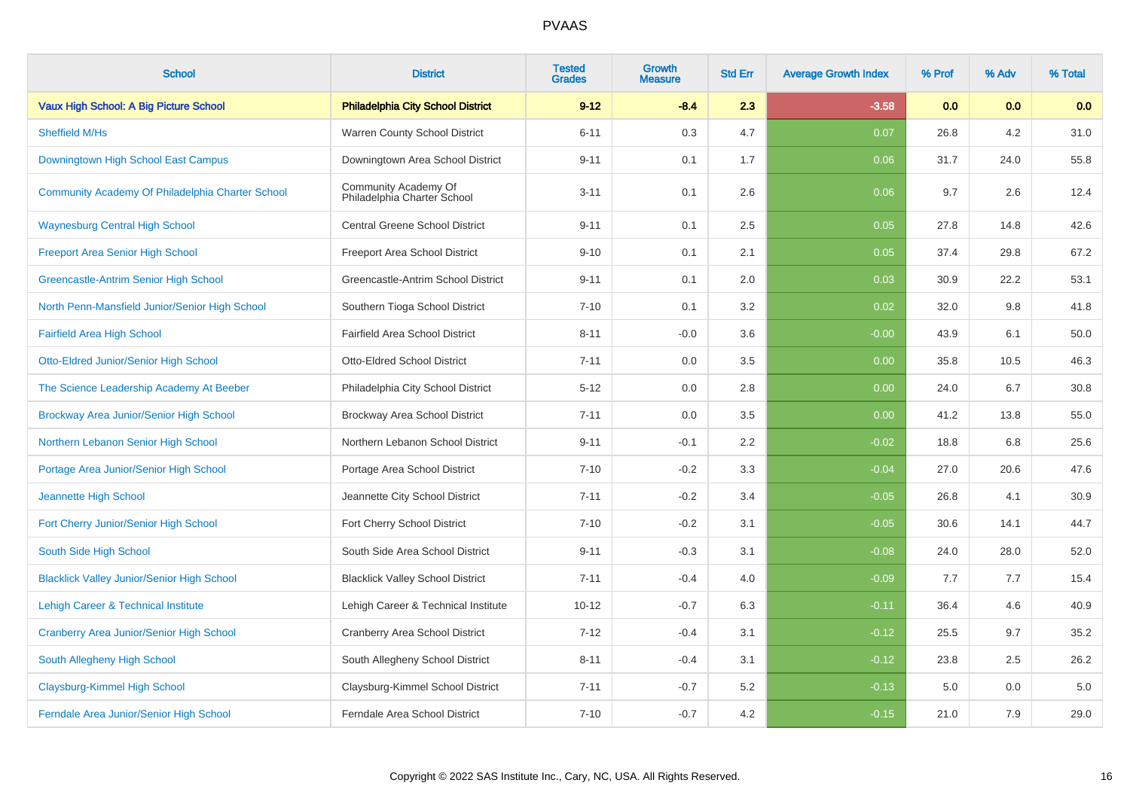| <b>School</b>                                     | <b>District</b>                                     | <b>Tested</b><br><b>Grades</b> | Growth<br>Measure | <b>Std Err</b> | <b>Average Growth Index</b> | % Prof | % Adv | % Total |
|---------------------------------------------------|-----------------------------------------------------|--------------------------------|-------------------|----------------|-----------------------------|--------|-------|---------|
| Vaux High School: A Big Picture School            | <b>Philadelphia City School District</b>            | $9 - 12$                       | $-8.4$            | 2.3            | $-3.58$                     | 0.0    | 0.0   | 0.0     |
| Sheffield M/Hs                                    | Warren County School District                       | $6 - 11$                       | 0.3               | 4.7            | 0.07                        | 26.8   | 4.2   | 31.0    |
| Downingtown High School East Campus               | Downingtown Area School District                    | $9 - 11$                       | 0.1               | 1.7            | 0.06                        | 31.7   | 24.0  | 55.8    |
| Community Academy Of Philadelphia Charter School  | Community Academy Of<br>Philadelphia Charter School | $3 - 11$                       | 0.1               | 2.6            | 0.06                        | 9.7    | 2.6   | 12.4    |
| <b>Waynesburg Central High School</b>             | <b>Central Greene School District</b>               | $9 - 11$                       | 0.1               | 2.5            | 0.05                        | 27.8   | 14.8  | 42.6    |
| <b>Freeport Area Senior High School</b>           | Freeport Area School District                       | $9 - 10$                       | 0.1               | 2.1            | 0.05                        | 37.4   | 29.8  | 67.2    |
| <b>Greencastle-Antrim Senior High School</b>      | Greencastle-Antrim School District                  | $9 - 11$                       | 0.1               | 2.0            | 0.03                        | 30.9   | 22.2  | 53.1    |
| North Penn-Mansfield Junior/Senior High School    | Southern Tioga School District                      | $7 - 10$                       | 0.1               | 3.2            | 0.02                        | 32.0   | 9.8   | 41.8    |
| <b>Fairfield Area High School</b>                 | Fairfield Area School District                      | $8 - 11$                       | $-0.0$            | 3.6            | $-0.00$                     | 43.9   | 6.1   | 50.0    |
| Otto-Eldred Junior/Senior High School             | <b>Otto-Eldred School District</b>                  | $7 - 11$                       | 0.0               | 3.5            | 0.00                        | 35.8   | 10.5  | 46.3    |
| The Science Leadership Academy At Beeber          | Philadelphia City School District                   | $5 - 12$                       | 0.0               | 2.8            | 0.00                        | 24.0   | 6.7   | 30.8    |
| Brockway Area Junior/Senior High School           | <b>Brockway Area School District</b>                | $7 - 11$                       | 0.0               | 3.5            | 0.00                        | 41.2   | 13.8  | 55.0    |
| Northern Lebanon Senior High School               | Northern Lebanon School District                    | $9 - 11$                       | $-0.1$            | 2.2            | $-0.02$                     | 18.8   | 6.8   | 25.6    |
| Portage Area Junior/Senior High School            | Portage Area School District                        | $7 - 10$                       | $-0.2$            | 3.3            | $-0.04$                     | 27.0   | 20.6  | 47.6    |
| Jeannette High School                             | Jeannette City School District                      | $7 - 11$                       | $-0.2$            | 3.4            | $-0.05$                     | 26.8   | 4.1   | 30.9    |
| Fort Cherry Junior/Senior High School             | Fort Cherry School District                         | $7 - 10$                       | $-0.2$            | 3.1            | $-0.05$                     | 30.6   | 14.1  | 44.7    |
| South Side High School                            | South Side Area School District                     | $9 - 11$                       | $-0.3$            | 3.1            | $-0.08$                     | 24.0   | 28.0  | 52.0    |
| <b>Blacklick Valley Junior/Senior High School</b> | <b>Blacklick Valley School District</b>             | $7 - 11$                       | $-0.4$            | 4.0            | $-0.09$                     | 7.7    | 7.7   | 15.4    |
| Lehigh Career & Technical Institute               | Lehigh Career & Technical Institute                 | $10 - 12$                      | $-0.7$            | 6.3            | $-0.11$                     | 36.4   | 4.6   | 40.9    |
| <b>Cranberry Area Junior/Senior High School</b>   | <b>Cranberry Area School District</b>               | $7 - 12$                       | $-0.4$            | 3.1            | $-0.12$                     | 25.5   | 9.7   | 35.2    |
| South Allegheny High School                       | South Allegheny School District                     | $8 - 11$                       | $-0.4$            | 3.1            | $-0.12$                     | 23.8   | 2.5   | 26.2    |
| <b>Claysburg-Kimmel High School</b>               | Claysburg-Kimmel School District                    | $7 - 11$                       | $-0.7$            | 5.2            | $-0.13$                     | 5.0    | 0.0   | 5.0     |
| Ferndale Area Junior/Senior High School           | Ferndale Area School District                       | $7 - 10$                       | $-0.7$            | 4.2            | $-0.15$                     | 21.0   | 7.9   | 29.0    |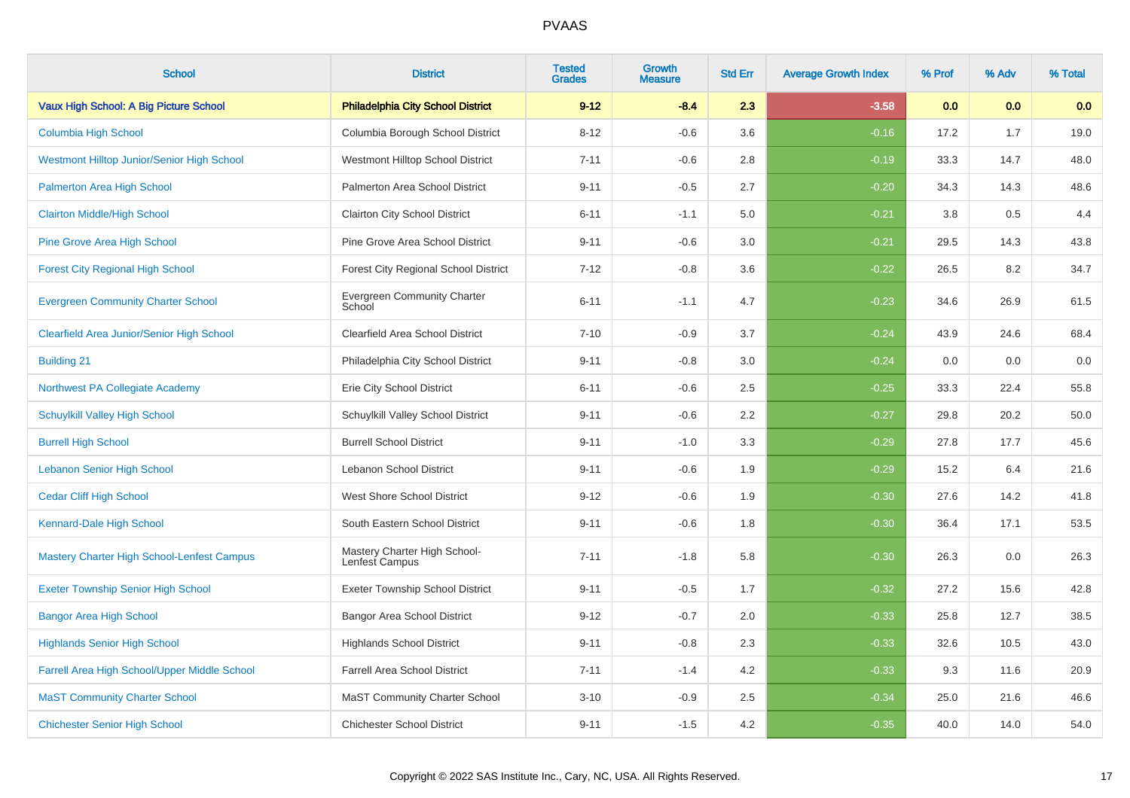| <b>School</b>                                     | <b>District</b>                                | <b>Tested</b><br><b>Grades</b> | <b>Growth</b><br><b>Measure</b> | <b>Std Err</b> | <b>Average Growth Index</b> | % Prof | % Adv | % Total |
|---------------------------------------------------|------------------------------------------------|--------------------------------|---------------------------------|----------------|-----------------------------|--------|-------|---------|
| Vaux High School: A Big Picture School            | <b>Philadelphia City School District</b>       | $9 - 12$                       | $-8.4$                          | 2.3            | $-3.58$                     | 0.0    | 0.0   | 0.0     |
| Columbia High School                              | Columbia Borough School District               | $8 - 12$                       | $-0.6$                          | 3.6            | $-0.16$                     | 17.2   | 1.7   | 19.0    |
| Westmont Hilltop Junior/Senior High School        | Westmont Hilltop School District               | $7 - 11$                       | $-0.6$                          | 2.8            | $-0.19$                     | 33.3   | 14.7  | 48.0    |
| Palmerton Area High School                        | Palmerton Area School District                 | $9 - 11$                       | $-0.5$                          | 2.7            | $-0.20$                     | 34.3   | 14.3  | 48.6    |
| <b>Clairton Middle/High School</b>                | Clairton City School District                  | $6 - 11$                       | $-1.1$                          | 5.0            | $-0.21$                     | 3.8    | 0.5   | 4.4     |
| <b>Pine Grove Area High School</b>                | Pine Grove Area School District                | $9 - 11$                       | $-0.6$                          | 3.0            | $-0.21$                     | 29.5   | 14.3  | 43.8    |
| <b>Forest City Regional High School</b>           | <b>Forest City Regional School District</b>    | $7 - 12$                       | $-0.8$                          | 3.6            | $-0.22$                     | 26.5   | 8.2   | 34.7    |
| <b>Evergreen Community Charter School</b>         | Evergreen Community Charter<br>School          | $6 - 11$                       | $-1.1$                          | 4.7            | $-0.23$                     | 34.6   | 26.9  | 61.5    |
| <b>Clearfield Area Junior/Senior High School</b>  | Clearfield Area School District                | $7 - 10$                       | $-0.9$                          | 3.7            | $-0.24$                     | 43.9   | 24.6  | 68.4    |
| <b>Building 21</b>                                | Philadelphia City School District              | $9 - 11$                       | $-0.8$                          | 3.0            | $-0.24$                     | 0.0    | 0.0   | $0.0\,$ |
| Northwest PA Collegiate Academy                   | Erie City School District                      | $6 - 11$                       | $-0.6$                          | 2.5            | $-0.25$                     | 33.3   | 22.4  | 55.8    |
| <b>Schuylkill Valley High School</b>              | Schuylkill Valley School District              | $9 - 11$                       | $-0.6$                          | 2.2            | $-0.27$                     | 29.8   | 20.2  | 50.0    |
| <b>Burrell High School</b>                        | <b>Burrell School District</b>                 | $9 - 11$                       | $-1.0$                          | 3.3            | $-0.29$                     | 27.8   | 17.7  | 45.6    |
| <b>Lebanon Senior High School</b>                 | Lebanon School District                        | $9 - 11$                       | $-0.6$                          | 1.9            | $-0.29$                     | 15.2   | 6.4   | 21.6    |
| <b>Cedar Cliff High School</b>                    | West Shore School District                     | $9 - 12$                       | $-0.6$                          | 1.9            | $-0.30$                     | 27.6   | 14.2  | 41.8    |
| Kennard-Dale High School                          | South Eastern School District                  | $9 - 11$                       | $-0.6$                          | 1.8            | $-0.30$                     | 36.4   | 17.1  | 53.5    |
| <b>Mastery Charter High School-Lenfest Campus</b> | Mastery Charter High School-<br>Lenfest Campus | $7 - 11$                       | $-1.8$                          | 5.8            | $-0.30$                     | 26.3   | 0.0   | 26.3    |
| <b>Exeter Township Senior High School</b>         | <b>Exeter Township School District</b>         | $9 - 11$                       | $-0.5$                          | 1.7            | $-0.32$                     | 27.2   | 15.6  | 42.8    |
| <b>Bangor Area High School</b>                    | Bangor Area School District                    | $9 - 12$                       | $-0.7$                          | 2.0            | $-0.33$                     | 25.8   | 12.7  | 38.5    |
| <b>Highlands Senior High School</b>               | <b>Highlands School District</b>               | $9 - 11$                       | $-0.8$                          | 2.3            | $-0.33$                     | 32.6   | 10.5  | 43.0    |
| Farrell Area High School/Upper Middle School      | Farrell Area School District                   | $7 - 11$                       | $-1.4$                          | 4.2            | $-0.33$                     | 9.3    | 11.6  | 20.9    |
| <b>MaST Community Charter School</b>              | <b>MaST Community Charter School</b>           | $3 - 10$                       | $-0.9$                          | 2.5            | $-0.34$                     | 25.0   | 21.6  | 46.6    |
| <b>Chichester Senior High School</b>              | <b>Chichester School District</b>              | $9 - 11$                       | $-1.5$                          | 4.2            | $-0.35$                     | 40.0   | 14.0  | 54.0    |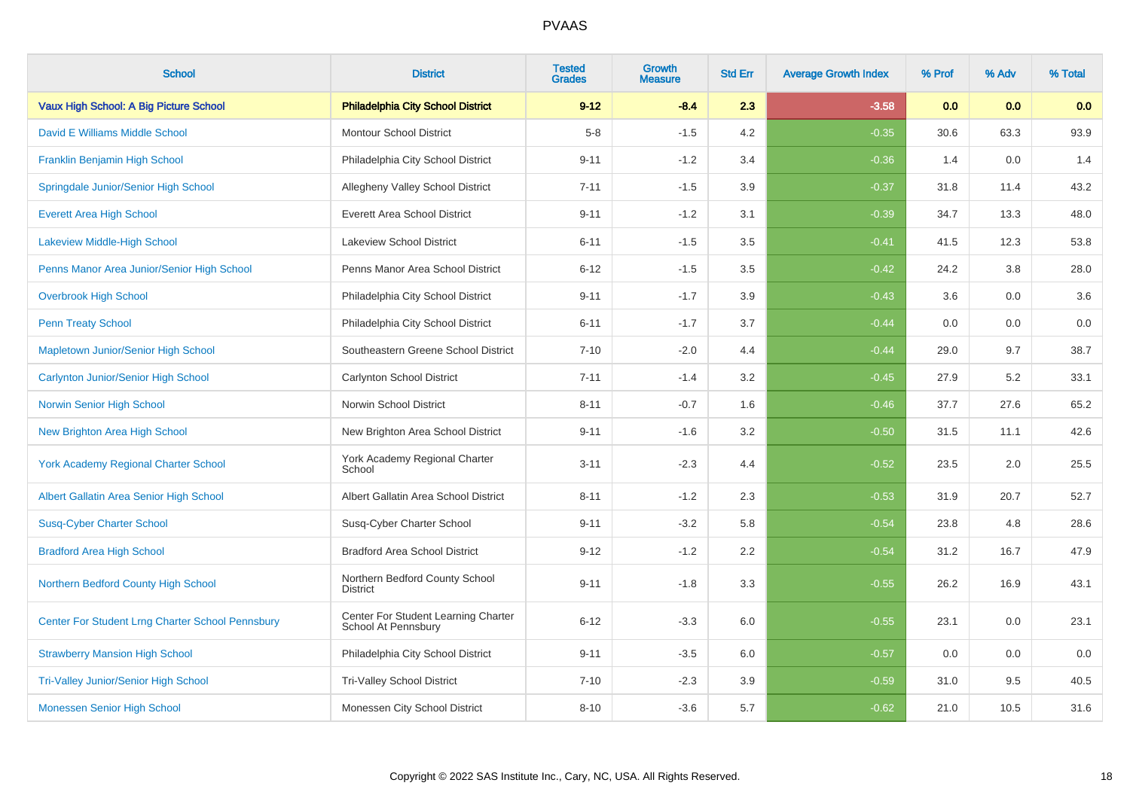| <b>School</b>                                           | <b>District</b>                                            | <b>Tested</b><br><b>Grades</b> | <b>Growth</b><br><b>Measure</b> | <b>Std Err</b> | <b>Average Growth Index</b> | % Prof | % Adv | % Total |
|---------------------------------------------------------|------------------------------------------------------------|--------------------------------|---------------------------------|----------------|-----------------------------|--------|-------|---------|
| Vaux High School: A Big Picture School                  | <b>Philadelphia City School District</b>                   | $9 - 12$                       | $-8.4$                          | 2.3            | $-3.58$                     | 0.0    | 0.0   | 0.0     |
| David E Williams Middle School                          | <b>Montour School District</b>                             | $5-8$                          | $-1.5$                          | 4.2            | $-0.35$                     | 30.6   | 63.3  | 93.9    |
| Franklin Benjamin High School                           | Philadelphia City School District                          | $9 - 11$                       | $-1.2$                          | 3.4            | $-0.36$                     | 1.4    | 0.0   | 1.4     |
| Springdale Junior/Senior High School                    | Allegheny Valley School District                           | $7 - 11$                       | $-1.5$                          | 3.9            | $-0.37$                     | 31.8   | 11.4  | 43.2    |
| <b>Everett Area High School</b>                         | <b>Everett Area School District</b>                        | $9 - 11$                       | $-1.2$                          | 3.1            | $-0.39$                     | 34.7   | 13.3  | 48.0    |
| Lakeview Middle-High School                             | <b>Lakeview School District</b>                            | $6 - 11$                       | $-1.5$                          | 3.5            | $-0.41$                     | 41.5   | 12.3  | 53.8    |
| Penns Manor Area Junior/Senior High School              | Penns Manor Area School District                           | $6 - 12$                       | $-1.5$                          | 3.5            | $-0.42$                     | 24.2   | 3.8   | 28.0    |
| <b>Overbrook High School</b>                            | Philadelphia City School District                          | $9 - 11$                       | $-1.7$                          | 3.9            | $-0.43$                     | 3.6    | 0.0   | 3.6     |
| <b>Penn Treaty School</b>                               | Philadelphia City School District                          | $6 - 11$                       | $-1.7$                          | 3.7            | $-0.44$                     | 0.0    | 0.0   | $0.0\,$ |
| Mapletown Junior/Senior High School                     | Southeastern Greene School District                        | $7 - 10$                       | $-2.0$                          | 4.4            | $-0.44$                     | 29.0   | 9.7   | 38.7    |
| Carlynton Junior/Senior High School                     | Carlynton School District                                  | $7 - 11$                       | $-1.4$                          | 3.2            | $-0.45$                     | 27.9   | 5.2   | 33.1    |
| Norwin Senior High School                               | Norwin School District                                     | $8 - 11$                       | $-0.7$                          | 1.6            | $-0.46$                     | 37.7   | 27.6  | 65.2    |
| <b>New Brighton Area High School</b>                    | New Brighton Area School District                          | $9 - 11$                       | $-1.6$                          | 3.2            | $-0.50$                     | 31.5   | 11.1  | 42.6    |
| <b>York Academy Regional Charter School</b>             | York Academy Regional Charter<br>School                    | $3 - 11$                       | $-2.3$                          | 4.4            | $-0.52$                     | 23.5   | 2.0   | 25.5    |
| Albert Gallatin Area Senior High School                 | Albert Gallatin Area School District                       | $8 - 11$                       | $-1.2$                          | 2.3            | $-0.53$                     | 31.9   | 20.7  | 52.7    |
| <b>Susq-Cyber Charter School</b>                        | Susq-Cyber Charter School                                  | $9 - 11$                       | $-3.2$                          | 5.8            | $-0.54$                     | 23.8   | 4.8   | 28.6    |
| <b>Bradford Area High School</b>                        | <b>Bradford Area School District</b>                       | $9 - 12$                       | $-1.2$                          | 2.2            | $-0.54$                     | 31.2   | 16.7  | 47.9    |
| Northern Bedford County High School                     | Northern Bedford County School<br><b>District</b>          | $9 - 11$                       | $-1.8$                          | 3.3            | $-0.55$                     | 26.2   | 16.9  | 43.1    |
| <b>Center For Student Lrng Charter School Pennsbury</b> | Center For Student Learning Charter<br>School At Pennsbury | $6 - 12$                       | $-3.3$                          | 6.0            | $-0.55$                     | 23.1   | 0.0   | 23.1    |
| <b>Strawberry Mansion High School</b>                   | Philadelphia City School District                          | $9 - 11$                       | $-3.5$                          | 6.0            | $-0.57$                     | 0.0    | 0.0   | 0.0     |
| <b>Tri-Valley Junior/Senior High School</b>             | <b>Tri-Valley School District</b>                          | $7 - 10$                       | $-2.3$                          | 3.9            | $-0.59$                     | 31.0   | 9.5   | 40.5    |
| Monessen Senior High School                             | Monessen City School District                              | $8 - 10$                       | $-3.6$                          | 5.7            | $-0.62$                     | 21.0   | 10.5  | 31.6    |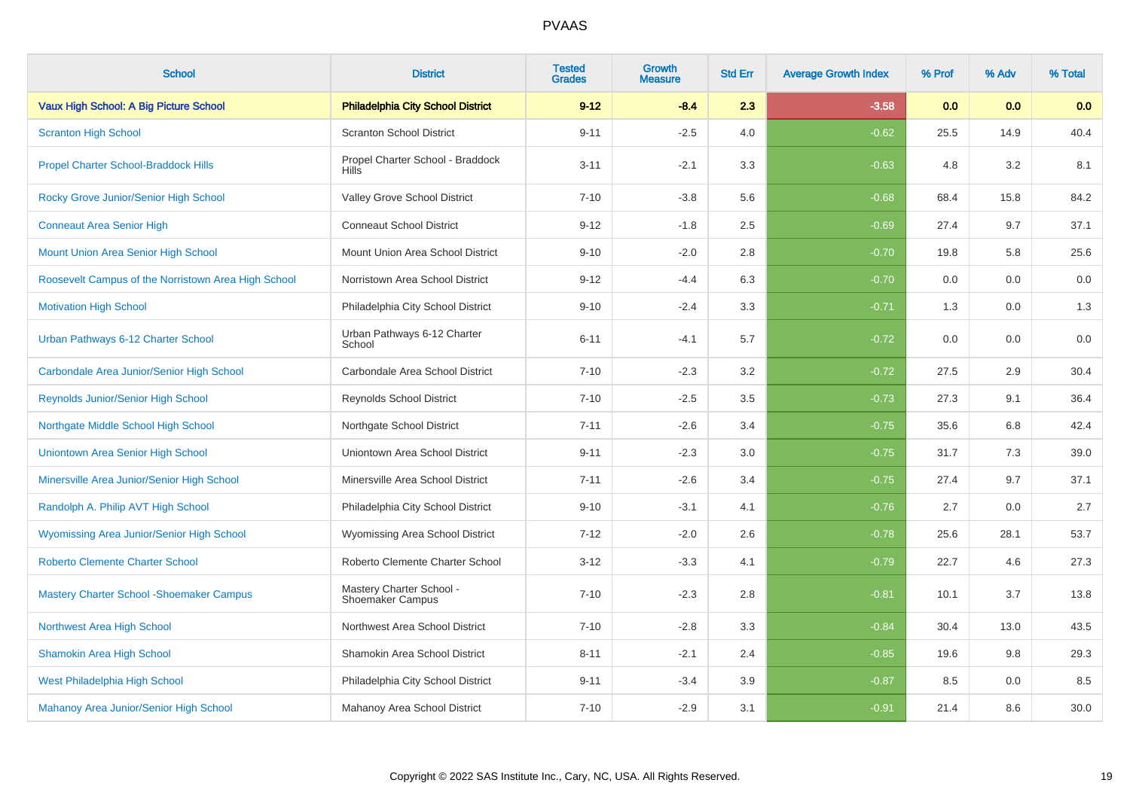| <b>School</b>                                       | <b>District</b>                                     | <b>Tested</b><br><b>Grades</b> | <b>Growth</b><br><b>Measure</b> | <b>Std Err</b> | <b>Average Growth Index</b> | % Prof | % Adv | % Total |
|-----------------------------------------------------|-----------------------------------------------------|--------------------------------|---------------------------------|----------------|-----------------------------|--------|-------|---------|
| Vaux High School: A Big Picture School              | <b>Philadelphia City School District</b>            | $9 - 12$                       | $-8.4$                          | 2.3            | $-3.58$                     | 0.0    | 0.0   | 0.0     |
| <b>Scranton High School</b>                         | <b>Scranton School District</b>                     | $9 - 11$                       | $-2.5$                          | 4.0            | $-0.62$                     | 25.5   | 14.9  | 40.4    |
| <b>Propel Charter School-Braddock Hills</b>         | Propel Charter School - Braddock<br><b>Hills</b>    | $3 - 11$                       | $-2.1$                          | 3.3            | $-0.63$                     | 4.8    | 3.2   | 8.1     |
| Rocky Grove Junior/Senior High School               | Valley Grove School District                        | $7 - 10$                       | $-3.8$                          | 5.6            | $-0.68$                     | 68.4   | 15.8  | 84.2    |
| <b>Conneaut Area Senior High</b>                    | <b>Conneaut School District</b>                     | $9 - 12$                       | $-1.8$                          | 2.5            | $-0.69$                     | 27.4   | 9.7   | 37.1    |
| Mount Union Area Senior High School                 | Mount Union Area School District                    | $9 - 10$                       | $-2.0$                          | $2.8\,$        | $-0.70$                     | 19.8   | 5.8   | 25.6    |
| Roosevelt Campus of the Norristown Area High School | Norristown Area School District                     | $9 - 12$                       | $-4.4$                          | 6.3            | $-0.70$                     | 0.0    | 0.0   | 0.0     |
| <b>Motivation High School</b>                       | Philadelphia City School District                   | $9 - 10$                       | $-2.4$                          | 3.3            | $-0.71$                     | 1.3    | 0.0   | 1.3     |
| Urban Pathways 6-12 Charter School                  | Urban Pathways 6-12 Charter<br>School               | $6 - 11$                       | $-4.1$                          | 5.7            | $-0.72$                     | 0.0    | 0.0   | 0.0     |
| Carbondale Area Junior/Senior High School           | Carbondale Area School District                     | $7 - 10$                       | $-2.3$                          | 3.2            | $-0.72$                     | 27.5   | 2.9   | 30.4    |
| Reynolds Junior/Senior High School                  | <b>Reynolds School District</b>                     | $7 - 10$                       | $-2.5$                          | 3.5            | $-0.73$                     | 27.3   | 9.1   | 36.4    |
| Northgate Middle School High School                 | Northgate School District                           | $7 - 11$                       | $-2.6$                          | 3.4            | $-0.75$                     | 35.6   | 6.8   | 42.4    |
| Uniontown Area Senior High School                   | Uniontown Area School District                      | $9 - 11$                       | $-2.3$                          | 3.0            | $-0.75$                     | 31.7   | 7.3   | 39.0    |
| Minersville Area Junior/Senior High School          | Minersville Area School District                    | $7 - 11$                       | $-2.6$                          | 3.4            | $-0.75$                     | 27.4   | 9.7   | 37.1    |
| Randolph A. Philip AVT High School                  | Philadelphia City School District                   | $9 - 10$                       | $-3.1$                          | 4.1            | $-0.76$                     | 2.7    | 0.0   | 2.7     |
| Wyomissing Area Junior/Senior High School           | Wyomissing Area School District                     | $7 - 12$                       | $-2.0$                          | 2.6            | $-0.78$                     | 25.6   | 28.1  | 53.7    |
| <b>Roberto Clemente Charter School</b>              | Roberto Clemente Charter School                     | $3 - 12$                       | $-3.3$                          | 4.1            | $-0.79$                     | 22.7   | 4.6   | 27.3    |
| <b>Mastery Charter School - Shoemaker Campus</b>    | Mastery Charter School -<br><b>Shoemaker Campus</b> | $7 - 10$                       | $-2.3$                          | 2.8            | $-0.81$                     | 10.1   | 3.7   | 13.8    |
| Northwest Area High School                          | Northwest Area School District                      | $7 - 10$                       | $-2.8$                          | 3.3            | $-0.84$                     | 30.4   | 13.0  | 43.5    |
| <b>Shamokin Area High School</b>                    | Shamokin Area School District                       | $8 - 11$                       | $-2.1$                          | 2.4            | $-0.85$                     | 19.6   | 9.8   | 29.3    |
| West Philadelphia High School                       | Philadelphia City School District                   | $9 - 11$                       | $-3.4$                          | 3.9            | $-0.87$                     | 8.5    | 0.0   | 8.5     |
| Mahanoy Area Junior/Senior High School              | Mahanoy Area School District                        | $7 - 10$                       | $-2.9$                          | 3.1            | $-0.91$                     | 21.4   | 8.6   | 30.0    |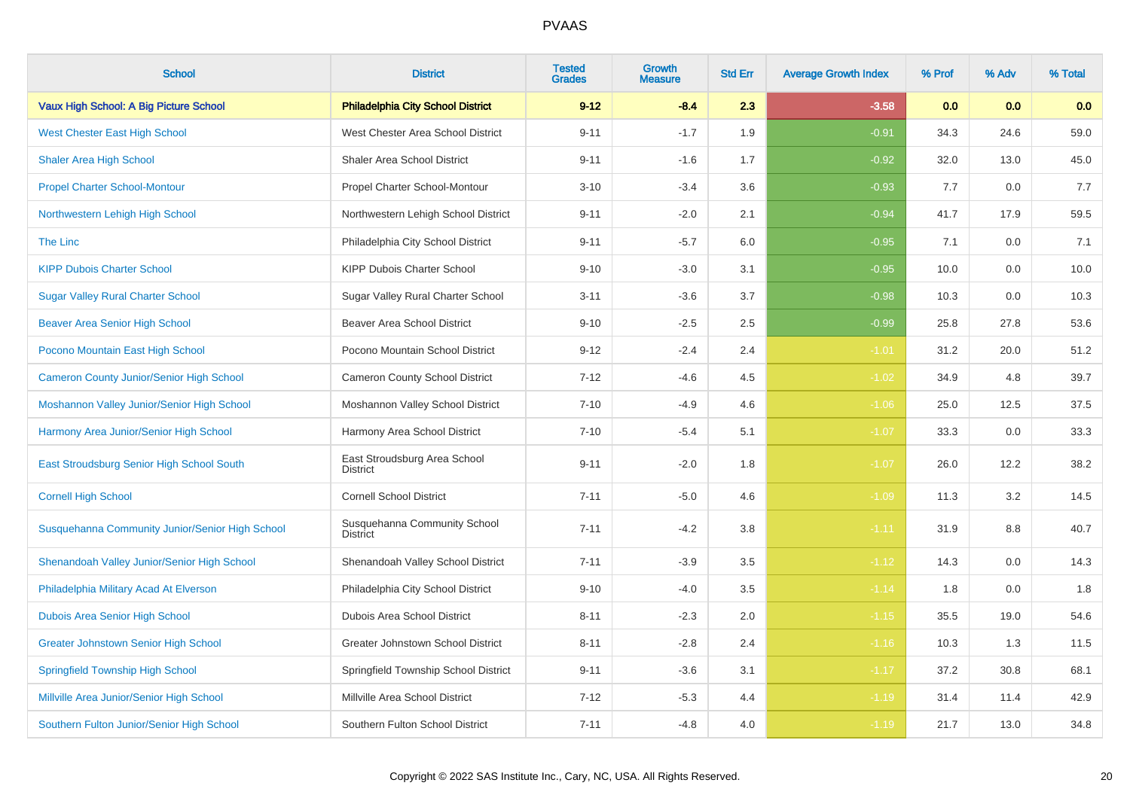| <b>School</b>                                   | <b>District</b>                                 | <b>Tested</b><br><b>Grades</b> | <b>Growth</b><br><b>Measure</b> | <b>Std Err</b> | <b>Average Growth Index</b> | % Prof | % Adv | % Total |
|-------------------------------------------------|-------------------------------------------------|--------------------------------|---------------------------------|----------------|-----------------------------|--------|-------|---------|
| Vaux High School: A Big Picture School          | <b>Philadelphia City School District</b>        | $9 - 12$                       | $-8.4$                          | 2.3            | $-3.58$                     | 0.0    | 0.0   | 0.0     |
| <b>West Chester East High School</b>            | West Chester Area School District               | $9 - 11$                       | $-1.7$                          | 1.9            | $-0.91$                     | 34.3   | 24.6  | 59.0    |
| <b>Shaler Area High School</b>                  | Shaler Area School District                     | $9 - 11$                       | $-1.6$                          | 1.7            | $-0.92$                     | 32.0   | 13.0  | 45.0    |
| <b>Propel Charter School-Montour</b>            | Propel Charter School-Montour                   | $3 - 10$                       | $-3.4$                          | 3.6            | $-0.93$                     | 7.7    | 0.0   | 7.7     |
| Northwestern Lehigh High School                 | Northwestern Lehigh School District             | $9 - 11$                       | $-2.0$                          | 2.1            | $-0.94$                     | 41.7   | 17.9  | 59.5    |
| The Linc                                        | Philadelphia City School District               | $9 - 11$                       | $-5.7$                          | 6.0            | $-0.95$                     | 7.1    | 0.0   | 7.1     |
| <b>KIPP Dubois Charter School</b>               | KIPP Dubois Charter School                      | $9 - 10$                       | $-3.0$                          | 3.1            | $-0.95$                     | 10.0   | 0.0   | 10.0    |
| <b>Sugar Valley Rural Charter School</b>        | Sugar Valley Rural Charter School               | $3 - 11$                       | $-3.6$                          | 3.7            | $-0.98$                     | 10.3   | 0.0   | 10.3    |
| <b>Beaver Area Senior High School</b>           | <b>Beaver Area School District</b>              | $9 - 10$                       | $-2.5$                          | 2.5            | $-0.99$                     | 25.8   | 27.8  | 53.6    |
| Pocono Mountain East High School                | Pocono Mountain School District                 | $9 - 12$                       | $-2.4$                          | 2.4            | $-1.01$                     | 31.2   | 20.0  | 51.2    |
| <b>Cameron County Junior/Senior High School</b> | <b>Cameron County School District</b>           | $7 - 12$                       | $-4.6$                          | 4.5            | $-1.02$                     | 34.9   | 4.8   | 39.7    |
| Moshannon Valley Junior/Senior High School      | Moshannon Valley School District                | $7 - 10$                       | $-4.9$                          | 4.6            | $-1.06$                     | 25.0   | 12.5  | 37.5    |
| Harmony Area Junior/Senior High School          | Harmony Area School District                    | $7 - 10$                       | $-5.4$                          | 5.1            | $-1.07$                     | 33.3   | 0.0   | 33.3    |
| East Stroudsburg Senior High School South       | East Stroudsburg Area School<br><b>District</b> | $9 - 11$                       | $-2.0$                          | 1.8            | $-1.07$                     | 26.0   | 12.2  | 38.2    |
| <b>Cornell High School</b>                      | <b>Cornell School District</b>                  | $7 - 11$                       | $-5.0$                          | 4.6            | $-1.09$                     | 11.3   | 3.2   | 14.5    |
| Susquehanna Community Junior/Senior High School | Susquehanna Community School<br>District        | $7 - 11$                       | $-4.2$                          | 3.8            | $-1.11$                     | 31.9   | 8.8   | 40.7    |
| Shenandoah Valley Junior/Senior High School     | Shenandoah Valley School District               | $7 - 11$                       | $-3.9$                          | 3.5            | $-1.12$                     | 14.3   | 0.0   | 14.3    |
| Philadelphia Military Acad At Elverson          | Philadelphia City School District               | $9 - 10$                       | $-4.0$                          | 3.5            | $-1.14$                     | 1.8    | 0.0   | 1.8     |
| <b>Dubois Area Senior High School</b>           | <b>Dubois Area School District</b>              | $8 - 11$                       | $-2.3$                          | $2.0\,$        | $-1.15$                     | 35.5   | 19.0  | 54.6    |
| <b>Greater Johnstown Senior High School</b>     | Greater Johnstown School District               | $8 - 11$                       | $-2.8$                          | 2.4            | $-1.16$                     | 10.3   | 1.3   | 11.5    |
| <b>Springfield Township High School</b>         | Springfield Township School District            | $9 - 11$                       | $-3.6$                          | 3.1            | $-1.17$                     | 37.2   | 30.8  | 68.1    |
| Millville Area Junior/Senior High School        | Millville Area School District                  | $7 - 12$                       | $-5.3$                          | 4.4            | $-1.19$                     | 31.4   | 11.4  | 42.9    |
| Southern Fulton Junior/Senior High School       | Southern Fulton School District                 | $7 - 11$                       | $-4.8$                          | 4.0            | $-1.19$                     | 21.7   | 13.0  | 34.8    |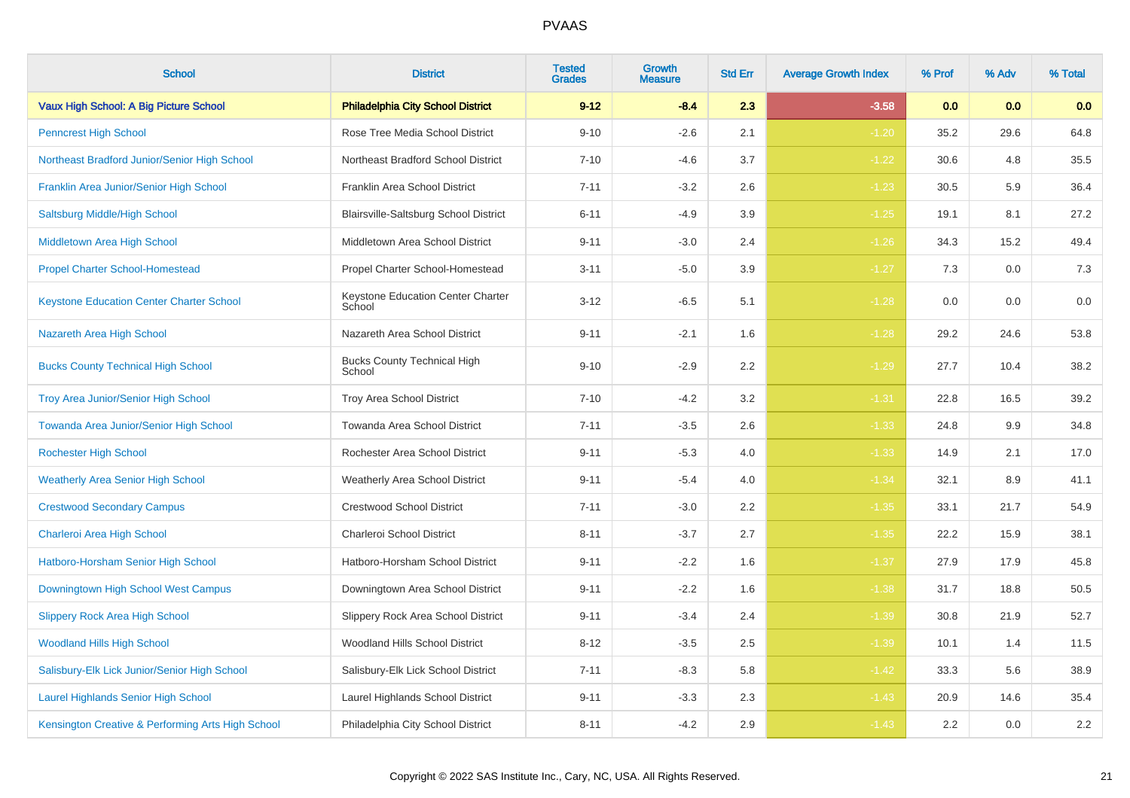| <b>School</b>                                     | <b>District</b>                              | <b>Tested</b><br><b>Grades</b> | Growth<br><b>Measure</b> | <b>Std Err</b> | <b>Average Growth Index</b> | % Prof | % Adv | % Total |
|---------------------------------------------------|----------------------------------------------|--------------------------------|--------------------------|----------------|-----------------------------|--------|-------|---------|
| Vaux High School: A Big Picture School            | <b>Philadelphia City School District</b>     | $9 - 12$                       | $-8.4$                   | 2.3            | $-3.58$                     | 0.0    | 0.0   | 0.0     |
| <b>Penncrest High School</b>                      | Rose Tree Media School District              | $9 - 10$                       | $-2.6$                   | 2.1            | $-1.20$                     | 35.2   | 29.6  | 64.8    |
| Northeast Bradford Junior/Senior High School      | Northeast Bradford School District           | $7 - 10$                       | $-4.6$                   | 3.7            | $-1.22$                     | 30.6   | 4.8   | 35.5    |
| Franklin Area Junior/Senior High School           | Franklin Area School District                | $7 - 11$                       | $-3.2$                   | 2.6            | $-1.23$                     | 30.5   | 5.9   | 36.4    |
| Saltsburg Middle/High School                      | Blairsville-Saltsburg School District        | $6 - 11$                       | $-4.9$                   | 3.9            | $-1.25$                     | 19.1   | 8.1   | 27.2    |
| Middletown Area High School                       | Middletown Area School District              | $9 - 11$                       | $-3.0$                   | 2.4            | $-1.26$                     | 34.3   | 15.2  | 49.4    |
| <b>Propel Charter School-Homestead</b>            | Propel Charter School-Homestead              | $3 - 11$                       | $-5.0$                   | 3.9            | $-1.27$                     | 7.3    | 0.0   | 7.3     |
| <b>Keystone Education Center Charter School</b>   | Keystone Education Center Charter<br>School  | $3 - 12$                       | $-6.5$                   | 5.1            | $-1.28$                     | 0.0    | 0.0   | 0.0     |
| Nazareth Area High School                         | Nazareth Area School District                | $9 - 11$                       | $-2.1$                   | 1.6            | $-1.28$                     | 29.2   | 24.6  | 53.8    |
| <b>Bucks County Technical High School</b>         | <b>Bucks County Technical High</b><br>School | $9 - 10$                       | $-2.9$                   | 2.2            | $-1.29$                     | 27.7   | 10.4  | 38.2    |
| <b>Troy Area Junior/Senior High School</b>        | Troy Area School District                    | $7 - 10$                       | $-4.2$                   | 3.2            | $-1.31$                     | 22.8   | 16.5  | 39.2    |
| Towanda Area Junior/Senior High School            | Towanda Area School District                 | $7 - 11$                       | $-3.5$                   | 2.6            | $-1.33$                     | 24.8   | 9.9   | 34.8    |
| <b>Rochester High School</b>                      | Rochester Area School District               | $9 - 11$                       | $-5.3$                   | 4.0            | $-1.33$                     | 14.9   | 2.1   | 17.0    |
| <b>Weatherly Area Senior High School</b>          | Weatherly Area School District               | $9 - 11$                       | $-5.4$                   | 4.0            | $-1.34$                     | 32.1   | 8.9   | 41.1    |
| <b>Crestwood Secondary Campus</b>                 | <b>Crestwood School District</b>             | $7 - 11$                       | $-3.0$                   | 2.2            | $-1.35$                     | 33.1   | 21.7  | 54.9    |
| Charleroi Area High School                        | Charleroi School District                    | $8 - 11$                       | $-3.7$                   | 2.7            | $-1.35$                     | 22.2   | 15.9  | 38.1    |
| Hatboro-Horsham Senior High School                | Hatboro-Horsham School District              | $9 - 11$                       | $-2.2$                   | 1.6            | $-1.37$                     | 27.9   | 17.9  | 45.8    |
| Downingtown High School West Campus               | Downingtown Area School District             | $9 - 11$                       | $-2.2$                   | 1.6            | $-1.38$                     | 31.7   | 18.8  | 50.5    |
| <b>Slippery Rock Area High School</b>             | Slippery Rock Area School District           | $9 - 11$                       | $-3.4$                   | 2.4            | $-1.39$                     | 30.8   | 21.9  | 52.7    |
| <b>Woodland Hills High School</b>                 | Woodland Hills School District               | $8 - 12$                       | $-3.5$                   | 2.5            | $-1.39$                     | 10.1   | 1.4   | 11.5    |
| Salisbury-Elk Lick Junior/Senior High School      | Salisbury-Elk Lick School District           | $7 - 11$                       | $-8.3$                   | 5.8            | $-1.42$                     | 33.3   | 5.6   | 38.9    |
| <b>Laurel Highlands Senior High School</b>        | Laurel Highlands School District             | $9 - 11$                       | $-3.3$                   | 2.3            | $-1.43$                     | 20.9   | 14.6  | 35.4    |
| Kensington Creative & Performing Arts High School | Philadelphia City School District            | $8 - 11$                       | $-4.2$                   | 2.9            | $-1.43$                     | 2.2    | 0.0   | 2.2     |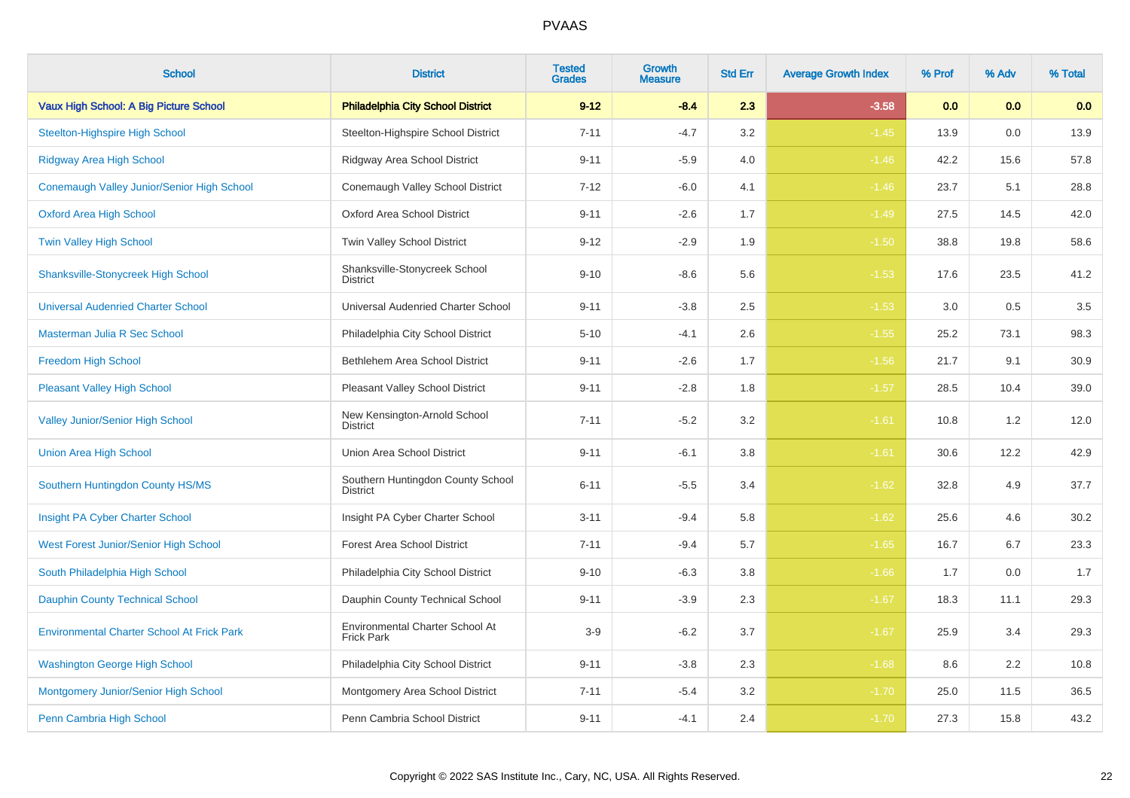| <b>School</b>                                     | <b>District</b>                                      | <b>Tested</b><br><b>Grades</b> | Growth<br><b>Measure</b> | <b>Std Err</b> | <b>Average Growth Index</b> | % Prof | % Adv | % Total |
|---------------------------------------------------|------------------------------------------------------|--------------------------------|--------------------------|----------------|-----------------------------|--------|-------|---------|
| Vaux High School: A Big Picture School            | <b>Philadelphia City School District</b>             | $9 - 12$                       | $-8.4$                   | 2.3            | $-3.58$                     | 0.0    | 0.0   | 0.0     |
| <b>Steelton-Highspire High School</b>             | Steelton-Highspire School District                   | $7 - 11$                       | $-4.7$                   | 3.2            | $-1.45$                     | 13.9   | 0.0   | 13.9    |
| Ridgway Area High School                          | Ridgway Area School District                         | $9 - 11$                       | $-5.9$                   | 4.0            | $-1.46$                     | 42.2   | 15.6  | 57.8    |
| Conemaugh Valley Junior/Senior High School        | Conemaugh Valley School District                     | $7 - 12$                       | $-6.0$                   | 4.1            | $-1.46$                     | 23.7   | 5.1   | 28.8    |
| <b>Oxford Area High School</b>                    | <b>Oxford Area School District</b>                   | $9 - 11$                       | $-2.6$                   | 1.7            | $-1.49$                     | 27.5   | 14.5  | 42.0    |
| <b>Twin Valley High School</b>                    | Twin Valley School District                          | $9 - 12$                       | $-2.9$                   | 1.9            | $-1.50$                     | 38.8   | 19.8  | 58.6    |
| <b>Shanksville-Stonycreek High School</b>         | Shanksville-Stonycreek School<br>District            | $9 - 10$                       | $-8.6$                   | 5.6            | $-1.53$                     | 17.6   | 23.5  | 41.2    |
| <b>Universal Audenried Charter School</b>         | Universal Audenried Charter School                   | $9 - 11$                       | $-3.8$                   | 2.5            | $-1.53$                     | 3.0    | 0.5   | 3.5     |
| Masterman Julia R Sec School                      | Philadelphia City School District                    | $5 - 10$                       | $-4.1$                   | 2.6            | $-1.55$                     | 25.2   | 73.1  | 98.3    |
| <b>Freedom High School</b>                        | Bethlehem Area School District                       | $9 - 11$                       | $-2.6$                   | 1.7            | $-1.56$                     | 21.7   | 9.1   | 30.9    |
| <b>Pleasant Valley High School</b>                | Pleasant Valley School District                      | $9 - 11$                       | $-2.8$                   | 1.8            | $-1.57$                     | 28.5   | 10.4  | 39.0    |
| <b>Valley Junior/Senior High School</b>           | New Kensington-Arnold School<br><b>District</b>      | $7 - 11$                       | $-5.2$                   | 3.2            | $-1.61$                     | 10.8   | 1.2   | 12.0    |
| <b>Union Area High School</b>                     | Union Area School District                           | $9 - 11$                       | $-6.1$                   | 3.8            | $-1.61$                     | 30.6   | 12.2  | 42.9    |
| Southern Huntingdon County HS/MS                  | Southern Huntingdon County School<br><b>District</b> | $6 - 11$                       | $-5.5$                   | 3.4            | $-1.62$                     | 32.8   | 4.9   | 37.7    |
| Insight PA Cyber Charter School                   | Insight PA Cyber Charter School                      | $3 - 11$                       | $-9.4$                   | 5.8            | $-1.62$                     | 25.6   | 4.6   | 30.2    |
| West Forest Junior/Senior High School             | <b>Forest Area School District</b>                   | $7 - 11$                       | $-9.4$                   | 5.7            | $-1.65$                     | 16.7   | 6.7   | 23.3    |
| South Philadelphia High School                    | Philadelphia City School District                    | $9 - 10$                       | $-6.3$                   | 3.8            | $-1.66$                     | 1.7    | 0.0   | 1.7     |
| <b>Dauphin County Technical School</b>            | Dauphin County Technical School                      | $9 - 11$                       | $-3.9$                   | 2.3            | $-1.67$                     | 18.3   | 11.1  | 29.3    |
| <b>Environmental Charter School At Frick Park</b> | Environmental Charter School At<br><b>Frick Park</b> | $3-9$                          | $-6.2$                   | 3.7            | $-1.67$                     | 25.9   | 3.4   | 29.3    |
| <b>Washington George High School</b>              | Philadelphia City School District                    | $9 - 11$                       | $-3.8$                   | $2.3\,$        | $-1.68$                     | 8.6    | 2.2   | 10.8    |
| Montgomery Junior/Senior High School              | Montgomery Area School District                      | $7 - 11$                       | $-5.4$                   | $3.2\,$        | $-1.70$                     | 25.0   | 11.5  | 36.5    |
| Penn Cambria High School                          | Penn Cambria School District                         | $9 - 11$                       | $-4.1$                   | 2.4            | $-1.70$                     | 27.3   | 15.8  | 43.2    |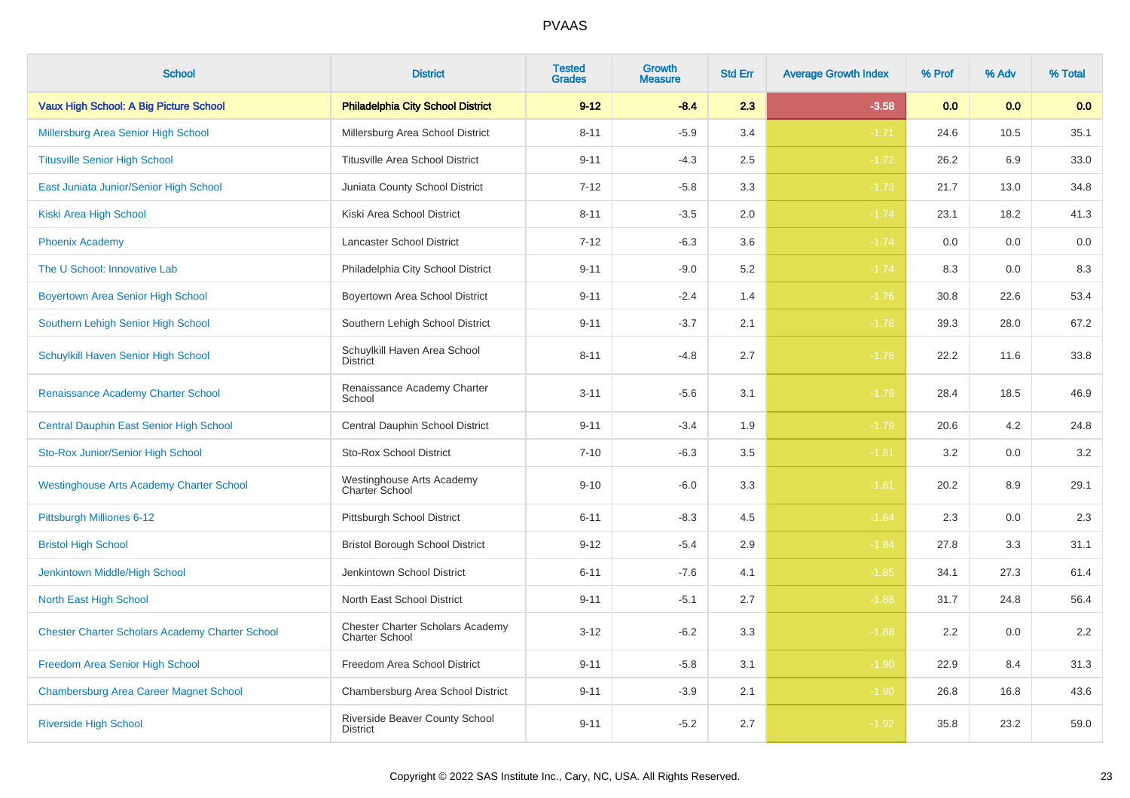| <b>School</b>                                          | <b>District</b>                                                  | <b>Tested</b><br><b>Grades</b> | <b>Growth</b><br><b>Measure</b> | <b>Std Err</b> | <b>Average Growth Index</b> | % Prof | % Adv | % Total |
|--------------------------------------------------------|------------------------------------------------------------------|--------------------------------|---------------------------------|----------------|-----------------------------|--------|-------|---------|
| Vaux High School: A Big Picture School                 | <b>Philadelphia City School District</b>                         | $9 - 12$                       | $-8.4$                          | 2.3            | $-3.58$                     | 0.0    | 0.0   | 0.0     |
| Millersburg Area Senior High School                    | Millersburg Area School District                                 | $8 - 11$                       | $-5.9$                          | 3.4            | $-1.71$                     | 24.6   | 10.5  | 35.1    |
| <b>Titusville Senior High School</b>                   | <b>Titusville Area School District</b>                           | $9 - 11$                       | $-4.3$                          | 2.5            | $-1.72$                     | 26.2   | 6.9   | 33.0    |
| East Juniata Junior/Senior High School                 | Juniata County School District                                   | $7 - 12$                       | $-5.8$                          | 3.3            | $-1.73$                     | 21.7   | 13.0  | 34.8    |
| Kiski Area High School                                 | Kiski Area School District                                       | $8 - 11$                       | $-3.5$                          | 2.0            | $-1.74$                     | 23.1   | 18.2  | 41.3    |
| <b>Phoenix Academy</b>                                 | Lancaster School District                                        | $7 - 12$                       | $-6.3$                          | 3.6            | $-1.74$                     | 0.0    | 0.0   | 0.0     |
| The U School: Innovative Lab                           | Philadelphia City School District                                | $9 - 11$                       | $-9.0$                          | 5.2            | $-1.74$                     | 8.3    | 0.0   | 8.3     |
| <b>Boyertown Area Senior High School</b>               | Boyertown Area School District                                   | $9 - 11$                       | $-2.4$                          | 1.4            | $-1.76$                     | 30.8   | 22.6  | 53.4    |
| Southern Lehigh Senior High School                     | Southern Lehigh School District                                  | $9 - 11$                       | $-3.7$                          | 2.1            | $-1.76$                     | 39.3   | 28.0  | 67.2    |
| Schuylkill Haven Senior High School                    | Schuylkill Haven Area School<br><b>District</b>                  | $8 - 11$                       | $-4.8$                          | 2.7            | $-1.78$                     | 22.2   | 11.6  | 33.8    |
| Renaissance Academy Charter School                     | Renaissance Academy Charter<br>School                            | $3 - 11$                       | $-5.6$                          | 3.1            | $-1.79$                     | 28.4   | 18.5  | 46.9    |
| <b>Central Dauphin East Senior High School</b>         | Central Dauphin School District                                  | $9 - 11$                       | $-3.4$                          | 1.9            | $-1.79$                     | 20.6   | 4.2   | 24.8    |
| Sto-Rox Junior/Senior High School                      | <b>Sto-Rox School District</b>                                   | $7 - 10$                       | $-6.3$                          | 3.5            | $-1.81$                     | 3.2    | 0.0   | 3.2     |
| <b>Westinghouse Arts Academy Charter School</b>        | Westinghouse Arts Academy<br>Charter School                      | $9 - 10$                       | $-6.0$                          | 3.3            | $-1.81$                     | 20.2   | 8.9   | 29.1    |
| Pittsburgh Milliones 6-12                              | Pittsburgh School District                                       | $6 - 11$                       | $-8.3$                          | 4.5            | $-1.84$                     | 2.3    | 0.0   | 2.3     |
| <b>Bristol High School</b>                             | <b>Bristol Borough School District</b>                           | $9 - 12$                       | $-5.4$                          | 2.9            | $-1.84$                     | 27.8   | 3.3   | 31.1    |
| Jenkintown Middle/High School                          | Jenkintown School District                                       | $6 - 11$                       | $-7.6$                          | 4.1            | $-1.85$                     | 34.1   | 27.3  | 61.4    |
| North East High School                                 | North East School District                                       | $9 - 11$                       | $-5.1$                          | 2.7            | $-1.88$                     | 31.7   | 24.8  | 56.4    |
| <b>Chester Charter Scholars Academy Charter School</b> | <b>Chester Charter Scholars Academy</b><br><b>Charter School</b> | $3 - 12$                       | $-6.2$                          | 3.3            | $-1.88$                     | 2.2    | 0.0   | 2.2     |
| Freedom Area Senior High School                        | Freedom Area School District                                     | $9 - 11$                       | $-5.8$                          | 3.1            | $-1.90$                     | 22.9   | 8.4   | 31.3    |
| <b>Chambersburg Area Career Magnet School</b>          | Chambersburg Area School District                                | $9 - 11$                       | $-3.9$                          | 2.1            | $-1.90$                     | 26.8   | 16.8  | 43.6    |
| <b>Riverside High School</b>                           | Riverside Beaver County School<br><b>District</b>                | $9 - 11$                       | $-5.2$                          | 2.7            | $-1.92$                     | 35.8   | 23.2  | 59.0    |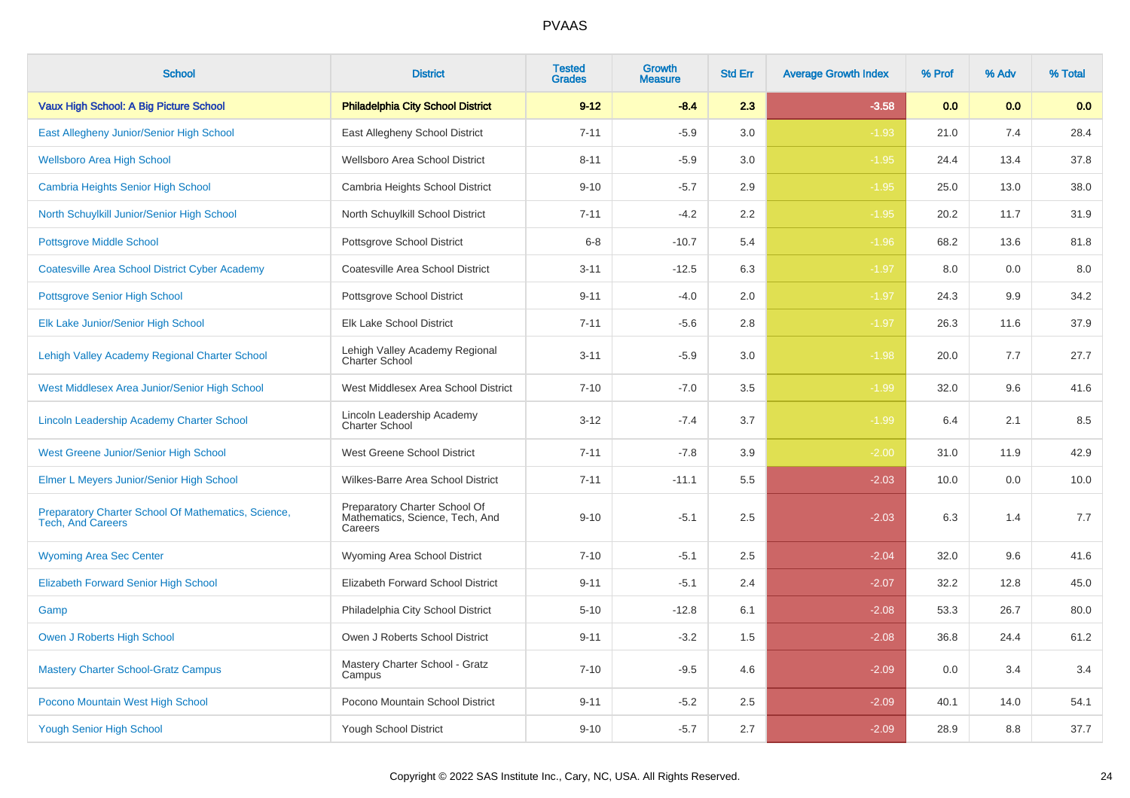| <b>School</b>                                                                   | <b>District</b>                                                             | <b>Tested</b><br><b>Grades</b> | <b>Growth</b><br><b>Measure</b> | <b>Std Err</b> | <b>Average Growth Index</b> | % Prof | % Adv | % Total |
|---------------------------------------------------------------------------------|-----------------------------------------------------------------------------|--------------------------------|---------------------------------|----------------|-----------------------------|--------|-------|---------|
| Vaux High School: A Big Picture School                                          | <b>Philadelphia City School District</b>                                    | $9 - 12$                       | $-8.4$                          | 2.3            | $-3.58$                     | 0.0    | 0.0   | 0.0     |
| East Allegheny Junior/Senior High School                                        | East Allegheny School District                                              | $7 - 11$                       | $-5.9$                          | 3.0            | $-1.93$                     | 21.0   | 7.4   | 28.4    |
| <b>Wellsboro Area High School</b>                                               | Wellsboro Area School District                                              | $8 - 11$                       | $-5.9$                          | 3.0            | $-1.95$                     | 24.4   | 13.4  | 37.8    |
| <b>Cambria Heights Senior High School</b>                                       | Cambria Heights School District                                             | $9 - 10$                       | $-5.7$                          | 2.9            | $-1.95$                     | 25.0   | 13.0  | 38.0    |
| North Schuylkill Junior/Senior High School                                      | North Schuylkill School District                                            | $7 - 11$                       | $-4.2$                          | 2.2            | $-1.95$                     | 20.2   | 11.7  | 31.9    |
| <b>Pottsgrove Middle School</b>                                                 | Pottsgrove School District                                                  | $6 - 8$                        | $-10.7$                         | 5.4            | $-1.96$                     | 68.2   | 13.6  | 81.8    |
| <b>Coatesville Area School District Cyber Academy</b>                           | Coatesville Area School District                                            | $3 - 11$                       | $-12.5$                         | 6.3            | $-1.97$                     | 8.0    | 0.0   | 8.0     |
| <b>Pottsgrove Senior High School</b>                                            | Pottsgrove School District                                                  | $9 - 11$                       | $-4.0$                          | 2.0            | $-1.97$                     | 24.3   | 9.9   | 34.2    |
| Elk Lake Junior/Senior High School                                              | <b>Elk Lake School District</b>                                             | $7 - 11$                       | $-5.6$                          | 2.8            | $-1.97$                     | 26.3   | 11.6  | 37.9    |
| Lehigh Valley Academy Regional Charter School                                   | Lehigh Valley Academy Regional<br>Charter School                            | $3 - 11$                       | $-5.9$                          | 3.0            | $-1.98$                     | 20.0   | 7.7   | 27.7    |
| West Middlesex Area Junior/Senior High School                                   | West Middlesex Area School District                                         | $7 - 10$                       | $-7.0$                          | 3.5            | $-1.99$                     | 32.0   | 9.6   | 41.6    |
| <b>Lincoln Leadership Academy Charter School</b>                                | Lincoln Leadership Academy<br><b>Charter School</b>                         | $3 - 12$                       | $-7.4$                          | 3.7            | $-1.99$                     | 6.4    | 2.1   | 8.5     |
| West Greene Junior/Senior High School                                           | West Greene School District                                                 | $7 - 11$                       | $-7.8$                          | 3.9            | $-2.00$                     | 31.0   | 11.9  | 42.9    |
| Elmer L Meyers Junior/Senior High School                                        | Wilkes-Barre Area School District                                           | $7 - 11$                       | $-11.1$                         | 5.5            | $-2.03$                     | 10.0   | 0.0   | 10.0    |
| Preparatory Charter School Of Mathematics, Science,<br><b>Tech. And Careers</b> | Preparatory Charter School Of<br>Mathematics, Science, Tech, And<br>Careers | $9 - 10$                       | $-5.1$                          | 2.5            | $-2.03$                     | 6.3    | 1.4   | 7.7     |
| <b>Wyoming Area Sec Center</b>                                                  | Wyoming Area School District                                                | $7 - 10$                       | $-5.1$                          | 2.5            | $-2.04$                     | 32.0   | 9.6   | 41.6    |
| <b>Elizabeth Forward Senior High School</b>                                     | Elizabeth Forward School District                                           | $9 - 11$                       | $-5.1$                          | 2.4            | $-2.07$                     | 32.2   | 12.8  | 45.0    |
| Gamp                                                                            | Philadelphia City School District                                           | $5 - 10$                       | $-12.8$                         | 6.1            | $-2.08$                     | 53.3   | 26.7  | 80.0    |
| Owen J Roberts High School                                                      | Owen J Roberts School District                                              | $9 - 11$                       | $-3.2$                          | 1.5            | $-2.08$                     | 36.8   | 24.4  | 61.2    |
| <b>Mastery Charter School-Gratz Campus</b>                                      | Mastery Charter School - Gratz<br>Campus                                    | $7 - 10$                       | $-9.5$                          | 4.6            | $-2.09$                     | 0.0    | 3.4   | 3.4     |
| Pocono Mountain West High School                                                | Pocono Mountain School District                                             | $9 - 11$                       | $-5.2$                          | 2.5            | $-2.09$                     | 40.1   | 14.0  | 54.1    |
| <b>Yough Senior High School</b>                                                 | Yough School District                                                       | $9 - 10$                       | $-5.7$                          | 2.7            | $-2.09$                     | 28.9   | 8.8   | 37.7    |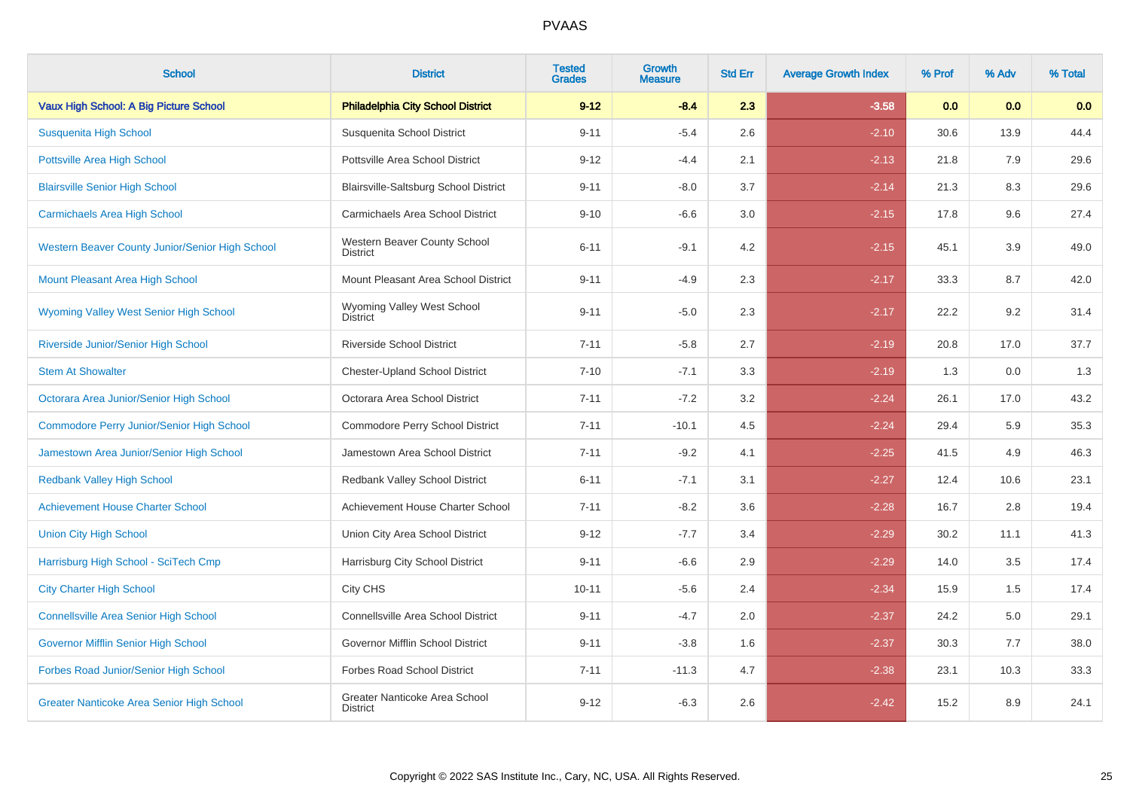| <b>School</b>                                    | <b>District</b>                                  | <b>Tested</b><br><b>Grades</b> | <b>Growth</b><br><b>Measure</b> | <b>Std Err</b> | <b>Average Growth Index</b> | % Prof | % Adv | % Total |
|--------------------------------------------------|--------------------------------------------------|--------------------------------|---------------------------------|----------------|-----------------------------|--------|-------|---------|
| Vaux High School: A Big Picture School           | <b>Philadelphia City School District</b>         | $9 - 12$                       | $-8.4$                          | 2.3            | $-3.58$                     | 0.0    | 0.0   | 0.0     |
| Susquenita High School                           | Susquenita School District                       | $9 - 11$                       | $-5.4$                          | 2.6            | $-2.10$                     | 30.6   | 13.9  | 44.4    |
| <b>Pottsville Area High School</b>               | Pottsville Area School District                  | $9 - 12$                       | $-4.4$                          | 2.1            | $-2.13$                     | 21.8   | 7.9   | 29.6    |
| <b>Blairsville Senior High School</b>            | Blairsville-Saltsburg School District            | $9 - 11$                       | $-8.0$                          | 3.7            | $-2.14$                     | 21.3   | 8.3   | 29.6    |
| <b>Carmichaels Area High School</b>              | Carmichaels Area School District                 | $9 - 10$                       | $-6.6$                          | 3.0            | $-2.15$                     | 17.8   | 9.6   | 27.4    |
| Western Beaver County Junior/Senior High School  | Western Beaver County School<br><b>District</b>  | $6 - 11$                       | $-9.1$                          | 4.2            | $-2.15$                     | 45.1   | 3.9   | 49.0    |
| Mount Pleasant Area High School                  | Mount Pleasant Area School District              | $9 - 11$                       | $-4.9$                          | 2.3            | $-2.17$                     | 33.3   | 8.7   | 42.0    |
| <b>Wyoming Valley West Senior High School</b>    | Wyoming Valley West School<br><b>District</b>    | $9 - 11$                       | $-5.0$                          | 2.3            | $-2.17$                     | 22.2   | 9.2   | 31.4    |
| Riverside Junior/Senior High School              | <b>Riverside School District</b>                 | $7 - 11$                       | $-5.8$                          | 2.7            | $-2.19$                     | 20.8   | 17.0  | 37.7    |
| <b>Stem At Showalter</b>                         | <b>Chester-Upland School District</b>            | $7 - 10$                       | $-7.1$                          | 3.3            | $-2.19$                     | 1.3    | 0.0   | 1.3     |
| Octorara Area Junior/Senior High School          | Octorara Area School District                    | $7 - 11$                       | $-7.2$                          | 3.2            | $-2.24$                     | 26.1   | 17.0  | 43.2    |
| <b>Commodore Perry Junior/Senior High School</b> | Commodore Perry School District                  | $7 - 11$                       | $-10.1$                         | 4.5            | $-2.24$                     | 29.4   | 5.9   | 35.3    |
| Jamestown Area Junior/Senior High School         | Jamestown Area School District                   | $7 - 11$                       | $-9.2$                          | 4.1            | $-2.25$                     | 41.5   | 4.9   | 46.3    |
| <b>Redbank Valley High School</b>                | Redbank Valley School District                   | $6 - 11$                       | $-7.1$                          | 3.1            | $-2.27$                     | 12.4   | 10.6  | 23.1    |
| <b>Achievement House Charter School</b>          | Achievement House Charter School                 | $7 - 11$                       | $-8.2$                          | 3.6            | $-2.28$                     | 16.7   | 2.8   | 19.4    |
| <b>Union City High School</b>                    | Union City Area School District                  | $9 - 12$                       | $-7.7$                          | 3.4            | $-2.29$                     | 30.2   | 11.1  | 41.3    |
| Harrisburg High School - SciTech Cmp             | Harrisburg City School District                  | $9 - 11$                       | $-6.6$                          | 2.9            | $-2.29$                     | 14.0   | 3.5   | 17.4    |
| <b>City Charter High School</b>                  | City CHS                                         | $10 - 11$                      | $-5.6$                          | 2.4            | $-2.34$                     | 15.9   | 1.5   | 17.4    |
| <b>Connellsville Area Senior High School</b>     | Connellsville Area School District               | $9 - 11$                       | $-4.7$                          | 2.0            | $-2.37$                     | 24.2   | 5.0   | 29.1    |
| Governor Mifflin Senior High School              | Governor Mifflin School District                 | $9 - 11$                       | $-3.8$                          | 1.6            | $-2.37$                     | 30.3   | 7.7   | 38.0    |
| Forbes Road Junior/Senior High School            | Forbes Road School District                      | $7 - 11$                       | $-11.3$                         | 4.7            | $-2.38$                     | 23.1   | 10.3  | 33.3    |
| <b>Greater Nanticoke Area Senior High School</b> | Greater Nanticoke Area School<br><b>District</b> | $9 - 12$                       | $-6.3$                          | 2.6            | $-2.42$                     | 15.2   | 8.9   | 24.1    |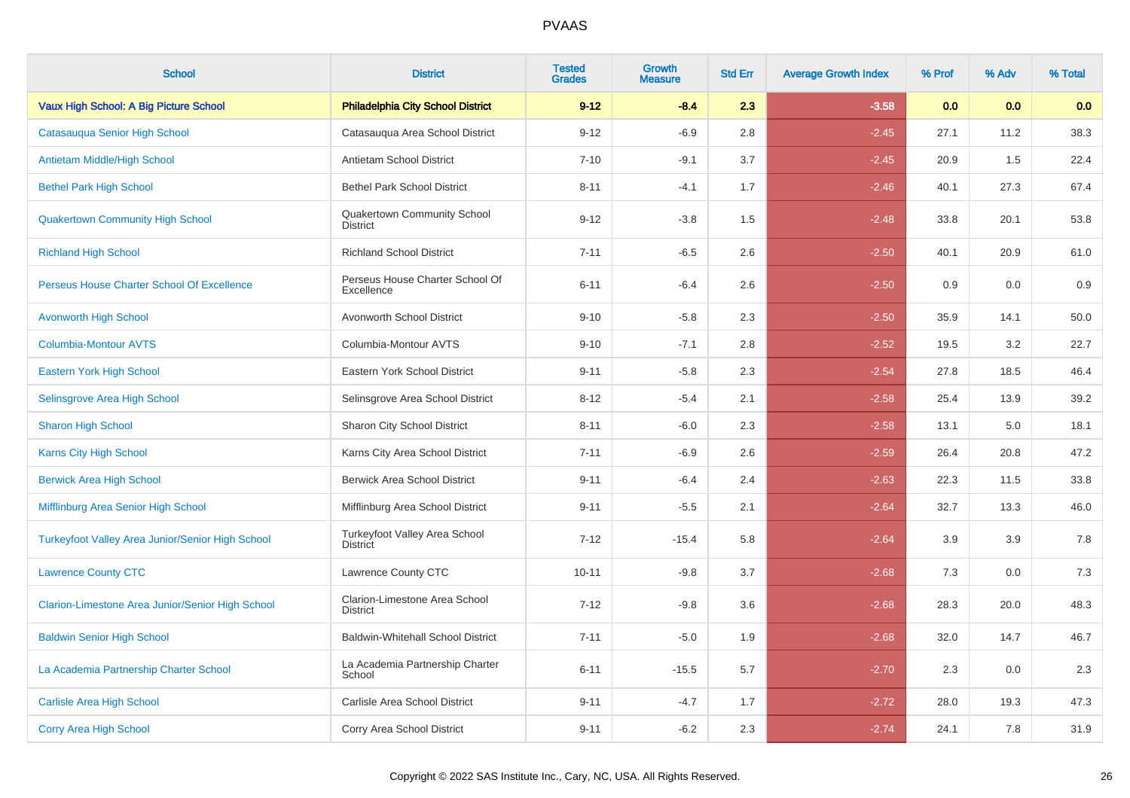| <b>School</b>                                    | <b>District</b>                                  | <b>Tested</b><br><b>Grades</b> | <b>Growth</b><br><b>Measure</b> | <b>Std Err</b> | <b>Average Growth Index</b> | % Prof | % Adv | % Total |
|--------------------------------------------------|--------------------------------------------------|--------------------------------|---------------------------------|----------------|-----------------------------|--------|-------|---------|
| Vaux High School: A Big Picture School           | <b>Philadelphia City School District</b>         | $9 - 12$                       | $-8.4$                          | 2.3            | $-3.58$                     | 0.0    | 0.0   | 0.0     |
| Catasauqua Senior High School                    | Catasauqua Area School District                  | $9 - 12$                       | $-6.9$                          | 2.8            | $-2.45$                     | 27.1   | 11.2  | 38.3    |
| Antietam Middle/High School                      | Antietam School District                         | $7 - 10$                       | $-9.1$                          | 3.7            | $-2.45$                     | 20.9   | 1.5   | 22.4    |
| <b>Bethel Park High School</b>                   | <b>Bethel Park School District</b>               | $8 - 11$                       | $-4.1$                          | 1.7            | $-2.46$                     | 40.1   | 27.3  | 67.4    |
| <b>Quakertown Community High School</b>          | Quakertown Community School<br><b>District</b>   | $9 - 12$                       | $-3.8$                          | 1.5            | $-2.48$                     | 33.8   | 20.1  | 53.8    |
| <b>Richland High School</b>                      | <b>Richland School District</b>                  | $7 - 11$                       | $-6.5$                          | 2.6            | $-2.50$                     | 40.1   | 20.9  | 61.0    |
| Perseus House Charter School Of Excellence       | Perseus House Charter School Of<br>Excellence    | $6 - 11$                       | $-6.4$                          | 2.6            | $-2.50$                     | 0.9    | 0.0   | 0.9     |
| <b>Avonworth High School</b>                     | Avonworth School District                        | $9 - 10$                       | $-5.8$                          | 2.3            | $-2.50$                     | 35.9   | 14.1  | 50.0    |
| <b>Columbia-Montour AVTS</b>                     | Columbia-Montour AVTS                            | $9 - 10$                       | $-7.1$                          | 2.8            | $-2.52$                     | 19.5   | 3.2   | 22.7    |
| <b>Eastern York High School</b>                  | Eastern York School District                     | $9 - 11$                       | $-5.8$                          | 2.3            | $-2.54$                     | 27.8   | 18.5  | 46.4    |
| Selinsgrove Area High School                     | Selinsgrove Area School District                 | $8 - 12$                       | $-5.4$                          | 2.1            | $-2.58$                     | 25.4   | 13.9  | 39.2    |
| <b>Sharon High School</b>                        | <b>Sharon City School District</b>               | $8 - 11$                       | $-6.0$                          | 2.3            | $-2.58$                     | 13.1   | 5.0   | 18.1    |
| Karns City High School                           | Karns City Area School District                  | $7 - 11$                       | $-6.9$                          | 2.6            | $-2.59$                     | 26.4   | 20.8  | 47.2    |
| <b>Berwick Area High School</b>                  | <b>Berwick Area School District</b>              | $9 - 11$                       | $-6.4$                          | 2.4            | $-2.63$                     | 22.3   | 11.5  | 33.8    |
| Mifflinburg Area Senior High School              | Mifflinburg Area School District                 | $9 - 11$                       | $-5.5$                          | 2.1            | $-2.64$                     | 32.7   | 13.3  | 46.0    |
| Turkeyfoot Valley Area Junior/Senior High School | Turkeyfoot Valley Area School<br><b>District</b> | $7 - 12$                       | $-15.4$                         | 5.8            | $-2.64$                     | 3.9    | 3.9   | 7.8     |
| <b>Lawrence County CTC</b>                       | Lawrence County CTC                              | $10 - 11$                      | $-9.8$                          | 3.7            | $-2.68$                     | 7.3    | 0.0   | 7.3     |
| Clarion-Limestone Area Junior/Senior High School | Clarion-Limestone Area School<br><b>District</b> | $7 - 12$                       | $-9.8$                          | 3.6            | $-2.68$                     | 28.3   | 20.0  | 48.3    |
| <b>Baldwin Senior High School</b>                | <b>Baldwin-Whitehall School District</b>         | $7 - 11$                       | $-5.0$                          | 1.9            | $-2.68$                     | 32.0   | 14.7  | 46.7    |
| La Academia Partnership Charter School           | La Academia Partnership Charter<br>School        | $6 - 11$                       | $-15.5$                         | 5.7            | $-2.70$                     | 2.3    | 0.0   | 2.3     |
| <b>Carlisle Area High School</b>                 | Carlisle Area School District                    | $9 - 11$                       | $-4.7$                          | 1.7            | $-2.72$                     | 28.0   | 19.3  | 47.3    |
| <b>Corry Area High School</b>                    | Corry Area School District                       | $9 - 11$                       | $-6.2$                          | 2.3            | $-2.74$                     | 24.1   | 7.8   | 31.9    |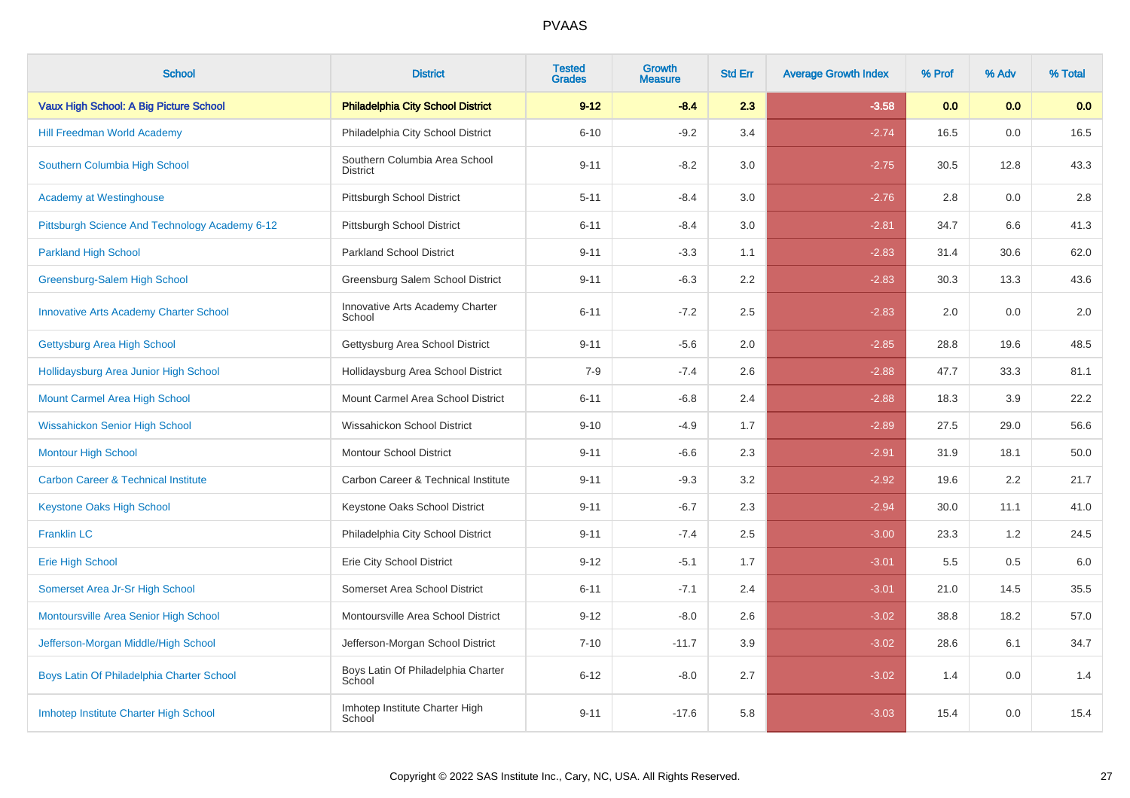| <b>School</b>                                  | <b>District</b>                                  | <b>Tested</b><br><b>Grades</b> | Growth<br><b>Measure</b> | <b>Std Err</b> | <b>Average Growth Index</b> | % Prof | % Adv | % Total |
|------------------------------------------------|--------------------------------------------------|--------------------------------|--------------------------|----------------|-----------------------------|--------|-------|---------|
| Vaux High School: A Big Picture School         | <b>Philadelphia City School District</b>         | $9 - 12$                       | $-8.4$                   | 2.3            | $-3.58$                     | 0.0    | 0.0   | 0.0     |
| <b>Hill Freedman World Academy</b>             | Philadelphia City School District                | $6 - 10$                       | $-9.2$                   | 3.4            | $-2.74$                     | 16.5   | 0.0   | 16.5    |
| Southern Columbia High School                  | Southern Columbia Area School<br><b>District</b> | $9 - 11$                       | $-8.2$                   | 3.0            | $-2.75$                     | 30.5   | 12.8  | 43.3    |
| <b>Academy at Westinghouse</b>                 | Pittsburgh School District                       | $5 - 11$                       | $-8.4$                   | 3.0            | $-2.76$                     | 2.8    | 0.0   | 2.8     |
| Pittsburgh Science And Technology Academy 6-12 | Pittsburgh School District                       | $6 - 11$                       | $-8.4$                   | 3.0            | $-2.81$                     | 34.7   | 6.6   | 41.3    |
| <b>Parkland High School</b>                    | <b>Parkland School District</b>                  | $9 - 11$                       | $-3.3$                   | 1.1            | $-2.83$                     | 31.4   | 30.6  | 62.0    |
| Greensburg-Salem High School                   | Greensburg Salem School District                 | $9 - 11$                       | $-6.3$                   | 2.2            | $-2.83$                     | 30.3   | 13.3  | 43.6    |
| <b>Innovative Arts Academy Charter School</b>  | Innovative Arts Academy Charter<br>School        | $6 - 11$                       | $-7.2$                   | 2.5            | $-2.83$                     | 2.0    | 0.0   | 2.0     |
| Gettysburg Area High School                    | Gettysburg Area School District                  | $9 - 11$                       | $-5.6$                   | 2.0            | $-2.85$                     | 28.8   | 19.6  | 48.5    |
| Hollidaysburg Area Junior High School          | Hollidaysburg Area School District               | $7 - 9$                        | $-7.4$                   | 2.6            | $-2.88$                     | 47.7   | 33.3  | 81.1    |
| <b>Mount Carmel Area High School</b>           | Mount Carmel Area School District                | $6 - 11$                       | $-6.8$                   | 2.4            | $-2.88$                     | 18.3   | 3.9   | 22.2    |
| <b>Wissahickon Senior High School</b>          | Wissahickon School District                      | $9 - 10$                       | $-4.9$                   | 1.7            | $-2.89$                     | 27.5   | 29.0  | 56.6    |
| <b>Montour High School</b>                     | <b>Montour School District</b>                   | $9 - 11$                       | $-6.6$                   | 2.3            | $-2.91$                     | 31.9   | 18.1  | 50.0    |
| <b>Carbon Career &amp; Technical Institute</b> | Carbon Career & Technical Institute              | $9 - 11$                       | $-9.3$                   | 3.2            | $-2.92$                     | 19.6   | 2.2   | 21.7    |
| <b>Keystone Oaks High School</b>               | Keystone Oaks School District                    | $9 - 11$                       | $-6.7$                   | 2.3            | $-2.94$                     | 30.0   | 11.1  | 41.0    |
| <b>Franklin LC</b>                             | Philadelphia City School District                | $9 - 11$                       | $-7.4$                   | 2.5            | $-3.00$                     | 23.3   | 1.2   | 24.5    |
| <b>Erie High School</b>                        | Erie City School District                        | $9 - 12$                       | $-5.1$                   | 1.7            | $-3.01$                     | 5.5    | 0.5   | 6.0     |
| Somerset Area Jr-Sr High School                | Somerset Area School District                    | $6 - 11$                       | $-7.1$                   | 2.4            | $-3.01$                     | 21.0   | 14.5  | 35.5    |
| Montoursville Area Senior High School          | Montoursville Area School District               | $9 - 12$                       | $-8.0$                   | 2.6            | $-3.02$                     | 38.8   | 18.2  | 57.0    |
| Jefferson-Morgan Middle/High School            | Jefferson-Morgan School District                 | $7 - 10$                       | $-11.7$                  | 3.9            | $-3.02$                     | 28.6   | 6.1   | 34.7    |
| Boys Latin Of Philadelphia Charter School      | Boys Latin Of Philadelphia Charter<br>School     | $6 - 12$                       | $-8.0$                   | 2.7            | $-3.02$                     | 1.4    | 0.0   | 1.4     |
| Imhotep Institute Charter High School          | Imhotep Institute Charter High<br>School         | $9 - 11$                       | $-17.6$                  | 5.8            | $-3.03$                     | 15.4   | 0.0   | 15.4    |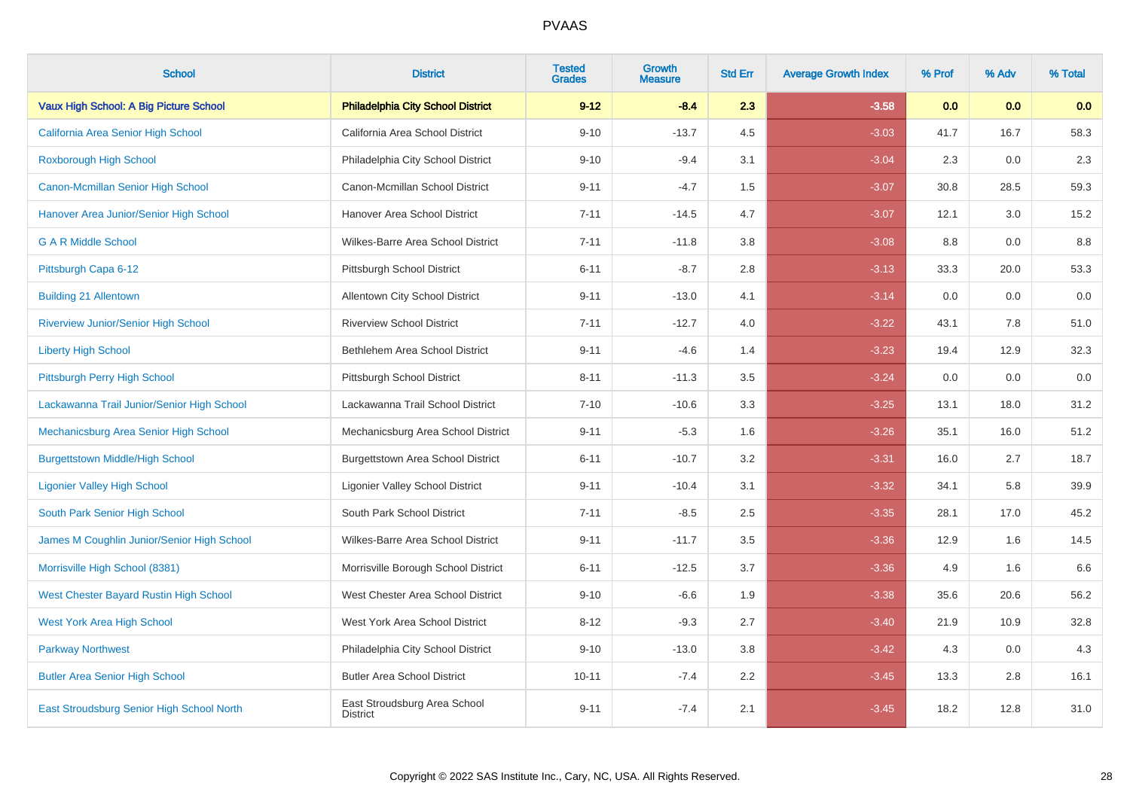| <b>School</b>                              | <b>District</b>                                 | <b>Tested</b><br><b>Grades</b> | <b>Growth</b><br><b>Measure</b> | <b>Std Err</b> | <b>Average Growth Index</b> | % Prof | % Adv | % Total |
|--------------------------------------------|-------------------------------------------------|--------------------------------|---------------------------------|----------------|-----------------------------|--------|-------|---------|
| Vaux High School: A Big Picture School     | <b>Philadelphia City School District</b>        | $9 - 12$                       | $-8.4$                          | 2.3            | $-3.58$                     | 0.0    | 0.0   | 0.0     |
| California Area Senior High School         | California Area School District                 | $9 - 10$                       | $-13.7$                         | 4.5            | $-3.03$                     | 41.7   | 16.7  | 58.3    |
| <b>Roxborough High School</b>              | Philadelphia City School District               | $9 - 10$                       | $-9.4$                          | 3.1            | $-3.04$                     | 2.3    | 0.0   | 2.3     |
| Canon-Mcmillan Senior High School          | Canon-Mcmillan School District                  | $9 - 11$                       | $-4.7$                          | 1.5            | $-3.07$                     | 30.8   | 28.5  | 59.3    |
| Hanover Area Junior/Senior High School     | Hanover Area School District                    | $7 - 11$                       | $-14.5$                         | 4.7            | $-3.07$                     | 12.1   | 3.0   | 15.2    |
| <b>G A R Middle School</b>                 | Wilkes-Barre Area School District               | $7 - 11$                       | $-11.8$                         | 3.8            | $-3.08$                     | 8.8    | 0.0   | 8.8     |
| Pittsburgh Capa 6-12                       | Pittsburgh School District                      | $6 - 11$                       | $-8.7$                          | 2.8            | $-3.13$                     | 33.3   | 20.0  | 53.3    |
| <b>Building 21 Allentown</b>               | Allentown City School District                  | $9 - 11$                       | $-13.0$                         | 4.1            | $-3.14$                     | 0.0    | 0.0   | 0.0     |
| <b>Riverview Junior/Senior High School</b> | <b>Riverview School District</b>                | $7 - 11$                       | $-12.7$                         | 4.0            | $-3.22$                     | 43.1   | 7.8   | 51.0    |
| <b>Liberty High School</b>                 | Bethlehem Area School District                  | $9 - 11$                       | $-4.6$                          | 1.4            | $-3.23$                     | 19.4   | 12.9  | 32.3    |
| Pittsburgh Perry High School               | Pittsburgh School District                      | $8 - 11$                       | $-11.3$                         | 3.5            | $-3.24$                     | 0.0    | 0.0   | 0.0     |
| Lackawanna Trail Junior/Senior High School | Lackawanna Trail School District                | $7 - 10$                       | $-10.6$                         | 3.3            | $-3.25$                     | 13.1   | 18.0  | 31.2    |
| Mechanicsburg Area Senior High School      | Mechanicsburg Area School District              | $9 - 11$                       | $-5.3$                          | 1.6            | $-3.26$                     | 35.1   | 16.0  | 51.2    |
| <b>Burgettstown Middle/High School</b>     | <b>Burgettstown Area School District</b>        | $6 - 11$                       | $-10.7$                         | 3.2            | $-3.31$                     | 16.0   | 2.7   | 18.7    |
| <b>Ligonier Valley High School</b>         | <b>Ligonier Valley School District</b>          | $9 - 11$                       | $-10.4$                         | 3.1            | $-3.32$                     | 34.1   | 5.8   | 39.9    |
| South Park Senior High School              | South Park School District                      | $7 - 11$                       | $-8.5$                          | 2.5            | $-3.35$                     | 28.1   | 17.0  | 45.2    |
| James M Coughlin Junior/Senior High School | Wilkes-Barre Area School District               | $9 - 11$                       | $-11.7$                         | 3.5            | $-3.36$                     | 12.9   | 1.6   | 14.5    |
| Morrisville High School (8381)             | Morrisville Borough School District             | $6 - 11$                       | $-12.5$                         | 3.7            | $-3.36$                     | 4.9    | 1.6   | 6.6     |
| West Chester Bayard Rustin High School     | West Chester Area School District               | $9 - 10$                       | $-6.6$                          | 1.9            | $-3.38$                     | 35.6   | 20.6  | 56.2    |
| <b>West York Area High School</b>          | West York Area School District                  | $8 - 12$                       | $-9.3$                          | 2.7            | $-3.40$                     | 21.9   | 10.9  | 32.8    |
| <b>Parkway Northwest</b>                   | Philadelphia City School District               | $9 - 10$                       | $-13.0$                         | 3.8            | $-3.42$                     | 4.3    | 0.0   | 4.3     |
| <b>Butler Area Senior High School</b>      | <b>Butler Area School District</b>              | $10 - 11$                      | $-7.4$                          | $2.2\,$        | $-3.45$                     | 13.3   | 2.8   | 16.1    |
| East Stroudsburg Senior High School North  | East Stroudsburg Area School<br><b>District</b> | $9 - 11$                       | $-7.4$                          | 2.1            | $-3.45$                     | 18.2   | 12.8  | 31.0    |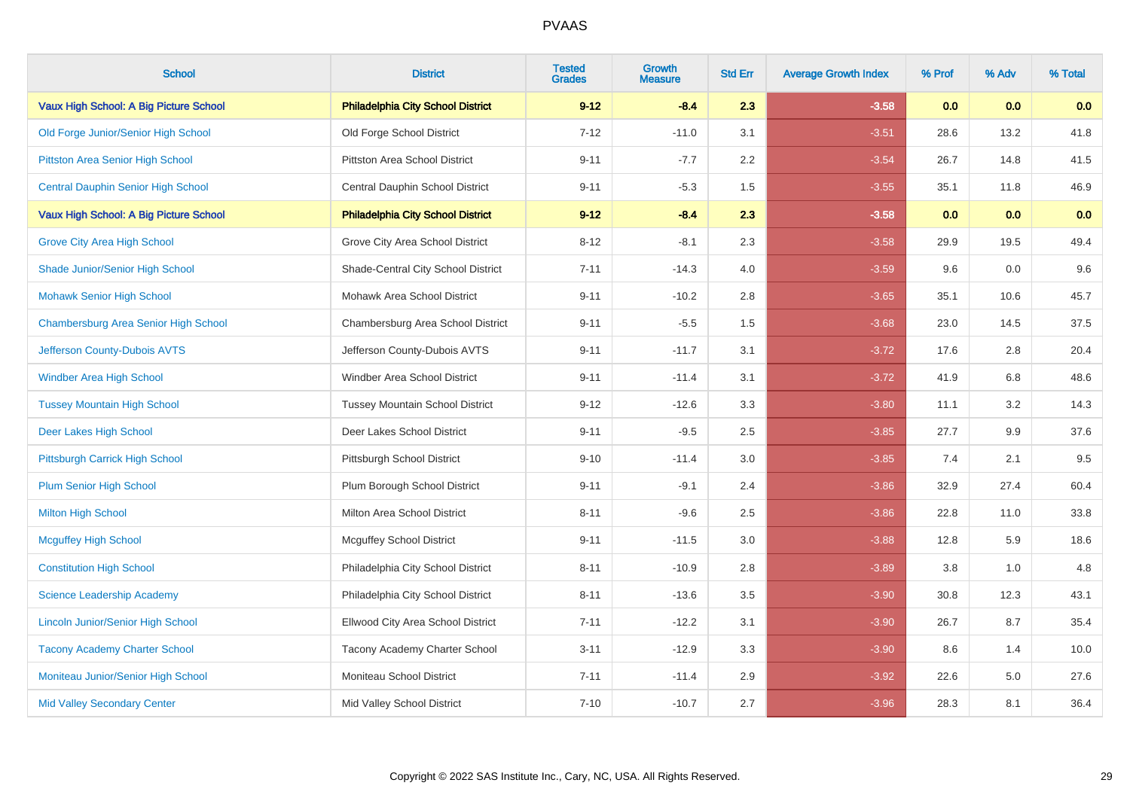| <b>School</b>                             | <b>District</b>                          | <b>Tested</b><br><b>Grades</b> | <b>Growth</b><br><b>Measure</b> | <b>Std Err</b> | <b>Average Growth Index</b> | % Prof | % Adv | % Total |
|-------------------------------------------|------------------------------------------|--------------------------------|---------------------------------|----------------|-----------------------------|--------|-------|---------|
| Vaux High School: A Big Picture School    | <b>Philadelphia City School District</b> | $9 - 12$                       | $-8.4$                          | 2.3            | $-3.58$                     | 0.0    | 0.0   | 0.0     |
| Old Forge Junior/Senior High School       | Old Forge School District                | $7 - 12$                       | $-11.0$                         | 3.1            | $-3.51$                     | 28.6   | 13.2  | 41.8    |
| Pittston Area Senior High School          | Pittston Area School District            | $9 - 11$                       | $-7.7$                          | 2.2            | $-3.54$                     | 26.7   | 14.8  | 41.5    |
| <b>Central Dauphin Senior High School</b> | Central Dauphin School District          | $9 - 11$                       | $-5.3$                          | 1.5            | $-3.55$                     | 35.1   | 11.8  | 46.9    |
| Vaux High School: A Big Picture School    | <b>Philadelphia City School District</b> | $9 - 12$                       | $-8.4$                          | 2.3            | $-3.58$                     | 0.0    | 0.0   | 0.0     |
| <b>Grove City Area High School</b>        | Grove City Area School District          | $8 - 12$                       | $-8.1$                          | 2.3            | $-3.58$                     | 29.9   | 19.5  | 49.4    |
| Shade Junior/Senior High School           | Shade-Central City School District       | $7 - 11$                       | $-14.3$                         | 4.0            | $-3.59$                     | 9.6    | 0.0   | 9.6     |
| <b>Mohawk Senior High School</b>          | Mohawk Area School District              | $9 - 11$                       | $-10.2$                         | 2.8            | $-3.65$                     | 35.1   | 10.6  | 45.7    |
| Chambersburg Area Senior High School      | Chambersburg Area School District        | $9 - 11$                       | $-5.5$                          | 1.5            | $-3.68$                     | 23.0   | 14.5  | 37.5    |
| Jefferson County-Dubois AVTS              | Jefferson County-Dubois AVTS             | $9 - 11$                       | $-11.7$                         | 3.1            | $-3.72$                     | 17.6   | 2.8   | 20.4    |
| <b>Windber Area High School</b>           | Windber Area School District             | $9 - 11$                       | $-11.4$                         | 3.1            | $-3.72$                     | 41.9   | 6.8   | 48.6    |
| <b>Tussey Mountain High School</b>        | <b>Tussey Mountain School District</b>   | $9 - 12$                       | $-12.6$                         | 3.3            | $-3.80$                     | 11.1   | 3.2   | 14.3    |
| Deer Lakes High School                    | Deer Lakes School District               | $9 - 11$                       | $-9.5$                          | 2.5            | $-3.85$                     | 27.7   | 9.9   | 37.6    |
| Pittsburgh Carrick High School            | Pittsburgh School District               | $9 - 10$                       | $-11.4$                         | 3.0            | $-3.85$                     | 7.4    | 2.1   | 9.5     |
| Plum Senior High School                   | Plum Borough School District             | $9 - 11$                       | $-9.1$                          | 2.4            | $-3.86$                     | 32.9   | 27.4  | 60.4    |
| Milton High School                        | <b>Milton Area School District</b>       | $8 - 11$                       | $-9.6$                          | 2.5            | $-3.86$                     | 22.8   | 11.0  | 33.8    |
| <b>Mcguffey High School</b>               | <b>Mcguffey School District</b>          | $9 - 11$                       | $-11.5$                         | 3.0            | $-3.88$                     | 12.8   | 5.9   | 18.6    |
| <b>Constitution High School</b>           | Philadelphia City School District        | $8 - 11$                       | $-10.9$                         | 2.8            | $-3.89$                     | 3.8    | 1.0   | 4.8     |
| Science Leadership Academy                | Philadelphia City School District        | $8 - 11$                       | $-13.6$                         | 3.5            | $-3.90$                     | 30.8   | 12.3  | 43.1    |
| <b>Lincoln Junior/Senior High School</b>  | Ellwood City Area School District        | $7 - 11$                       | $-12.2$                         | 3.1            | $-3.90$                     | 26.7   | 8.7   | 35.4    |
| <b>Tacony Academy Charter School</b>      | Tacony Academy Charter School            | $3 - 11$                       | $-12.9$                         | 3.3            | $-3.90$                     | 8.6    | 1.4   | 10.0    |
| Moniteau Junior/Senior High School        | Moniteau School District                 | $7 - 11$                       | $-11.4$                         | 2.9            | $-3.92$                     | 22.6   | 5.0   | 27.6    |
| <b>Mid Valley Secondary Center</b>        | Mid Valley School District               | $7 - 10$                       | $-10.7$                         | 2.7            | $-3.96$                     | 28.3   | 8.1   | 36.4    |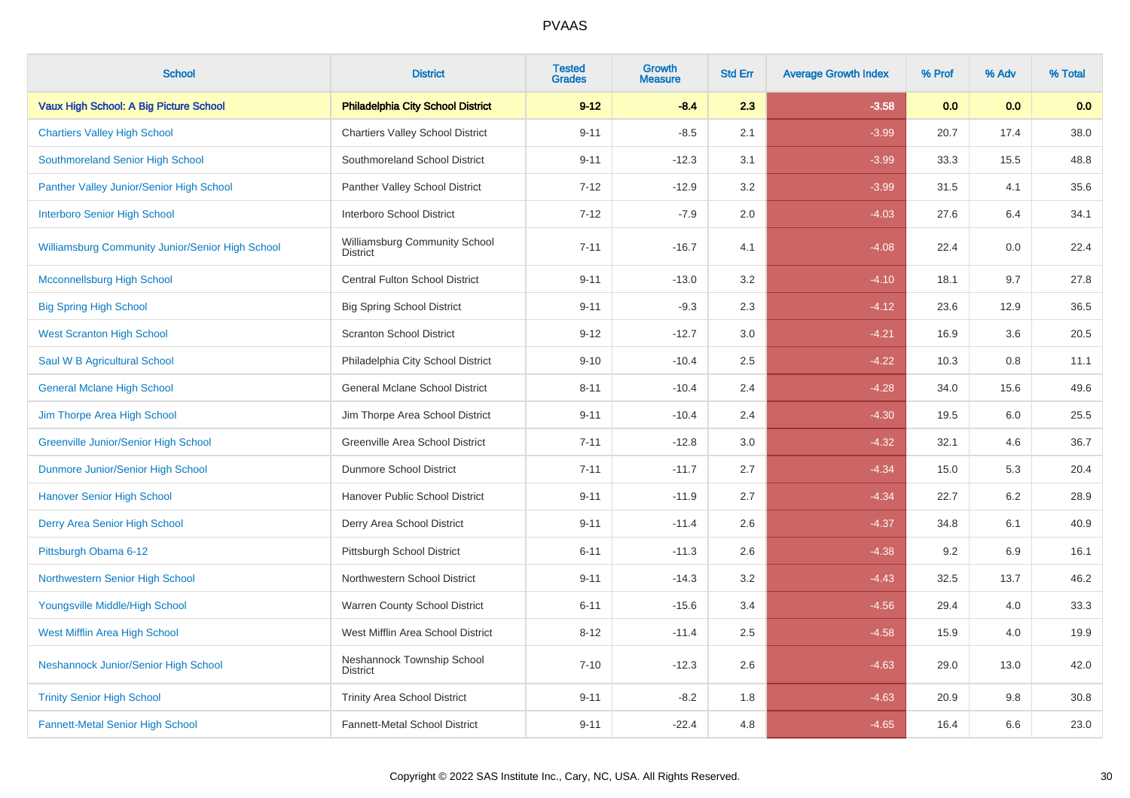| <b>School</b>                                    | <b>District</b>                                  | <b>Tested</b><br><b>Grades</b> | Growth<br><b>Measure</b> | <b>Std Err</b> | <b>Average Growth Index</b> | % Prof | % Adv | % Total |
|--------------------------------------------------|--------------------------------------------------|--------------------------------|--------------------------|----------------|-----------------------------|--------|-------|---------|
| Vaux High School: A Big Picture School           | <b>Philadelphia City School District</b>         | $9 - 12$                       | $-8.4$                   | 2.3            | $-3.58$                     | 0.0    | 0.0   | 0.0     |
| <b>Chartiers Valley High School</b>              | <b>Chartiers Valley School District</b>          | $9 - 11$                       | $-8.5$                   | 2.1            | $-3.99$                     | 20.7   | 17.4  | 38.0    |
| Southmoreland Senior High School                 | Southmoreland School District                    | $9 - 11$                       | $-12.3$                  | 3.1            | $-3.99$                     | 33.3   | 15.5  | 48.8    |
| Panther Valley Junior/Senior High School         | Panther Valley School District                   | $7 - 12$                       | $-12.9$                  | 3.2            | $-3.99$                     | 31.5   | 4.1   | 35.6    |
| <b>Interboro Senior High School</b>              | Interboro School District                        | $7 - 12$                       | $-7.9$                   | 2.0            | $-4.03$                     | 27.6   | 6.4   | 34.1    |
| Williamsburg Community Junior/Senior High School | Williamsburg Community School<br><b>District</b> | $7 - 11$                       | $-16.7$                  | 4.1            | $-4.08$                     | 22.4   | 0.0   | 22.4    |
| <b>Mcconnellsburg High School</b>                | <b>Central Fulton School District</b>            | $9 - 11$                       | $-13.0$                  | 3.2            | $-4.10$                     | 18.1   | 9.7   | 27.8    |
| <b>Big Spring High School</b>                    | <b>Big Spring School District</b>                | $9 - 11$                       | $-9.3$                   | 2.3            | $-4.12$                     | 23.6   | 12.9  | 36.5    |
| <b>West Scranton High School</b>                 | <b>Scranton School District</b>                  | $9 - 12$                       | $-12.7$                  | 3.0            | $-4.21$                     | 16.9   | 3.6   | 20.5    |
| Saul W B Agricultural School                     | Philadelphia City School District                | $9 - 10$                       | $-10.4$                  | 2.5            | $-4.22$                     | 10.3   | 0.8   | 11.1    |
| <b>General Mclane High School</b>                | General Mclane School District                   | $8 - 11$                       | $-10.4$                  | 2.4            | $-4.28$                     | 34.0   | 15.6  | 49.6    |
| Jim Thorpe Area High School                      | Jim Thorpe Area School District                  | $9 - 11$                       | $-10.4$                  | 2.4            | $-4.30$                     | 19.5   | 6.0   | 25.5    |
| <b>Greenville Junior/Senior High School</b>      | Greenville Area School District                  | $7 - 11$                       | $-12.8$                  | 3.0            | $-4.32$                     | 32.1   | 4.6   | 36.7    |
| Dunmore Junior/Senior High School                | Dunmore School District                          | $7 - 11$                       | $-11.7$                  | 2.7            | $-4.34$                     | 15.0   | 5.3   | 20.4    |
| <b>Hanover Senior High School</b>                | Hanover Public School District                   | $9 - 11$                       | $-11.9$                  | 2.7            | $-4.34$                     | 22.7   | 6.2   | 28.9    |
| Derry Area Senior High School                    | Derry Area School District                       | $9 - 11$                       | $-11.4$                  | 2.6            | $-4.37$                     | 34.8   | 6.1   | 40.9    |
| Pittsburgh Obama 6-12                            | Pittsburgh School District                       | $6 - 11$                       | $-11.3$                  | 2.6            | $-4.38$                     | 9.2    | 6.9   | 16.1    |
| Northwestern Senior High School                  | Northwestern School District                     | $9 - 11$                       | $-14.3$                  | 3.2            | $-4.43$                     | 32.5   | 13.7  | 46.2    |
| Youngsville Middle/High School                   | Warren County School District                    | $6 - 11$                       | $-15.6$                  | 3.4            | $-4.56$                     | 29.4   | 4.0   | 33.3    |
| West Mifflin Area High School                    | West Mifflin Area School District                | $8 - 12$                       | $-11.4$                  | 2.5            | $-4.58$                     | 15.9   | 4.0   | 19.9    |
| Neshannock Junior/Senior High School             | Neshannock Township School<br><b>District</b>    | $7 - 10$                       | $-12.3$                  | 2.6            | $-4.63$                     | 29.0   | 13.0  | 42.0    |
| <b>Trinity Senior High School</b>                | <b>Trinity Area School District</b>              | $9 - 11$                       | $-8.2$                   | 1.8            | $-4.63$                     | 20.9   | 9.8   | 30.8    |
| <b>Fannett-Metal Senior High School</b>          | Fannett-Metal School District                    | $9 - 11$                       | $-22.4$                  | 4.8            | $-4.65$                     | 16.4   | 6.6   | 23.0    |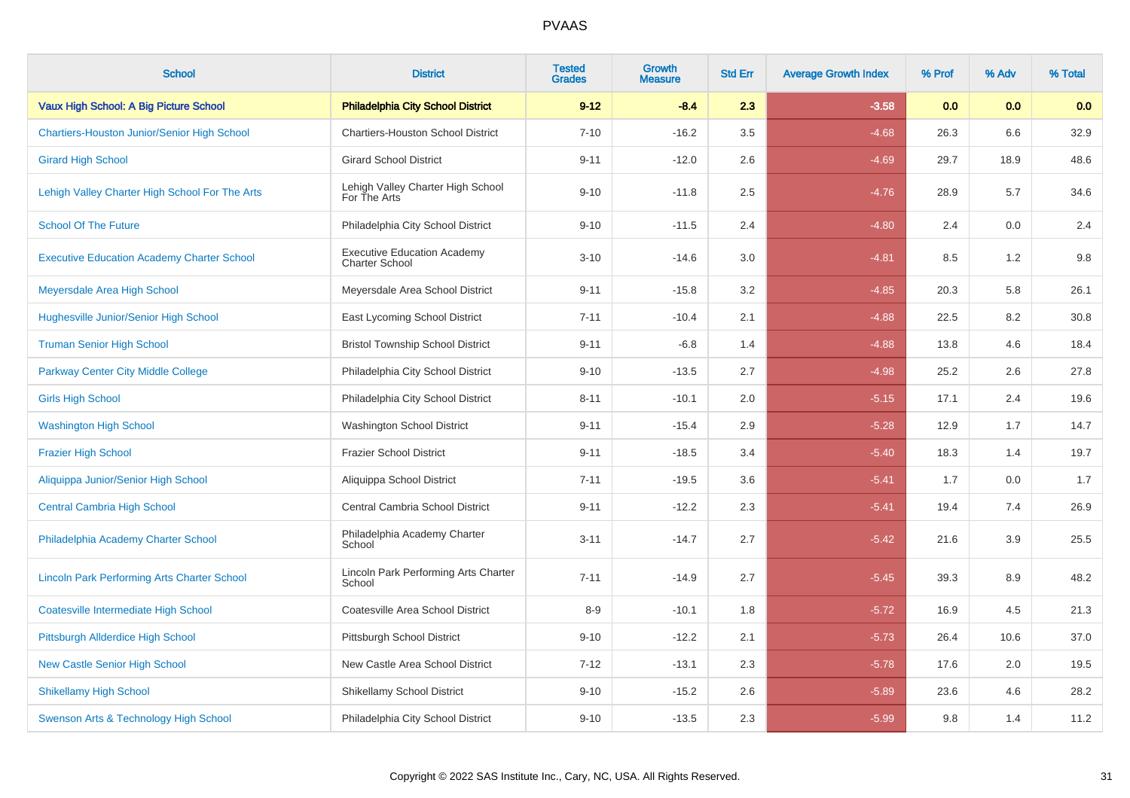| <b>School</b>                                      | <b>District</b>                                             | <b>Tested</b><br><b>Grades</b> | <b>Growth</b><br><b>Measure</b> | <b>Std Err</b> | <b>Average Growth Index</b> | % Prof | % Adv | % Total |
|----------------------------------------------------|-------------------------------------------------------------|--------------------------------|---------------------------------|----------------|-----------------------------|--------|-------|---------|
| Vaux High School: A Big Picture School             | <b>Philadelphia City School District</b>                    | $9 - 12$                       | $-8.4$                          | 2.3            | $-3.58$                     | 0.0    | 0.0   | 0.0     |
| <b>Chartiers-Houston Junior/Senior High School</b> | <b>Chartiers-Houston School District</b>                    | $7 - 10$                       | $-16.2$                         | 3.5            | $-4.68$                     | 26.3   | 6.6   | 32.9    |
| <b>Girard High School</b>                          | <b>Girard School District</b>                               | $9 - 11$                       | $-12.0$                         | 2.6            | $-4.69$                     | 29.7   | 18.9  | 48.6    |
| Lehigh Valley Charter High School For The Arts     | Lehigh Valley Charter High School<br>For The Arts           | $9 - 10$                       | $-11.8$                         | 2.5            | $-4.76$                     | 28.9   | 5.7   | 34.6    |
| <b>School Of The Future</b>                        | Philadelphia City School District                           | $9 - 10$                       | $-11.5$                         | 2.4            | $-4.80$                     | 2.4    | 0.0   | 2.4     |
| <b>Executive Education Academy Charter School</b>  | <b>Executive Education Academy</b><br><b>Charter School</b> | $3 - 10$                       | $-14.6$                         | 3.0            | $-4.81$                     | 8.5    | 1.2   | $9.8\,$ |
| Meyersdale Area High School                        | Meyersdale Area School District                             | $9 - 11$                       | $-15.8$                         | 3.2            | $-4.85$                     | 20.3   | 5.8   | 26.1    |
| Hughesville Junior/Senior High School              | East Lycoming School District                               | $7 - 11$                       | $-10.4$                         | 2.1            | $-4.88$                     | 22.5   | 8.2   | 30.8    |
| <b>Truman Senior High School</b>                   | <b>Bristol Township School District</b>                     | $9 - 11$                       | $-6.8$                          | 1.4            | $-4.88$                     | 13.8   | 4.6   | 18.4    |
| <b>Parkway Center City Middle College</b>          | Philadelphia City School District                           | $9 - 10$                       | $-13.5$                         | 2.7            | $-4.98$                     | 25.2   | 2.6   | 27.8    |
| <b>Girls High School</b>                           | Philadelphia City School District                           | $8 - 11$                       | $-10.1$                         | 2.0            | $-5.15$                     | 17.1   | 2.4   | 19.6    |
| <b>Washington High School</b>                      | Washington School District                                  | $9 - 11$                       | $-15.4$                         | 2.9            | $-5.28$                     | 12.9   | 1.7   | 14.7    |
| <b>Frazier High School</b>                         | <b>Frazier School District</b>                              | $9 - 11$                       | $-18.5$                         | 3.4            | $-5.40$                     | 18.3   | 1.4   | 19.7    |
| Aliquippa Junior/Senior High School                | Aliquippa School District                                   | $7 - 11$                       | $-19.5$                         | 3.6            | $-5.41$                     | 1.7    | 0.0   | 1.7     |
| <b>Central Cambria High School</b>                 | Central Cambria School District                             | $9 - 11$                       | $-12.2$                         | 2.3            | $-5.41$                     | 19.4   | 7.4   | 26.9    |
| Philadelphia Academy Charter School                | Philadelphia Academy Charter<br>School                      | $3 - 11$                       | $-14.7$                         | 2.7            | $-5.42$                     | 21.6   | 3.9   | 25.5    |
| <b>Lincoln Park Performing Arts Charter School</b> | Lincoln Park Performing Arts Charter<br>School              | $7 - 11$                       | $-14.9$                         | 2.7            | $-5.45$                     | 39.3   | 8.9   | 48.2    |
| <b>Coatesville Intermediate High School</b>        | Coatesville Area School District                            | $8-9$                          | $-10.1$                         | 1.8            | $-5.72$                     | 16.9   | 4.5   | 21.3    |
| Pittsburgh Allderdice High School                  | Pittsburgh School District                                  | $9 - 10$                       | $-12.2$                         | 2.1            | $-5.73$                     | 26.4   | 10.6  | 37.0    |
| <b>New Castle Senior High School</b>               | New Castle Area School District                             | $7 - 12$                       | $-13.1$                         | 2.3            | $-5.78$                     | 17.6   | 2.0   | 19.5    |
| <b>Shikellamy High School</b>                      | <b>Shikellamy School District</b>                           | $9 - 10$                       | $-15.2$                         | 2.6            | $-5.89$                     | 23.6   | 4.6   | 28.2    |
| Swenson Arts & Technology High School              | Philadelphia City School District                           | $9 - 10$                       | $-13.5$                         | 2.3            | $-5.99$                     | 9.8    | 1.4   | 11.2    |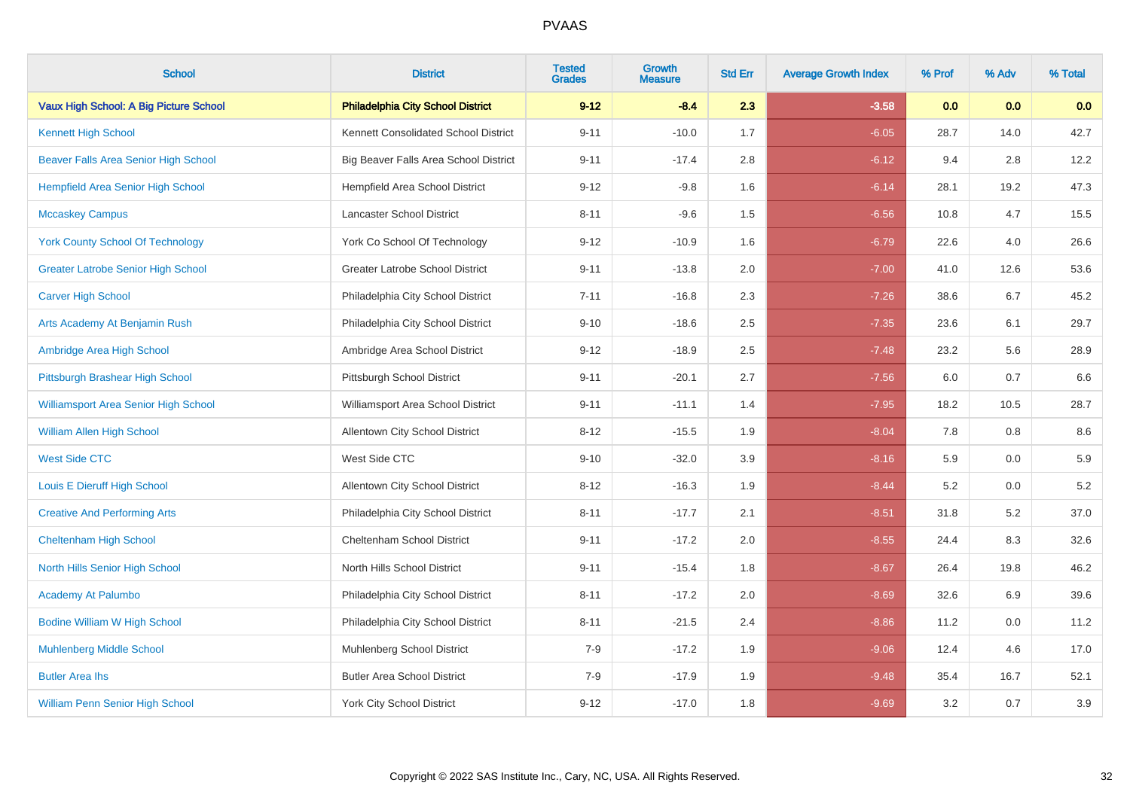| <b>School</b>                               | <b>District</b>                          | <b>Tested</b><br><b>Grades</b> | <b>Growth</b><br><b>Measure</b> | <b>Std Err</b> | <b>Average Growth Index</b> | % Prof | % Adv | % Total |
|---------------------------------------------|------------------------------------------|--------------------------------|---------------------------------|----------------|-----------------------------|--------|-------|---------|
| Vaux High School: A Big Picture School      | <b>Philadelphia City School District</b> | $9 - 12$                       | $-8.4$                          | 2.3            | $-3.58$                     | 0.0    | 0.0   | 0.0     |
| <b>Kennett High School</b>                  | Kennett Consolidated School District     | $9 - 11$                       | $-10.0$                         | 1.7            | $-6.05$                     | 28.7   | 14.0  | 42.7    |
| <b>Beaver Falls Area Senior High School</b> | Big Beaver Falls Area School District    | $9 - 11$                       | $-17.4$                         | 2.8            | $-6.12$                     | 9.4    | 2.8   | 12.2    |
| <b>Hempfield Area Senior High School</b>    | <b>Hempfield Area School District</b>    | $9 - 12$                       | $-9.8$                          | 1.6            | $-6.14$                     | 28.1   | 19.2  | 47.3    |
| <b>Mccaskey Campus</b>                      | Lancaster School District                | $8 - 11$                       | $-9.6$                          | 1.5            | $-6.56$                     | 10.8   | 4.7   | 15.5    |
| <b>York County School Of Technology</b>     | York Co School Of Technology             | $9 - 12$                       | $-10.9$                         | 1.6            | $-6.79$                     | 22.6   | 4.0   | 26.6    |
| <b>Greater Latrobe Senior High School</b>   | <b>Greater Latrobe School District</b>   | $9 - 11$                       | $-13.8$                         | 2.0            | $-7.00$                     | 41.0   | 12.6  | 53.6    |
| <b>Carver High School</b>                   | Philadelphia City School District        | $7 - 11$                       | $-16.8$                         | 2.3            | $-7.26$                     | 38.6   | 6.7   | 45.2    |
| Arts Academy At Benjamin Rush               | Philadelphia City School District        | $9 - 10$                       | $-18.6$                         | 2.5            | $-7.35$                     | 23.6   | 6.1   | 29.7    |
| Ambridge Area High School                   | Ambridge Area School District            | $9 - 12$                       | $-18.9$                         | $2.5\,$        | $-7.48$                     | 23.2   | 5.6   | 28.9    |
| Pittsburgh Brashear High School             | Pittsburgh School District               | $9 - 11$                       | $-20.1$                         | 2.7            | $-7.56$                     | 6.0    | 0.7   | 6.6     |
| <b>Williamsport Area Senior High School</b> | Williamsport Area School District        | $9 - 11$                       | $-11.1$                         | 1.4            | $-7.95$                     | 18.2   | 10.5  | 28.7    |
| <b>William Allen High School</b>            | <b>Allentown City School District</b>    | $8 - 12$                       | $-15.5$                         | 1.9            | $-8.04$                     | 7.8    | 0.8   | 8.6     |
| <b>West Side CTC</b>                        | West Side CTC                            | $9 - 10$                       | $-32.0$                         | 3.9            | $-8.16$                     | 5.9    | 0.0   | 5.9     |
| Louis E Dieruff High School                 | Allentown City School District           | $8 - 12$                       | $-16.3$                         | 1.9            | $-8.44$                     | 5.2    | 0.0   | $5.2\,$ |
| <b>Creative And Performing Arts</b>         | Philadelphia City School District        | $8 - 11$                       | $-17.7$                         | 2.1            | $-8.51$                     | 31.8   | 5.2   | 37.0    |
| <b>Cheltenham High School</b>               | Cheltenham School District               | $9 - 11$                       | $-17.2$                         | 2.0            | $-8.55$                     | 24.4   | 8.3   | 32.6    |
| North Hills Senior High School              | North Hills School District              | $9 - 11$                       | $-15.4$                         | 1.8            | $-8.67$                     | 26.4   | 19.8  | 46.2    |
| <b>Academy At Palumbo</b>                   | Philadelphia City School District        | $8 - 11$                       | $-17.2$                         | 2.0            | $-8.69$                     | 32.6   | 6.9   | 39.6    |
| <b>Bodine William W High School</b>         | Philadelphia City School District        | $8 - 11$                       | $-21.5$                         | 2.4            | $-8.86$                     | 11.2   | 0.0   | 11.2    |
| <b>Muhlenberg Middle School</b>             | <b>Muhlenberg School District</b>        | $7 - 9$                        | $-17.2$                         | 1.9            | $-9.06$                     | 12.4   | 4.6   | 17.0    |
| <b>Butler Area Ihs</b>                      | <b>Butler Area School District</b>       | $7 - 9$                        | $-17.9$                         | 1.9            | $-9.48$                     | 35.4   | 16.7  | 52.1    |
| William Penn Senior High School             | <b>York City School District</b>         | $9 - 12$                       | $-17.0$                         | 1.8            | $-9.69$                     | 3.2    | 0.7   | $3.9\,$ |